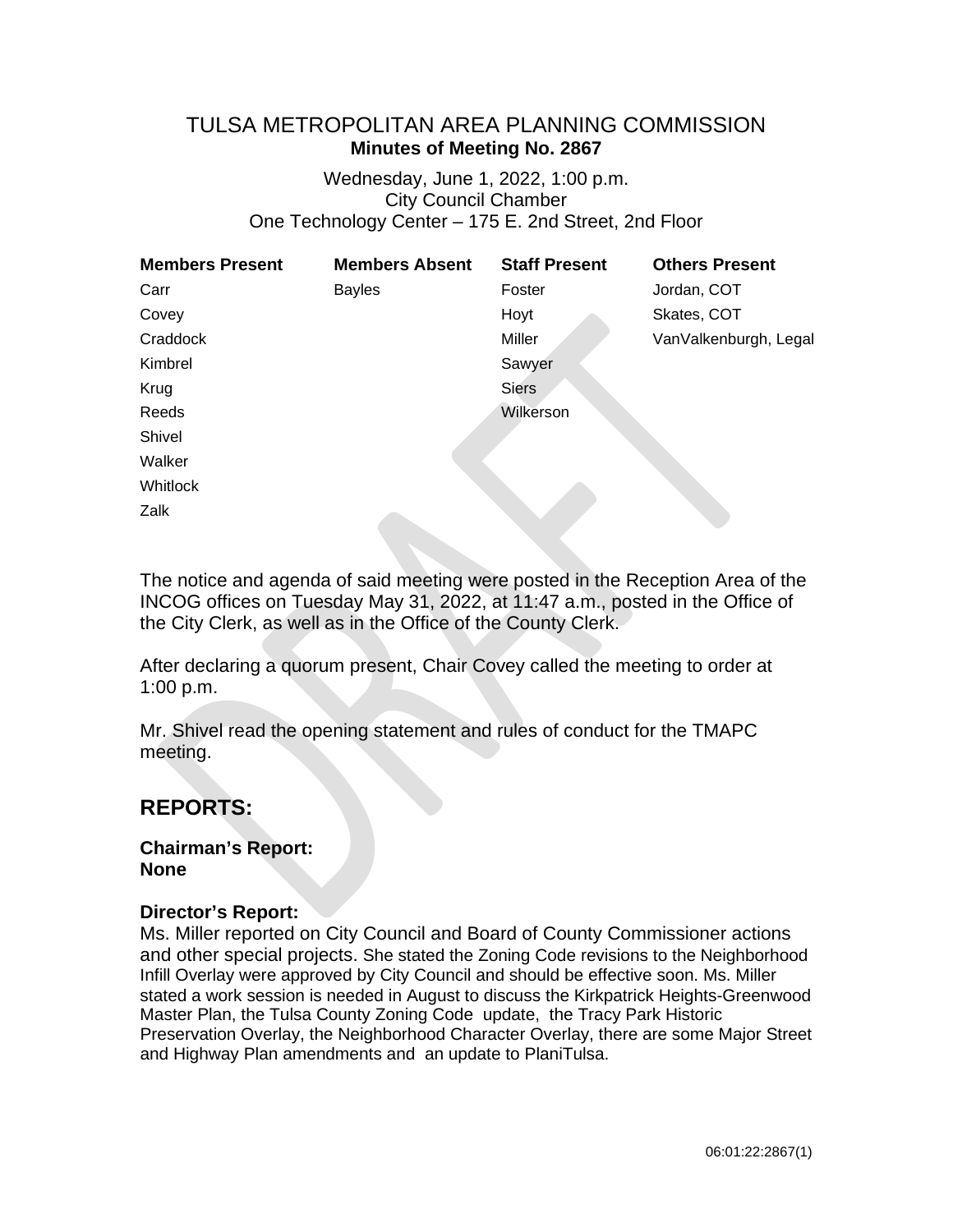# TULSA METROPOLITAN AREA PLANNING COMMISSION **Minutes of Meeting No. 2867**

Wednesday, June 1, 2022, 1:00 p.m. City Council Chamber One Technology Center – 175 E. 2nd Street, 2nd Floor

| <b>Members Present</b> | <b>Members Absent</b> | <b>Staff Present</b> | <b>Others Present</b> |
|------------------------|-----------------------|----------------------|-----------------------|
| Carr                   | <b>Bayles</b>         | Foster               | Jordan, COT           |
| Covey                  |                       | Hoyt                 | Skates, COT           |
| Craddock               |                       | Miller               | VanValkenburgh, Legal |
| Kimbrel                |                       | Sawyer               |                       |
| Krug                   |                       | <b>Siers</b>         |                       |
| Reeds                  |                       | Wilkerson            |                       |
| Shivel                 |                       |                      |                       |
| Walker                 |                       |                      |                       |
| Whitlock               |                       |                      |                       |
| Zalk                   |                       |                      |                       |

The notice and agenda of said meeting were posted in the Reception Area of the INCOG offices on Tuesday May 31, 2022, at 11:47 a.m., posted in the Office of the City Clerk, as well as in the Office of the County Clerk.

After declaring a quorum present, Chair Covey called the meeting to order at 1:00 p.m.

Mr. Shivel read the opening statement and rules of conduct for the TMAPC meeting.

# **REPORTS:**

**Chairman's Report: None**

# **Director's Report:**

Ms. Miller reported on City Council and Board of County Commissioner actions and other special projects. She stated the Zoning Code revisions to the Neighborhood Infill Overlay were approved by City Council and should be effective soon. Ms. Miller stated a work session is needed in August to discuss the Kirkpatrick Heights-Greenwood Master Plan, the Tulsa County Zoning Code update, the Tracy Park Historic Preservation Overlay, the Neighborhood Character Overlay, there are some Major Street and Highway Plan amendments and an update to PlaniTulsa.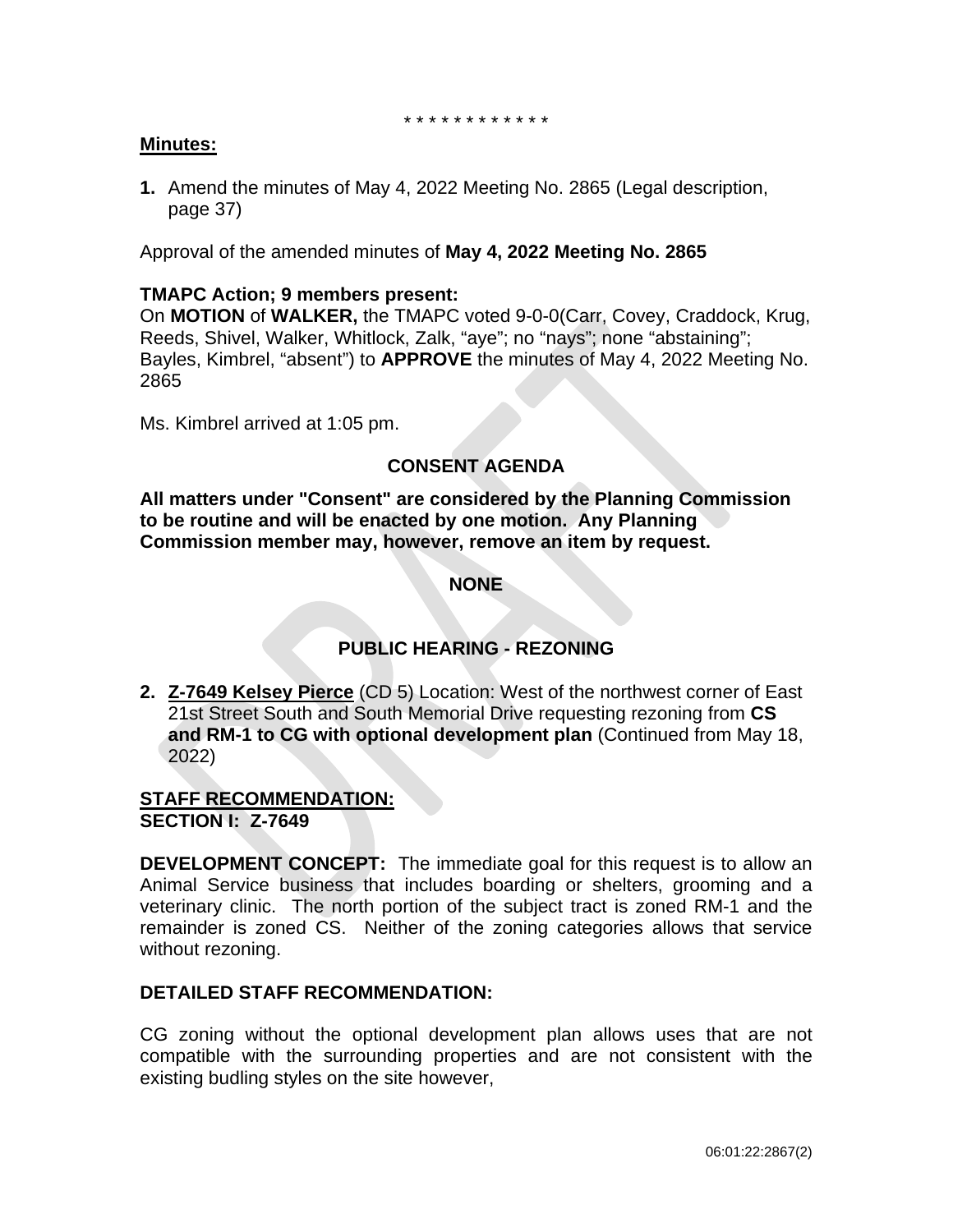\* \* \* \* \* \* \* \* \* \* \* \*

# **Minutes:**

**1.** Amend the minutes of May 4, 2022 Meeting No. 2865 (Legal description, page 37)

Approval of the amended minutes of **May 4, 2022 Meeting No. 2865**

# **TMAPC Action; 9 members present:**

On **MOTION** of **WALKER,** the TMAPC voted 9-0-0(Carr, Covey, Craddock, Krug, Reeds, Shivel, Walker, Whitlock, Zalk, "aye"; no "nays"; none "abstaining"; Bayles, Kimbrel, "absent") to **APPROVE** the minutes of May 4, 2022 Meeting No. 2865

Ms. Kimbrel arrived at 1:05 pm.

# **CONSENT AGENDA**

**All matters under "Consent" are considered by the Planning Commission to be routine and will be enacted by one motion. Any Planning Commission member may, however, remove an item by request.**

**NONE**

# **PUBLIC HEARING - REZONING**

**2. Z-7649 Kelsey Pierce** (CD 5) Location: West of the northwest corner of East 21st Street South and South Memorial Drive requesting rezoning from **CS and RM-1 to CG with optional development plan** (Continued from May 18, 2022)

**STAFF RECOMMENDATION: SECTION I: Z-7649**

**DEVELOPMENT CONCEPT:** The immediate goal for this request is to allow an Animal Service business that includes boarding or shelters, grooming and a veterinary clinic. The north portion of the subject tract is zoned RM-1 and the remainder is zoned CS. Neither of the zoning categories allows that service without rezoning.

# **DETAILED STAFF RECOMMENDATION:**

CG zoning without the optional development plan allows uses that are not compatible with the surrounding properties and are not consistent with the existing budling styles on the site however,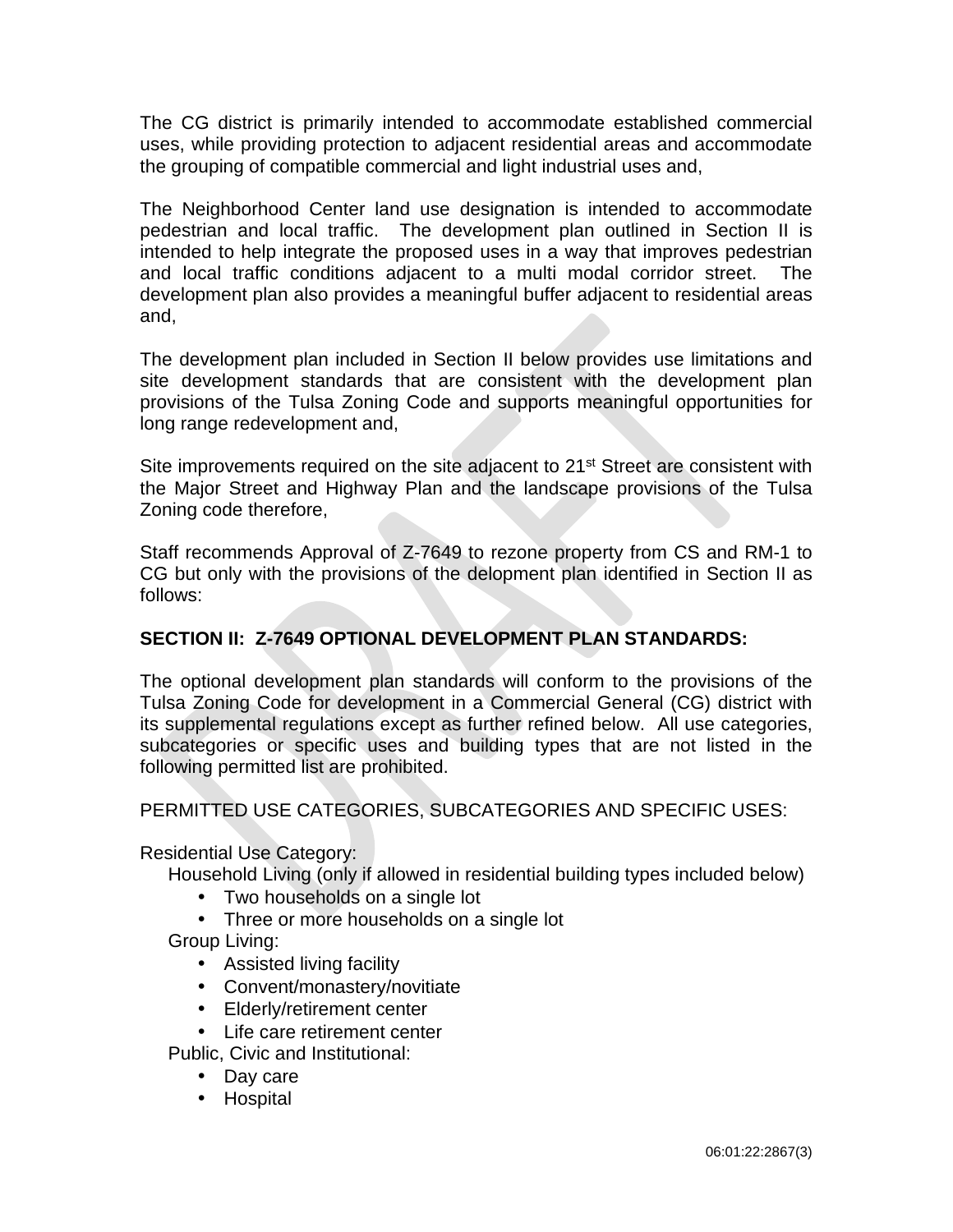The CG district is primarily intended to accommodate established commercial uses, while providing protection to adjacent residential areas and accommodate the grouping of compatible commercial and light industrial uses and,

The Neighborhood Center land use designation is intended to accommodate pedestrian and local traffic. The development plan outlined in Section II is intended to help integrate the proposed uses in a way that improves pedestrian and local traffic conditions adjacent to a multi modal corridor street. The development plan also provides a meaningful buffer adjacent to residential areas and,

The development plan included in Section II below provides use limitations and site development standards that are consistent with the development plan provisions of the Tulsa Zoning Code and supports meaningful opportunities for long range redevelopment and,

Site improvements required on the site adjacent to 21<sup>st</sup> Street are consistent with the Major Street and Highway Plan and the landscape provisions of the Tulsa Zoning code therefore,

Staff recommends Approval of Z-7649 to rezone property from CS and RM-1 to CG but only with the provisions of the delopment plan identified in Section II as follows:

# **SECTION II: Z-7649 OPTIONAL DEVELOPMENT PLAN STANDARDS:**

The optional development plan standards will conform to the provisions of the Tulsa Zoning Code for development in a Commercial General (CG) district with its supplemental regulations except as further refined below. All use categories, subcategories or specific uses and building types that are not listed in the following permitted list are prohibited.

PERMITTED USE CATEGORIES, SUBCATEGORIES AND SPECIFIC USES:

Residential Use Category:

Household Living (only if allowed in residential building types included below)

- Two households on a single lot
- Three or more households on a single lot

Group Living:

- Assisted living facility
- Convent/monastery/novitiate
- Elderly/retirement center
- Life care retirement center

Public, Civic and Institutional:

- Day care
- Hospital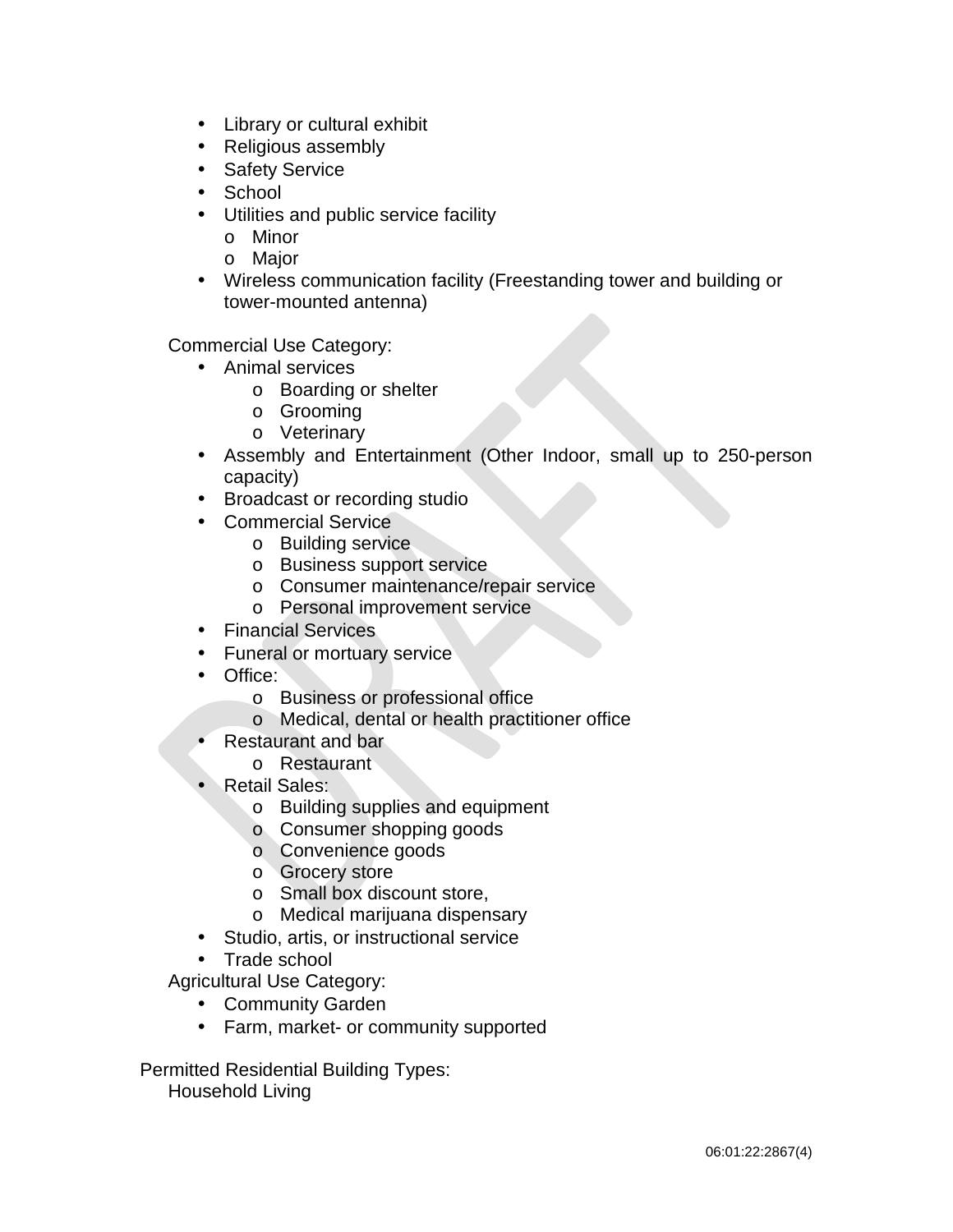- $\mathcal{L}^{\text{max}}$ Library or cultural exhibit
- $\mathcal{L}^{\text{max}}$ Religious assembly
- $\mathcal{L}^{\text{max}}$ Safety Service
- **School**
- Utilities and public service facility
	- o Minor
	- o Major
- Wireless communication facility (Freestanding tower and building or tower-mounted antenna)

Commercial Use Category:

- Animal services
	- o Boarding or shelter
	- o Grooming
	- o Veterinary
- Assembly and Entertainment (Other Indoor, small up to 250-person ä, capacity)
- Broadcast or recording studio  $\mathbf{L}^{\text{max}}$
- Commercial Service
	- o Building service
	- o Business support service
	- o Consumer maintenance/repair service
	- o Personal improvement service
- **Financial Services**
- Funeral or mortuary service
- Office:  $\mathbf{r}$ 
	- o Business or professional office
	- o Medical, dental or health practitioner office
	- Restaurant and bar
		- o Restaurant
- Retail Sales:
	- o Building supplies and equipment
	- o Consumer shopping goods
	- o Convenience goods
	- o Grocery store
	- o Small box discount store,
	- o Medical marijuana dispensary
- Studio, artis, or instructional service
- Trade school

Agricultural Use Category:

- Community Garden  $\sim$
- Farm, market- or community supported  $\mathcal{L}^{\text{max}}$

Permitted Residential Building Types: Household Living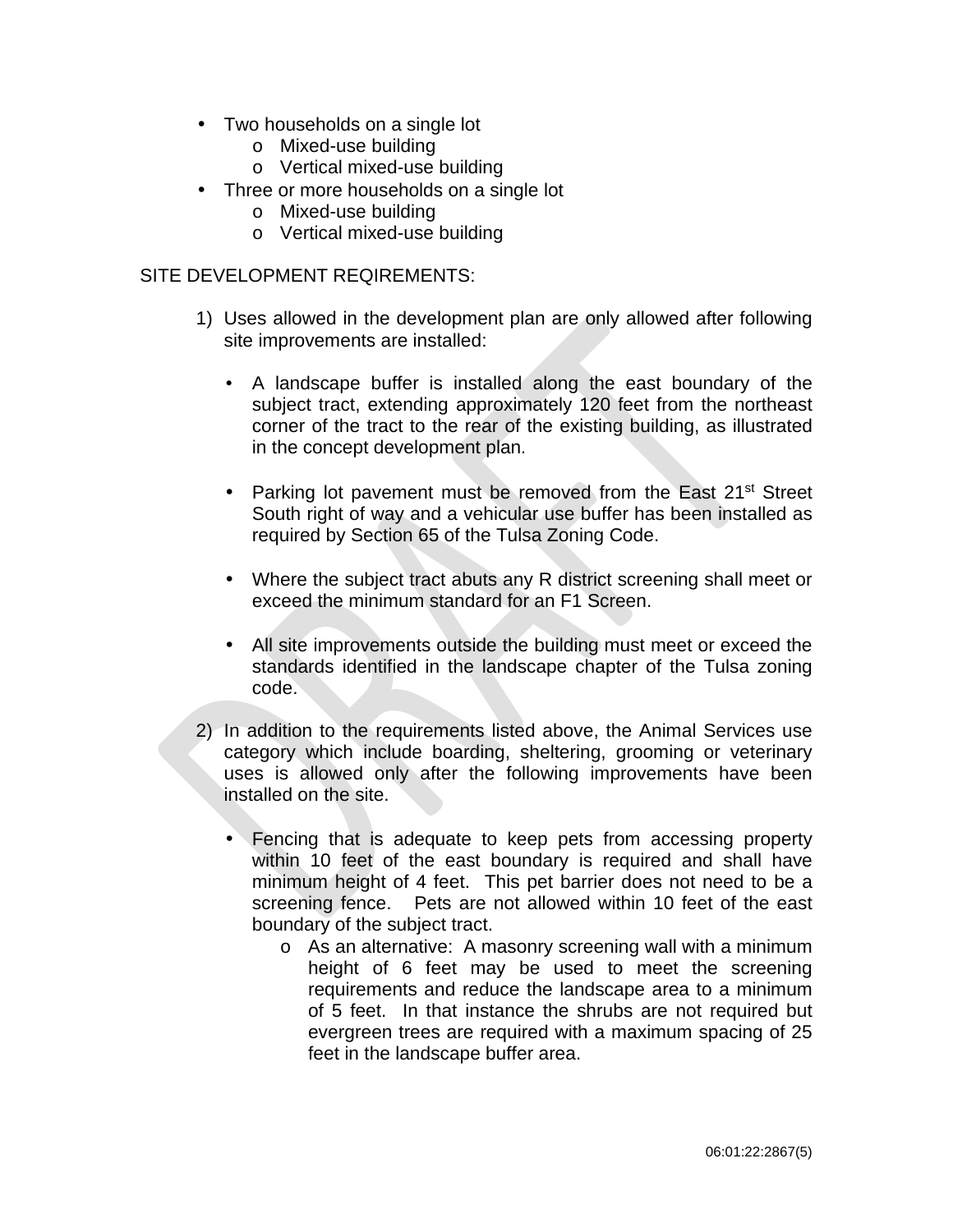- Two households on a single lot
	- o Mixed-use building
	- o Vertical mixed-use building
- Three or more households on a single lot
	- o Mixed-use building
	- o Vertical mixed-use building

### SITE DEVELOPMENT REQIREMENTS:

- 1) Uses allowed in the development plan are only allowed after following site improvements are installed:
	- $\mathcal{L}^{\text{max}}$ A landscape buffer is installed along the east boundary of the subject tract, extending approximately 120 feet from the northeast corner of the tract to the rear of the existing building, as illustrated in the concept development plan.
	- Parking lot pavement must be removed from the East 21<sup>st</sup> Street South right of way and a vehicular use buffer has been installed as required by Section 65 of the Tulsa Zoning Code.
	- Where the subject tract abuts any R district screening shall meet or exceed the minimum standard for an F1 Screen.
	- All site improvements outside the building must meet or exceed the standards identified in the landscape chapter of the Tulsa zoning code.
- 2) In addition to the requirements listed above, the Animal Services use category which include boarding, sheltering, grooming or veterinary uses is allowed only after the following improvements have been installed on the site.
	- Fencing that is adequate to keep pets from accessing property within 10 feet of the east boundary is required and shall have minimum height of 4 feet. This pet barrier does not need to be a screening fence. Pets are not allowed within 10 feet of the east boundary of the subject tract.
		- o As an alternative: A masonry screening wall with a minimum height of 6 feet may be used to meet the screening requirements and reduce the landscape area to a minimum of 5 feet. In that instance the shrubs are not required but evergreen trees are required with a maximum spacing of 25 feet in the landscape buffer area.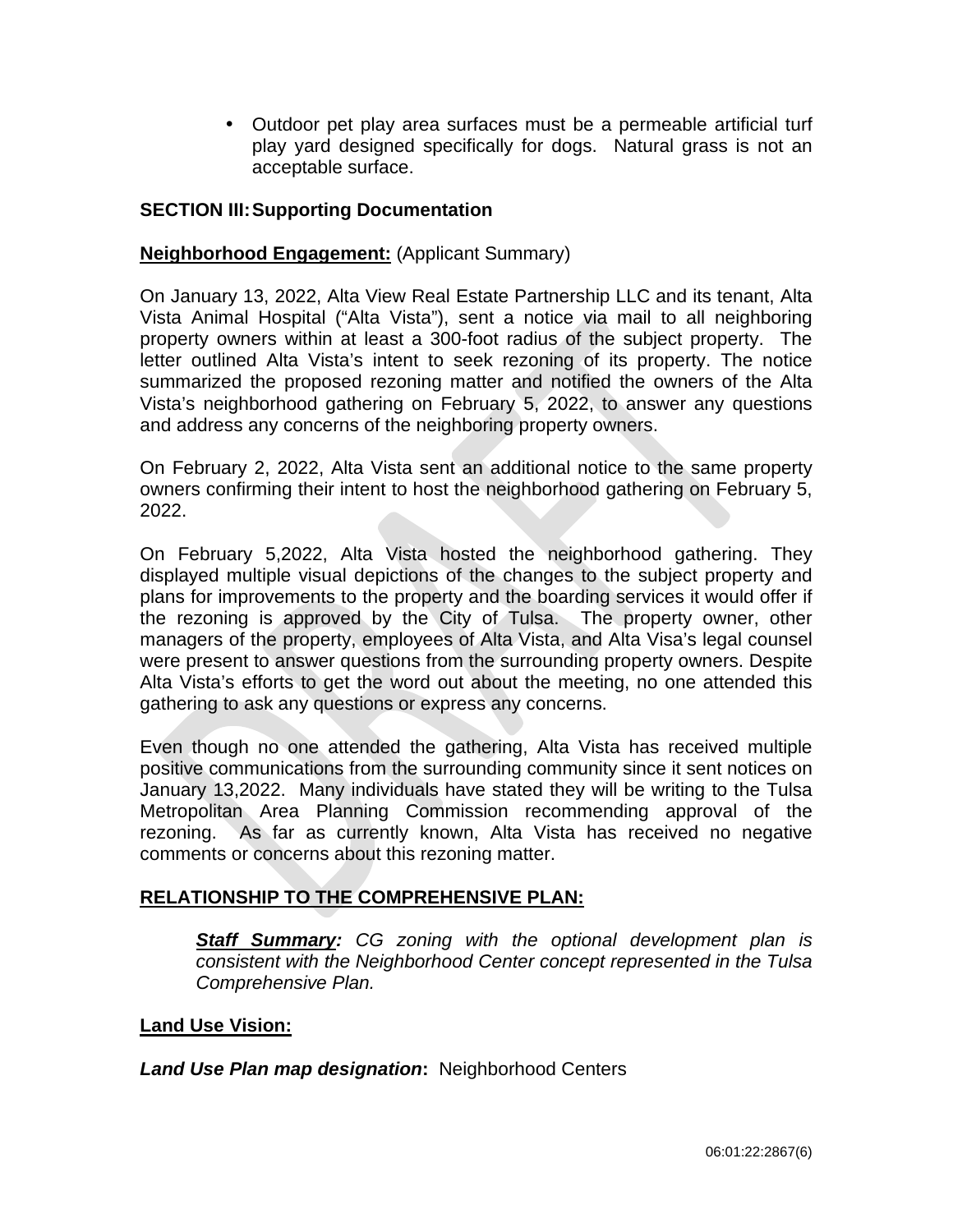Outdoor pet play area surfaces must be a permeable artificial turf  $\mathbf{r}^{\left(1\right)}$ play yard designed specifically for dogs. Natural grass is not an acceptable surface.

# **SECTION III:Supporting Documentation**

# **Neighborhood Engagement:** (Applicant Summary)

On January 13, 2022, Alta View Real Estate Partnership LLC and its tenant, Alta Vista Animal Hospital ("Alta Vista"), sent a notice via mail to all neighboring property owners within at least a 300-foot radius of the subject property. The letter outlined Alta Vista's intent to seek rezoning of its property. The notice summarized the proposed rezoning matter and notified the owners of the Alta Vista's neighborhood gathering on February 5, 2022, to answer any questions and address any concerns of the neighboring property owners.

On February 2, 2022, Alta Vista sent an additional notice to the same property owners confirming their intent to host the neighborhood gathering on February 5, 2022.

On February 5,2022, Alta Vista hosted the neighborhood gathering. They displayed multiple visual depictions of the changes to the subject property and plans for improvements to the property and the boarding services it would offer if the rezoning is approved by the City of Tulsa. The property owner, other managers of the property, employees of Alta Vista, and Alta Visa's legal counsel were present to answer questions from the surrounding property owners. Despite Alta Vista's efforts to get the word out about the meeting, no one attended this gathering to ask any questions or express any concerns.

Even though no one attended the gathering, Alta Vista has received multiple positive communications from the surrounding community since it sent notices on January 13,2022. Many individuals have stated they will be writing to the Tulsa Metropolitan Area Planning Commission recommending approval of the rezoning. As far as currently known, Alta Vista has received no negative comments or concerns about this rezoning matter.

# **RELATIONSHIP TO THE COMPREHENSIVE PLAN:**

*Staff Summary: CG zoning with the optional development plan is consistent with the Neighborhood Center concept represented in the Tulsa Comprehensive Plan.*

# **Land Use Vision:**

*Land Use Plan map designation***:** Neighborhood Centers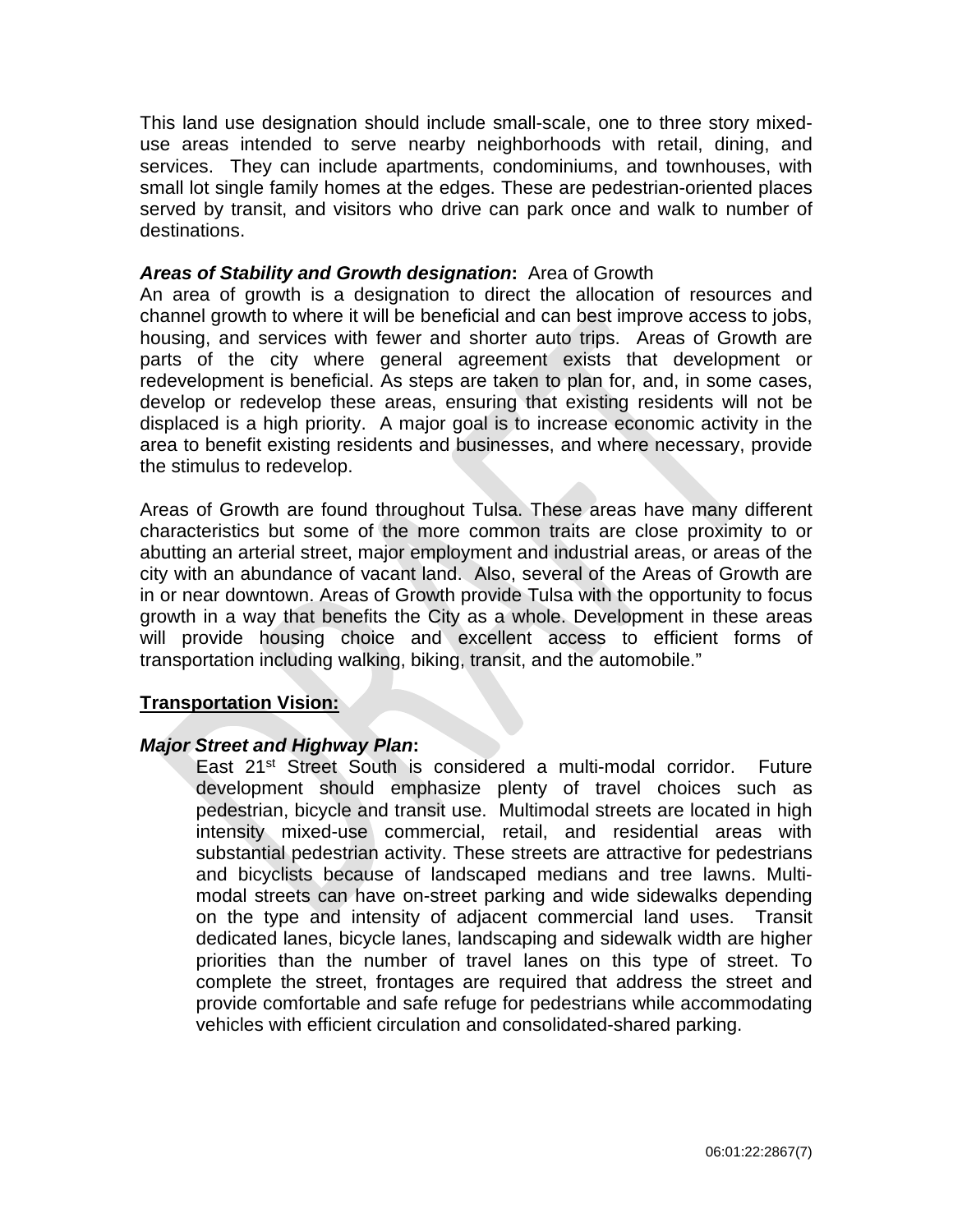This land use designation should include small-scale, one to three story mixeduse areas intended to serve nearby neighborhoods with retail, dining, and services. They can include apartments, condominiums, and townhouses, with small lot single family homes at the edges. These are pedestrian-oriented places served by transit, and visitors who drive can park once and walk to number of destinations.

# *Areas of Stability and Growth designation***:** Area of Growth

An area of growth is a designation to direct the allocation of resources and channel growth to where it will be beneficial and can best improve access to jobs, housing, and services with fewer and shorter auto trips. Areas of Growth are parts of the city where general agreement exists that development or redevelopment is beneficial. As steps are taken to plan for, and, in some cases, develop or redevelop these areas, ensuring that existing residents will not be displaced is a high priority. A major goal is to increase economic activity in the area to benefit existing residents and businesses, and where necessary, provide the stimulus to redevelop.

Areas of Growth are found throughout Tulsa. These areas have many different characteristics but some of the more common traits are close proximity to or abutting an arterial street, major employment and industrial areas, or areas of the city with an abundance of vacant land. Also, several of the Areas of Growth are in or near downtown. Areas of Growth provide Tulsa with the opportunity to focus growth in a way that benefits the City as a whole. Development in these areas will provide housing choice and excellent access to efficient forms of transportation including walking, biking, transit, and the automobile."

### **Transportation Vision:**

### *Major Street and Highway Plan***:**

East 21<sup>st</sup> Street South is considered a multi-modal corridor. Future development should emphasize plenty of travel choices such as pedestrian, bicycle and transit use. Multimodal streets are located in high intensity mixed-use commercial, retail, and residential areas with substantial pedestrian activity. These streets are attractive for pedestrians and bicyclists because of landscaped medians and tree lawns. Multimodal streets can have on-street parking and wide sidewalks depending on the type and intensity of adjacent commercial land uses. Transit dedicated lanes, bicycle lanes, landscaping and sidewalk width are higher priorities than the number of travel lanes on this type of street. To complete the street, frontages are required that address the street and provide comfortable and safe refuge for pedestrians while accommodating vehicles with efficient circulation and consolidated-shared parking.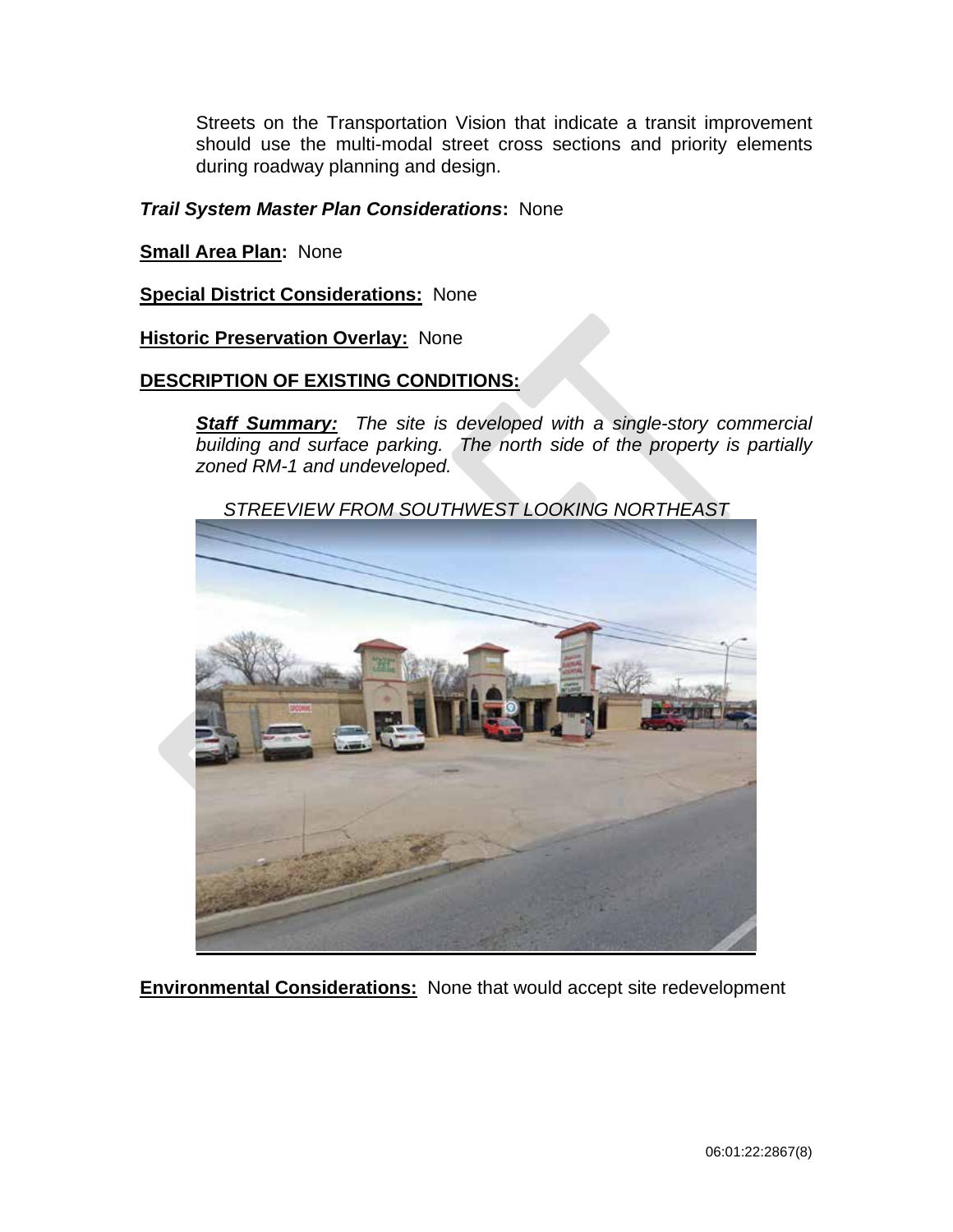Streets on the Transportation Vision that indicate a transit improvement should use the multi-modal street cross sections and priority elements during roadway planning and design.

# *Trail System Master Plan Considerations***:** None

**Small Area Plan:** None

**Special District Considerations:** None

# **Historic Preservation Overlay: None**

# **DESCRIPTION OF EXISTING CONDITIONS:**

*Staff Summary: The site is developed with a single-story commercial building and surface parking. The north side of the property is partially zoned RM-1 and undeveloped.*

*STREEVIEW FROM SOUTHWEST LOOKING NORTHEAST*

**Environmental Considerations:** None that would accept site redevelopment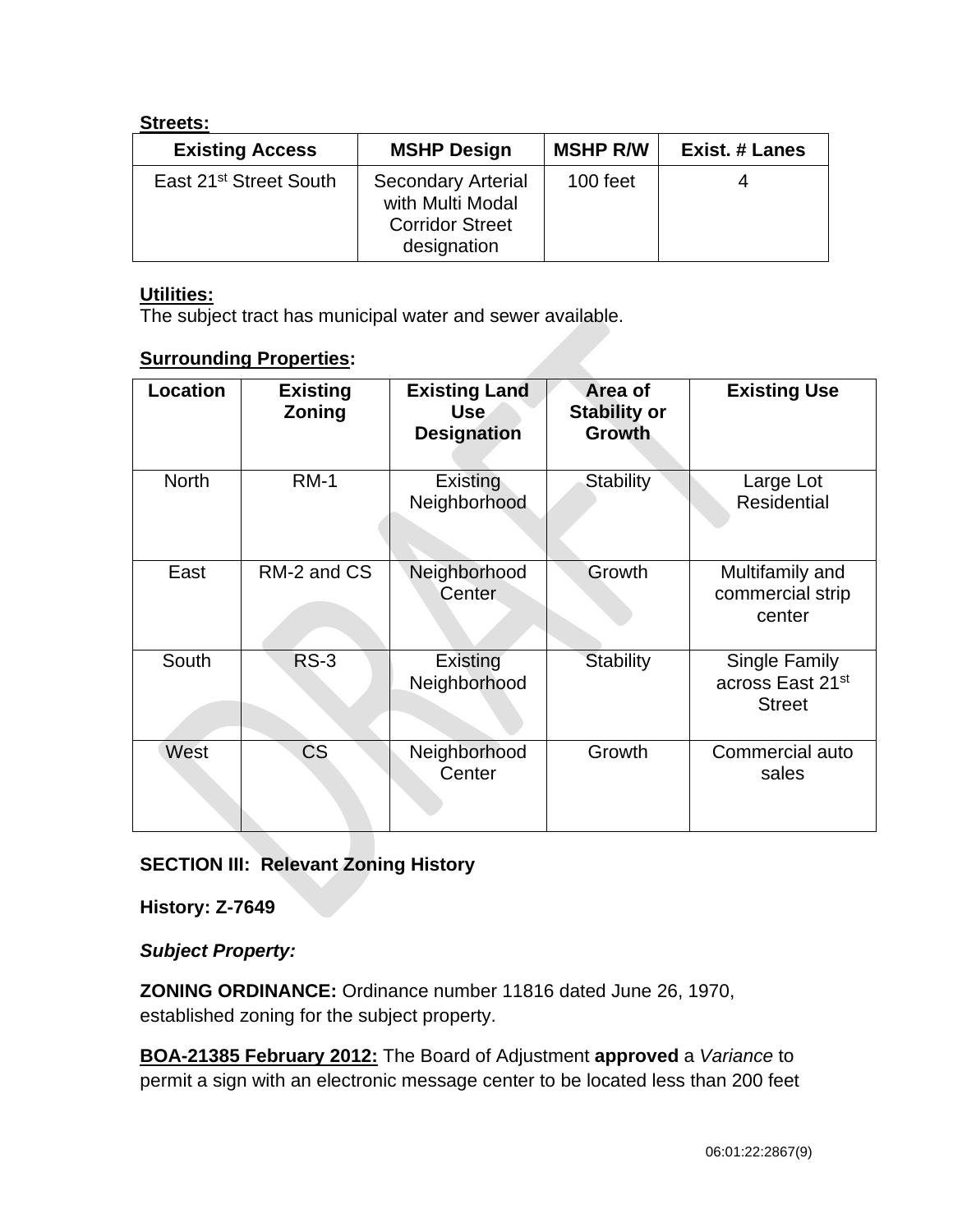# **Streets:**

| <b>Existing Access</b>             | <b>MSHP Design</b>                                                                     | <b>MSHP R/W</b> | <b>Exist. # Lanes</b> |
|------------------------------------|----------------------------------------------------------------------------------------|-----------------|-----------------------|
| East 21 <sup>st</sup> Street South | <b>Secondary Arterial</b><br>with Multi Modal<br><b>Corridor Street</b><br>designation | 100 feet        | 4                     |

# **Utilities:**

The subject tract has municipal water and sewer available.

# **Surrounding Properties:**

| <b>Location</b> | <b>Existing</b><br>Zoning | <b>Existing Land</b><br><b>Use</b><br><b>Designation</b> | Area of<br><b>Stability or</b><br><b>Growth</b> | <b>Existing Use</b>                                |
|-----------------|---------------------------|----------------------------------------------------------|-------------------------------------------------|----------------------------------------------------|
| <b>North</b>    | <b>RM-1</b>               | Existing<br>Neighborhood                                 | <b>Stability</b>                                | Large Lot<br><b>Residential</b>                    |
| East            | RM-2 and CS               | Neighborhood<br>Center                                   | Growth                                          | Multifamily and<br>commercial strip<br>center      |
| South           | <b>RS-3</b>               | Existing<br>Neighborhood                                 | Stability                                       | Single Family<br>across East 21st<br><b>Street</b> |
| West            | <b>CS</b>                 | Neighborhood<br>Center                                   | Growth                                          | Commercial auto<br>sales                           |

# **SECTION III: Relevant Zoning History**

**History: Z-7649**

*Subject Property:* 

**ZONING ORDINANCE:** Ordinance number 11816 dated June 26, 1970, established zoning for the subject property.

**BOA-21385 February 2012:** The Board of Adjustment **approved** a *Variance* to permit a sign with an electronic message center to be located less than 200 feet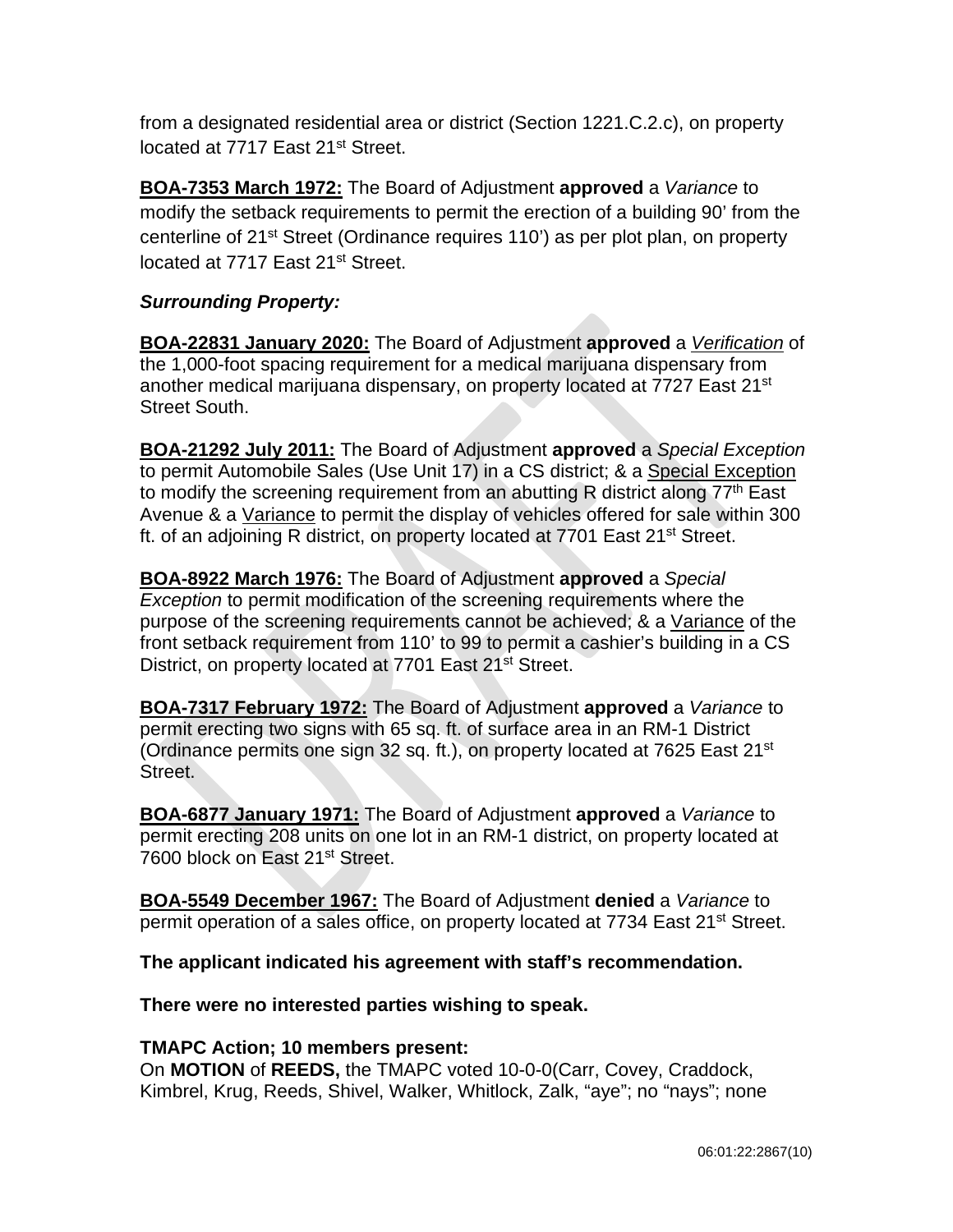from a designated residential area or district (Section 1221.C.2.c), on property located at 7717 East 21<sup>st</sup> Street.

**BOA-7353 March 1972:** The Board of Adjustment **approved** a *Variance* to modify the setback requirements to permit the erection of a building 90' from the centerline of 21<sup>st</sup> Street (Ordinance requires 110<sup>'</sup>) as per plot plan, on property located at 7717 East 21<sup>st</sup> Street.

# *Surrounding Property:*

**BOA-22831 January 2020:** The Board of Adjustment **approved** a *Verification* of the 1,000-foot spacing requirement for a medical marijuana dispensary from another medical marijuana dispensary, on property located at 7727 East 21<sup>st</sup> Street South.

**BOA-21292 July 2011:** The Board of Adjustment **approved** a *Special Exception* to permit Automobile Sales (Use Unit 17) in a CS district; & a Special Exception to modify the screening requirement from an abutting R district along  $77<sup>th</sup>$  East Avenue & a Variance to permit the display of vehicles offered for sale within 300 ft. of an adjoining R district, on property located at 7701 East 21<sup>st</sup> Street.

**BOA-8922 March 1976:** The Board of Adjustment **approved** a *Special Exception* to permit modification of the screening requirements where the purpose of the screening requirements cannot be achieved; & a Variance of the front setback requirement from 110' to 99 to permit a cashier's building in a CS District, on property located at 7701 East 21<sup>st</sup> Street.

**BOA-7317 February 1972:** The Board of Adjustment **approved** a *Variance* to permit erecting two signs with 65 sq. ft. of surface area in an RM-1 District (Ordinance permits one sign 32 sq. ft.), on property located at 7625 East 21st Street.

**BOA-6877 January 1971:** The Board of Adjustment **approved** a *Variance* to permit erecting 208 units on one lot in an RM-1 district, on property located at 7600 block on East 21<sup>st</sup> Street.

**BOA-5549 December 1967:** The Board of Adjustment **denied** a *Variance* to permit operation of a sales office, on property located at 7734 East 21<sup>st</sup> Street.

**The applicant indicated his agreement with staff's recommendation.**

**There were no interested parties wishing to speak.**

# **TMAPC Action; 10 members present:**

On **MOTION** of **REEDS,** the TMAPC voted 10-0-0(Carr, Covey, Craddock, Kimbrel, Krug, Reeds, Shivel, Walker, Whitlock, Zalk, "aye"; no "nays"; none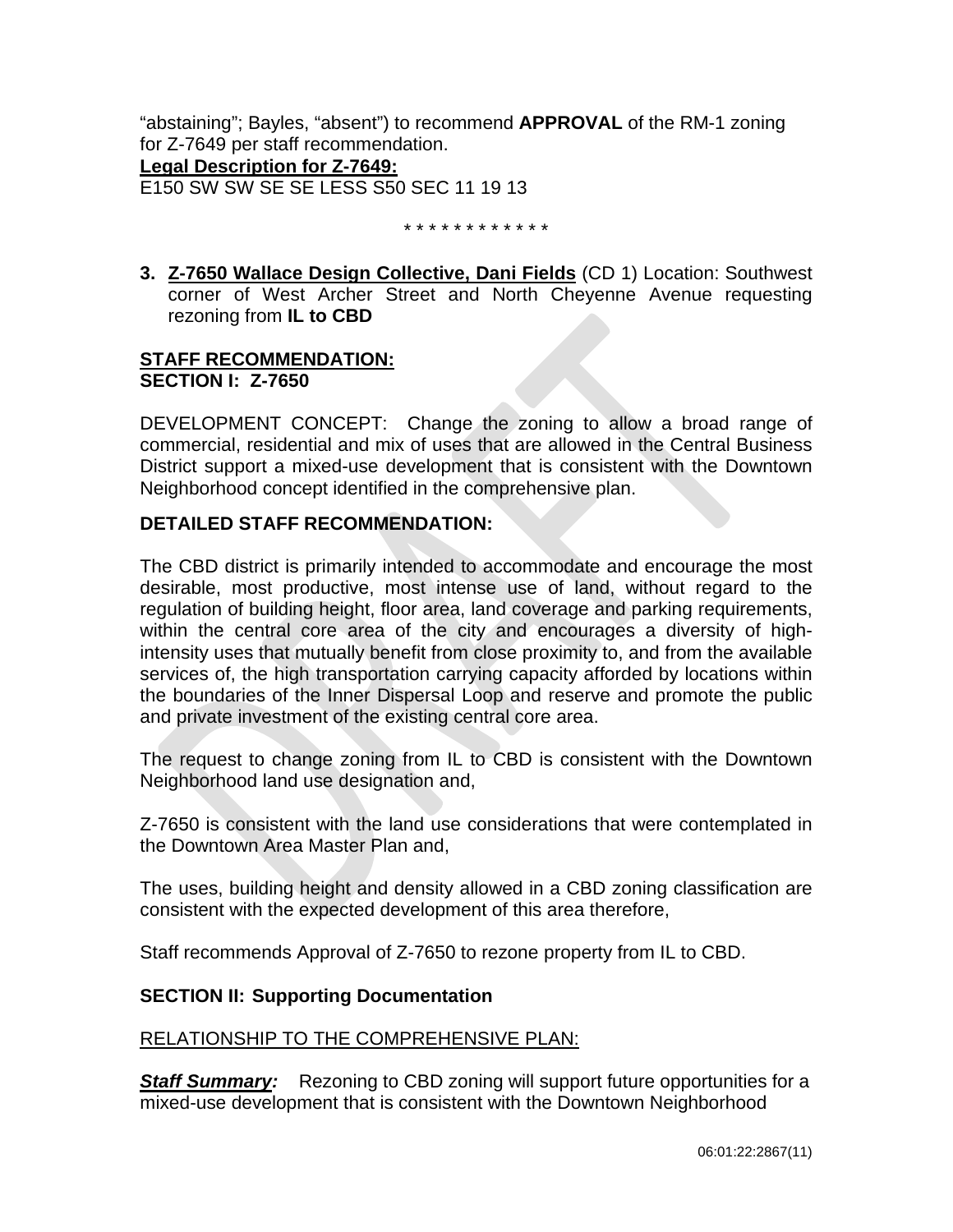"abstaining"; Bayles, "absent") to recommend **APPROVAL** of the RM-1 zoning for Z-7649 per staff recommendation. **Legal Description for Z-7649:**

E150 SW SW SE SE LESS S50 SEC 11 19 13

\* \* \* \* \* \* \* \* \* \* \* \*

**3. Z-7650 Wallace Design Collective, Dani Fields** (CD 1) Location: Southwest corner of West Archer Street and North Cheyenne Avenue requesting rezoning from **IL to CBD**

# **STAFF RECOMMENDATION: SECTION I: Z-7650**

DEVELOPMENT CONCEPT: Change the zoning to allow a broad range of commercial, residential and mix of uses that are allowed in the Central Business District support a mixed-use development that is consistent with the Downtown Neighborhood concept identified in the comprehensive plan.

# **DETAILED STAFF RECOMMENDATION:**

The CBD district is primarily intended to accommodate and encourage the most desirable, most productive, most intense use of land, without regard to the regulation of building height, floor area, land coverage and parking requirements, within the central core area of the city and encourages a diversity of highintensity uses that mutually benefit from close proximity to, and from the available services of, the high transportation carrying capacity afforded by locations within the boundaries of the Inner Dispersal Loop and reserve and promote the public and private investment of the existing central core area.

The request to change zoning from IL to CBD is consistent with the Downtown Neighborhood land use designation and,

Z-7650 is consistent with the land use considerations that were contemplated in the Downtown Area Master Plan and,

The uses, building height and density allowed in a CBD zoning classification are consistent with the expected development of this area therefore,

Staff recommends Approval of Z-7650 to rezone property from IL to CBD.

# **SECTION II: Supporting Documentation**

# RELATIONSHIP TO THE COMPREHENSIVE PLAN:

**Staff Summary:** Rezoning to CBD zoning will support future opportunities for a mixed-use development that is consistent with the Downtown Neighborhood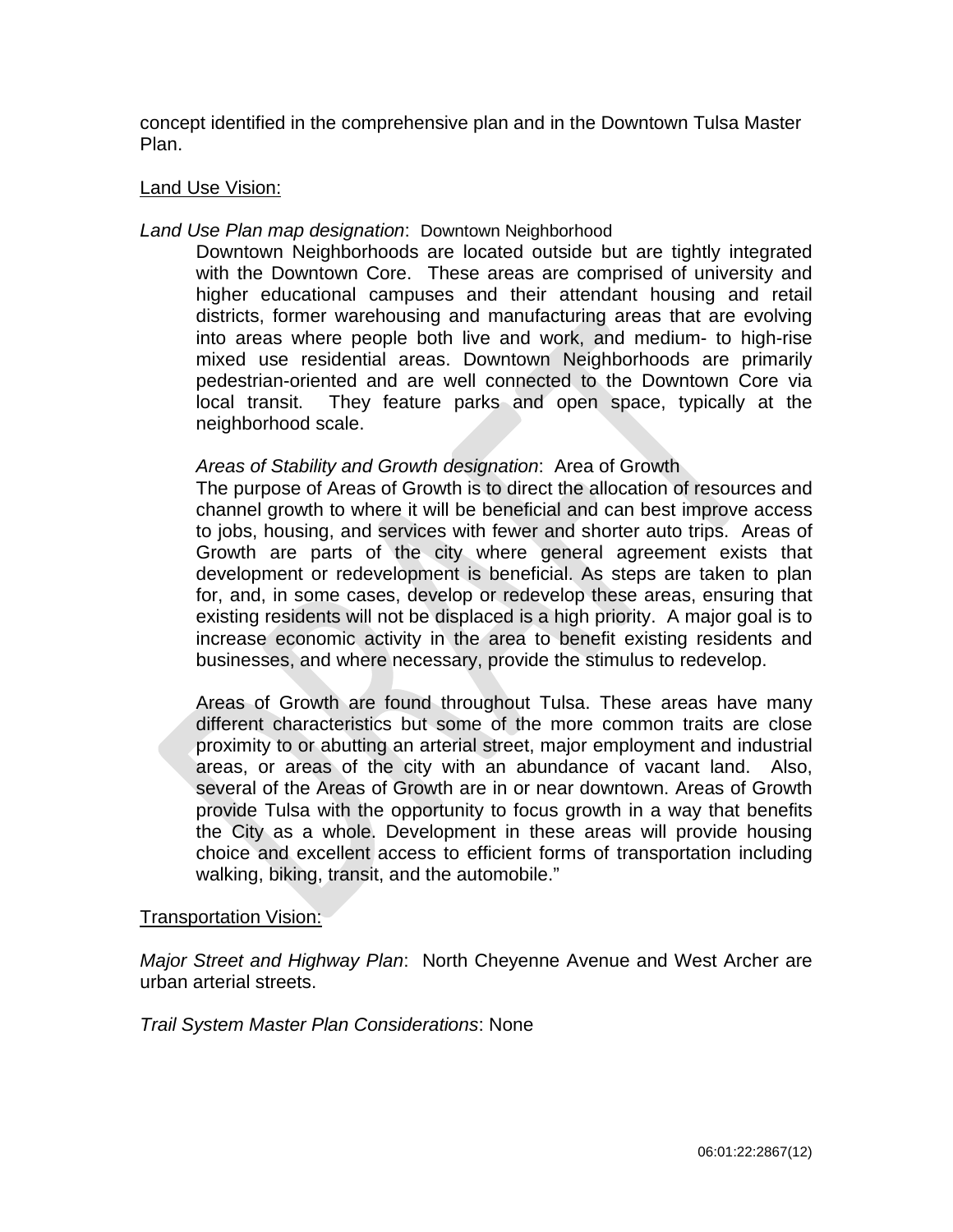concept identified in the comprehensive plan and in the Downtown Tulsa Master Plan.

# Land Use Vision:

# *Land Use Plan map designation*: Downtown Neighborhood

Downtown Neighborhoods are located outside but are tightly integrated with the Downtown Core. These areas are comprised of university and higher educational campuses and their attendant housing and retail districts, former warehousing and manufacturing areas that are evolving into areas where people both live and work, and medium- to high-rise mixed use residential areas. Downtown Neighborhoods are primarily pedestrian-oriented and are well connected to the Downtown Core via local transit. They feature parks and open space, typically at the neighborhood scale.

# *Areas of Stability and Growth designation*: Area of Growth

The purpose of Areas of Growth is to direct the allocation of resources and channel growth to where it will be beneficial and can best improve access to jobs, housing, and services with fewer and shorter auto trips. Areas of Growth are parts of the city where general agreement exists that development or redevelopment is beneficial. As steps are taken to plan for, and, in some cases, develop or redevelop these areas, ensuring that existing residents will not be displaced is a high priority. A major goal is to increase economic activity in the area to benefit existing residents and businesses, and where necessary, provide the stimulus to redevelop.

Areas of Growth are found throughout Tulsa. These areas have many different characteristics but some of the more common traits are close proximity to or abutting an arterial street, major employment and industrial areas, or areas of the city with an abundance of vacant land. Also, several of the Areas of Growth are in or near downtown. Areas of Growth provide Tulsa with the opportunity to focus growth in a way that benefits the City as a whole. Development in these areas will provide housing choice and excellent access to efficient forms of transportation including walking, biking, transit, and the automobile."

# Transportation Vision:

*Major Street and Highway Plan*: North Cheyenne Avenue and West Archer are urban arterial streets.

*Trail System Master Plan Considerations*: None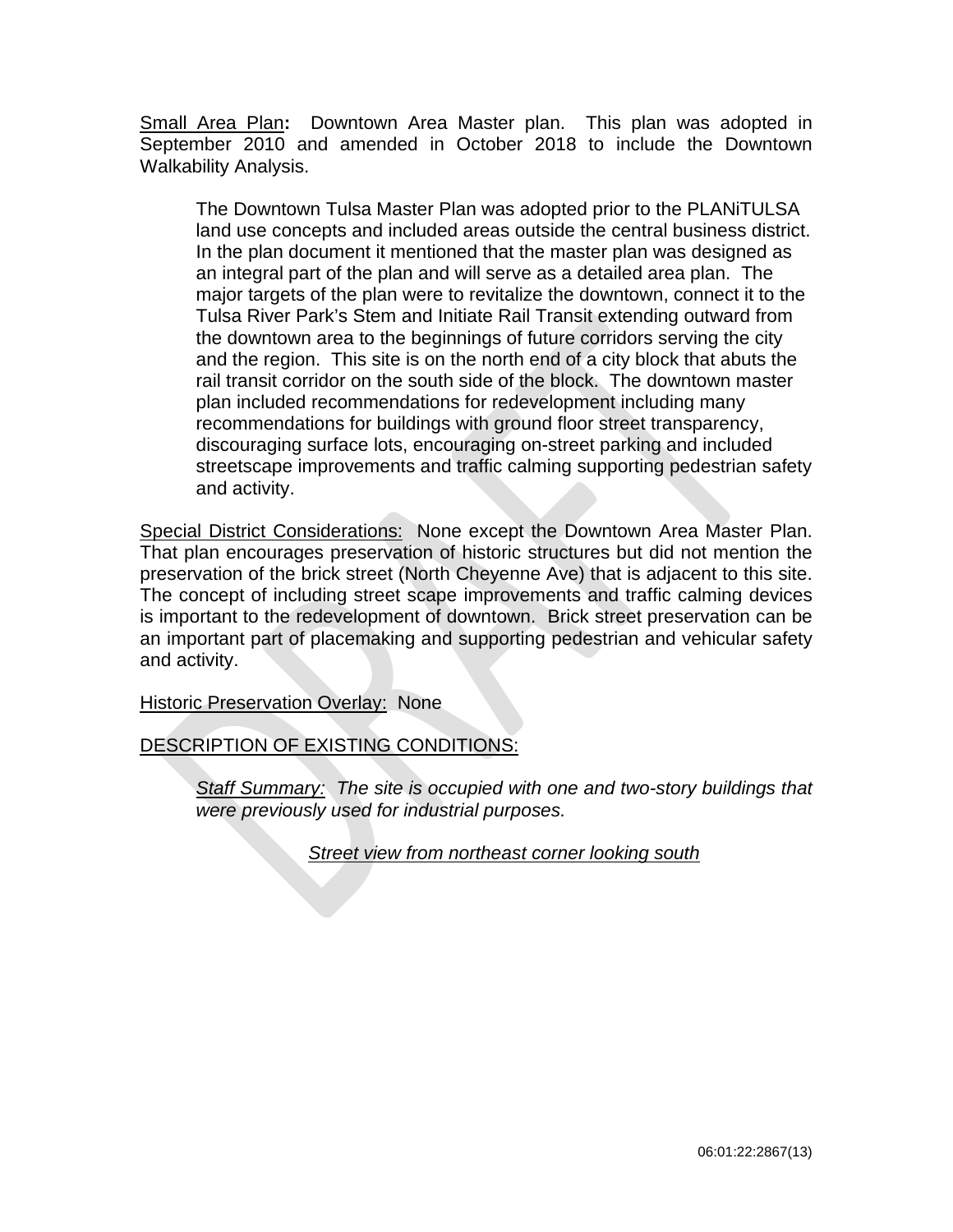Small Area Plan**:** Downtown Area Master plan. This plan was adopted in September 2010 and amended in October 2018 to include the Downtown Walkability Analysis.

The Downtown Tulsa Master Plan was adopted prior to the PLANiTULSA land use concepts and included areas outside the central business district. In the plan document it mentioned that the master plan was designed as an integral part of the plan and will serve as a detailed area plan. The major targets of the plan were to revitalize the downtown, connect it to the Tulsa River Park's Stem and Initiate Rail Transit extending outward from the downtown area to the beginnings of future corridors serving the city and the region. This site is on the north end of a city block that abuts the rail transit corridor on the south side of the block. The downtown master plan included recommendations for redevelopment including many recommendations for buildings with ground floor street transparency, discouraging surface lots, encouraging on-street parking and included streetscape improvements and traffic calming supporting pedestrian safety and activity.

Special District Considerations: None except the Downtown Area Master Plan. That plan encourages preservation of historic structures but did not mention the preservation of the brick street (North Cheyenne Ave) that is adjacent to this site. The concept of including street scape improvements and traffic calming devices is important to the redevelopment of downtown. Brick street preservation can be an important part of placemaking and supporting pedestrian and vehicular safety and activity.

Historic Preservation Overlay: None

DESCRIPTION OF EXISTING CONDITIONS:

*Staff Summary: The site is occupied with one and two-story buildings that were previously used for industrial purposes.*

*Street view from northeast corner looking south*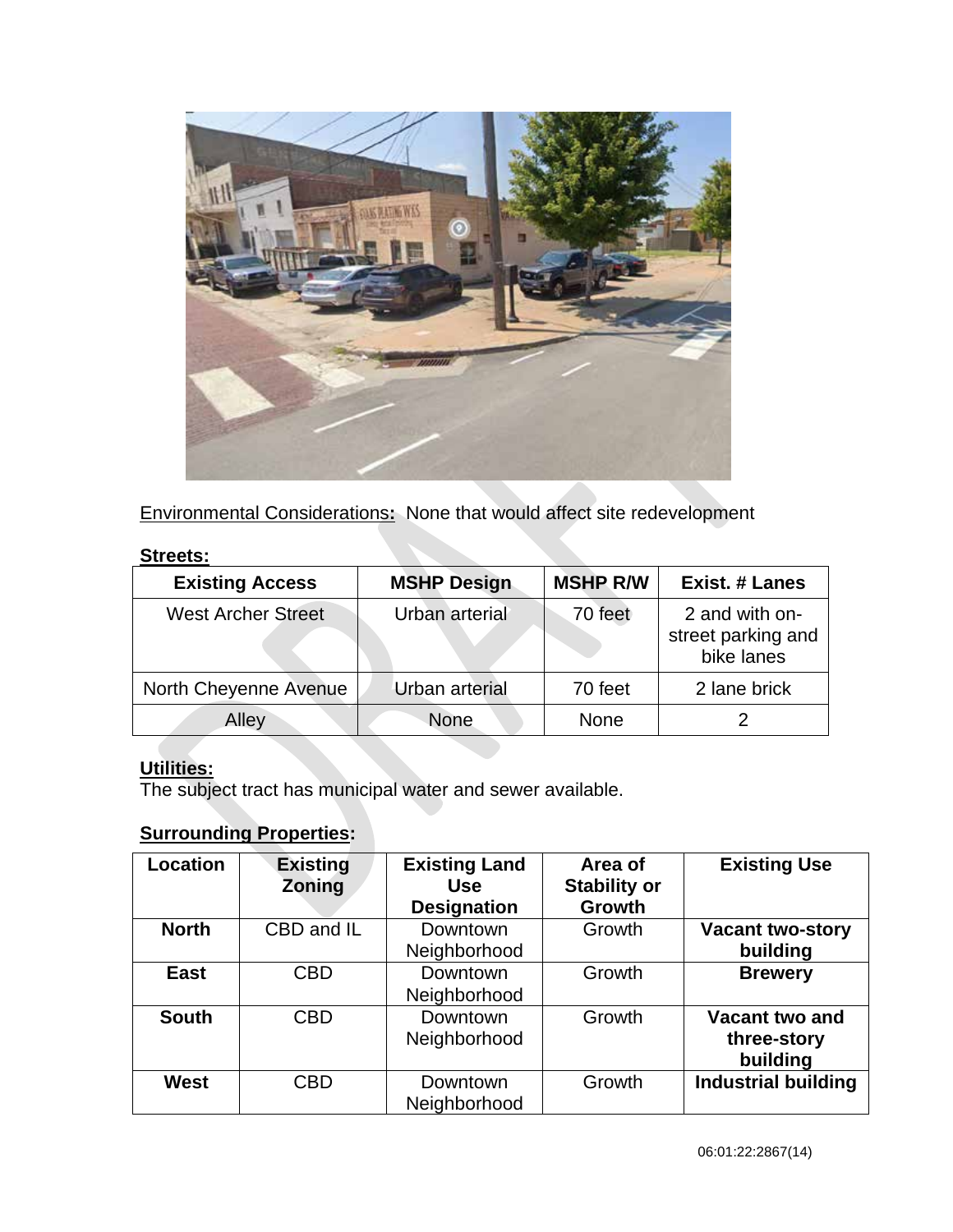

Environmental Considerations**:** None that would affect site redevelopment

# **Streets:**

| <b>Existing Access</b>    | <b>MSHP Design</b> | <b>MSHP R/W</b> | <b>Exist. # Lanes</b>                              |
|---------------------------|--------------------|-----------------|----------------------------------------------------|
| <b>West Archer Street</b> | Urban arterial     | 70 feet         | 2 and with on-<br>street parking and<br>bike lanes |
| North Cheyenne Avenue     | Urban arterial     | 70 feet         | 2 lane brick                                       |
| Alley                     | None               | <b>None</b>     |                                                    |

# **Utilities:**

The subject tract has municipal water and sewer available.

# **Surrounding Properties:**

| Location     | <b>Existing</b><br><b>Zoning</b> | <b>Existing Land</b><br>Use<br><b>Designation</b> | Area of<br><b>Stability or</b><br><b>Growth</b> | <b>Existing Use</b>                       |
|--------------|----------------------------------|---------------------------------------------------|-------------------------------------------------|-------------------------------------------|
| <b>North</b> | CBD and IL                       | Downtown<br>Neighborhood                          | Growth                                          | <b>Vacant two-story</b><br>building       |
| <b>East</b>  | <b>CBD</b>                       | Downtown<br>Neighborhood                          | Growth                                          | <b>Brewery</b>                            |
| <b>South</b> | <b>CBD</b>                       | Downtown<br>Neighborhood                          | Growth                                          | Vacant two and<br>three-story<br>building |
| <b>West</b>  | CBD                              | Downtown<br>Neighborhood                          | Growth                                          | <b>Industrial building</b>                |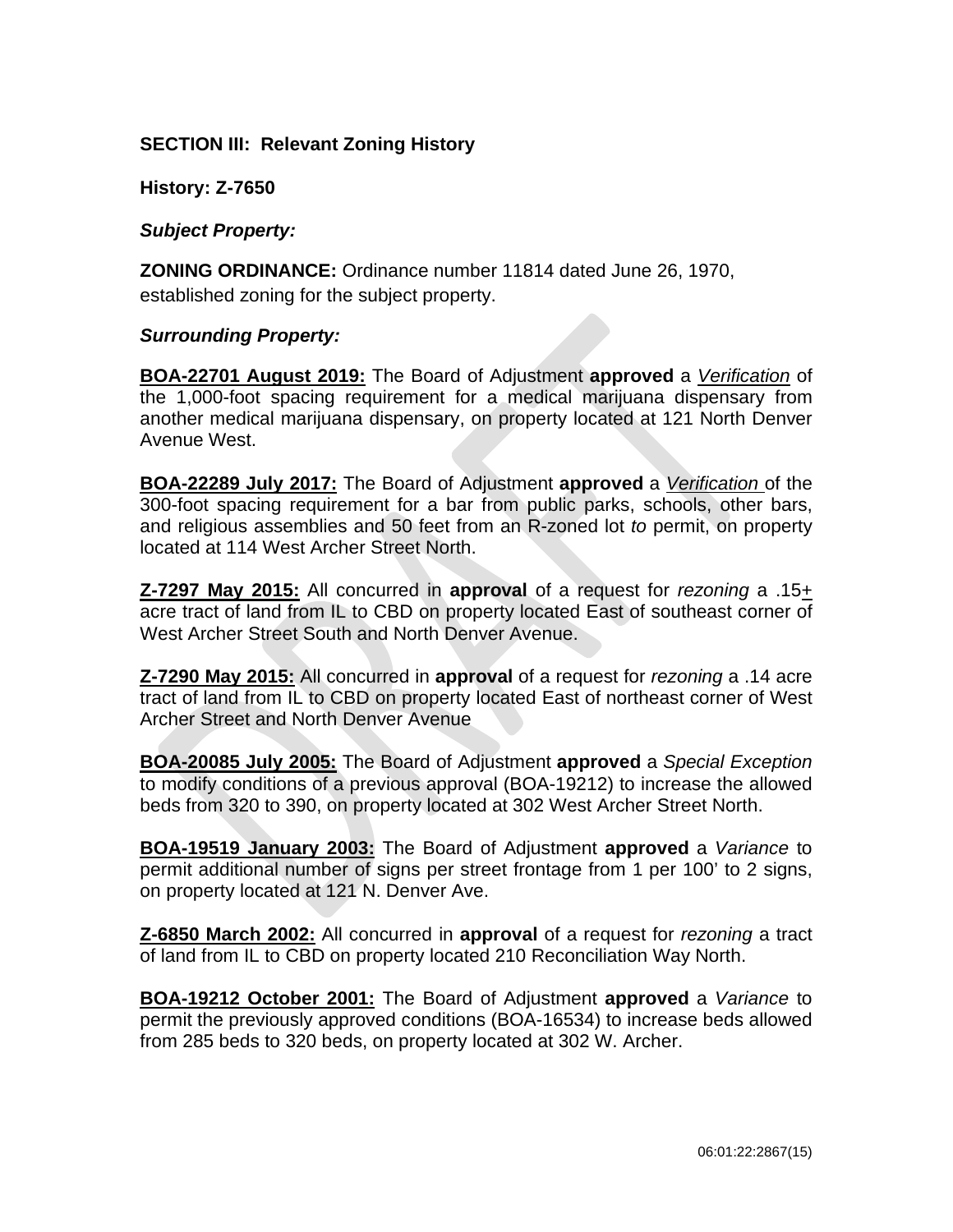# **SECTION III: Relevant Zoning History**

**History: Z-7650**

*Subject Property:* 

**ZONING ORDINANCE:** Ordinance number 11814 dated June 26, 1970, established zoning for the subject property.

# *Surrounding Property:*

**BOA-22701 August 2019:** The Board of Adjustment **approved** a *Verification* of the 1,000-foot spacing requirement for a medical marijuana dispensary from another medical marijuana dispensary, on property located at 121 North Denver Avenue West.

**BOA-22289 July 2017:** The Board of Adjustment **approved** a *Verification* of the 300-foot spacing requirement for a bar from public parks, schools, other bars, and religious assemblies and 50 feet from an R-zoned lot *to* permit, on property located at 114 West Archer Street North.

**Z-7297 May 2015:** All concurred in **approval** of a request for *rezoning* a .15+ acre tract of land from IL to CBD on property located East of southeast corner of West Archer Street South and North Denver Avenue.

**Z-7290 May 2015:** All concurred in **approval** of a request for *rezoning* a .14 acre tract of land from IL to CBD on property located East of northeast corner of West Archer Street and North Denver Avenue

**BOA-20085 July 2005:** The Board of Adjustment **approved** a *Special Exception* to modify conditions of a previous approval (BOA-19212) to increase the allowed beds from 320 to 390, on property located at 302 West Archer Street North.

**BOA-19519 January 2003:** The Board of Adjustment **approved** a *Variance* to permit additional number of signs per street frontage from 1 per 100' to 2 signs, on property located at 121 N. Denver Ave.

**Z-6850 March 2002:** All concurred in **approval** of a request for *rezoning* a tract of land from IL to CBD on property located 210 Reconciliation Way North.

**BOA-19212 October 2001:** The Board of Adjustment **approved** a *Variance* to permit the previously approved conditions (BOA-16534) to increase beds allowed from 285 beds to 320 beds, on property located at 302 W. Archer.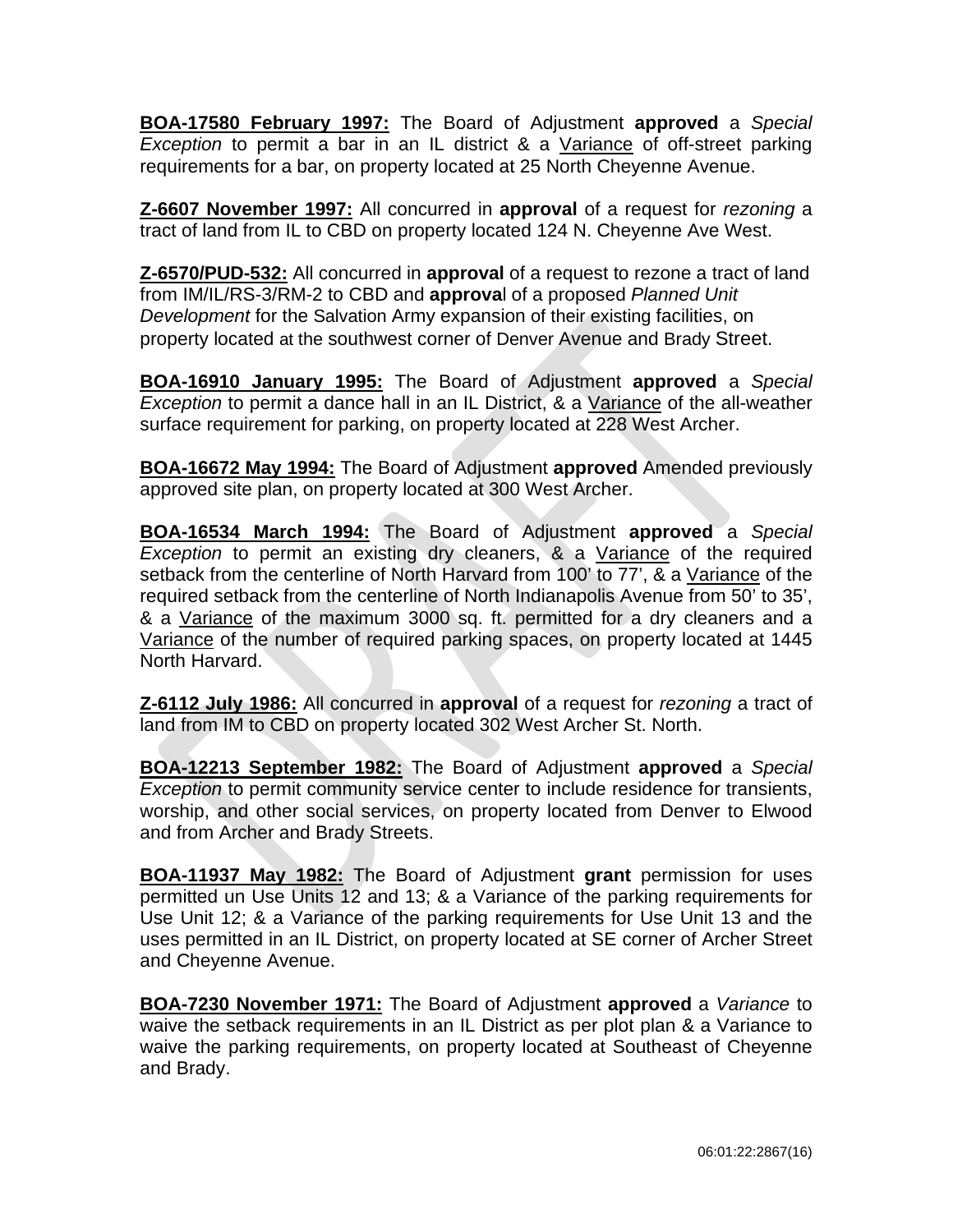**BOA-17580 February 1997:** The Board of Adjustment **approved** a *Special Exception* to permit a bar in an IL district & a Variance of off-street parking requirements for a bar, on property located at 25 North Cheyenne Avenue.

**Z-6607 November 1997:** All concurred in **approval** of a request for *rezoning* a tract of land from IL to CBD on property located 124 N. Cheyenne Ave West.

**Z-6570/PUD-532:** All concurred in **approval** of a request to rezone a tract of land from IM/IL/RS-3/RM-2 to CBD and **approva**l of a proposed *Planned Unit Development* for the Salvation Army expansion of their existing facilities, on property located at the southwest corner of Denver Avenue and Brady Street.

**BOA-16910 January 1995:** The Board of Adjustment **approved** a *Special Exception* to permit a dance hall in an IL District, & a Variance of the all-weather surface requirement for parking, on property located at 228 West Archer.

**BOA-16672 May 1994:** The Board of Adjustment **approved** Amended previously approved site plan, on property located at 300 West Archer.

**BOA-16534 March 1994:** The Board of Adjustment **approved** a *Special Exception* to permit an existing dry cleaners, & a Variance of the required setback from the centerline of North Harvard from 100' to 77', & a Variance of the required setback from the centerline of North Indianapolis Avenue from 50' to 35', & a Variance of the maximum 3000 sq. ft. permitted for a dry cleaners and a Variance of the number of required parking spaces, on property located at 1445 North Harvard.

**Z-6112 July 1986:** All concurred in **approval** of a request for *rezoning* a tract of land from IM to CBD on property located 302 West Archer St. North.

**BOA-12213 September 1982:** The Board of Adjustment **approved** a *Special Exception* to permit community service center to include residence for transients, worship, and other social services, on property located from Denver to Elwood and from Archer and Brady Streets.

**BOA-11937 May 1982:** The Board of Adjustment **grant** permission for uses permitted un Use Units 12 and 13; & a Variance of the parking requirements for Use Unit 12; & a Variance of the parking requirements for Use Unit 13 and the uses permitted in an IL District, on property located at SE corner of Archer Street and Cheyenne Avenue.

**BOA-7230 November 1971:** The Board of Adjustment **approved** a *Variance* to waive the setback requirements in an IL District as per plot plan & a Variance to waive the parking requirements, on property located at Southeast of Cheyenne and Brady.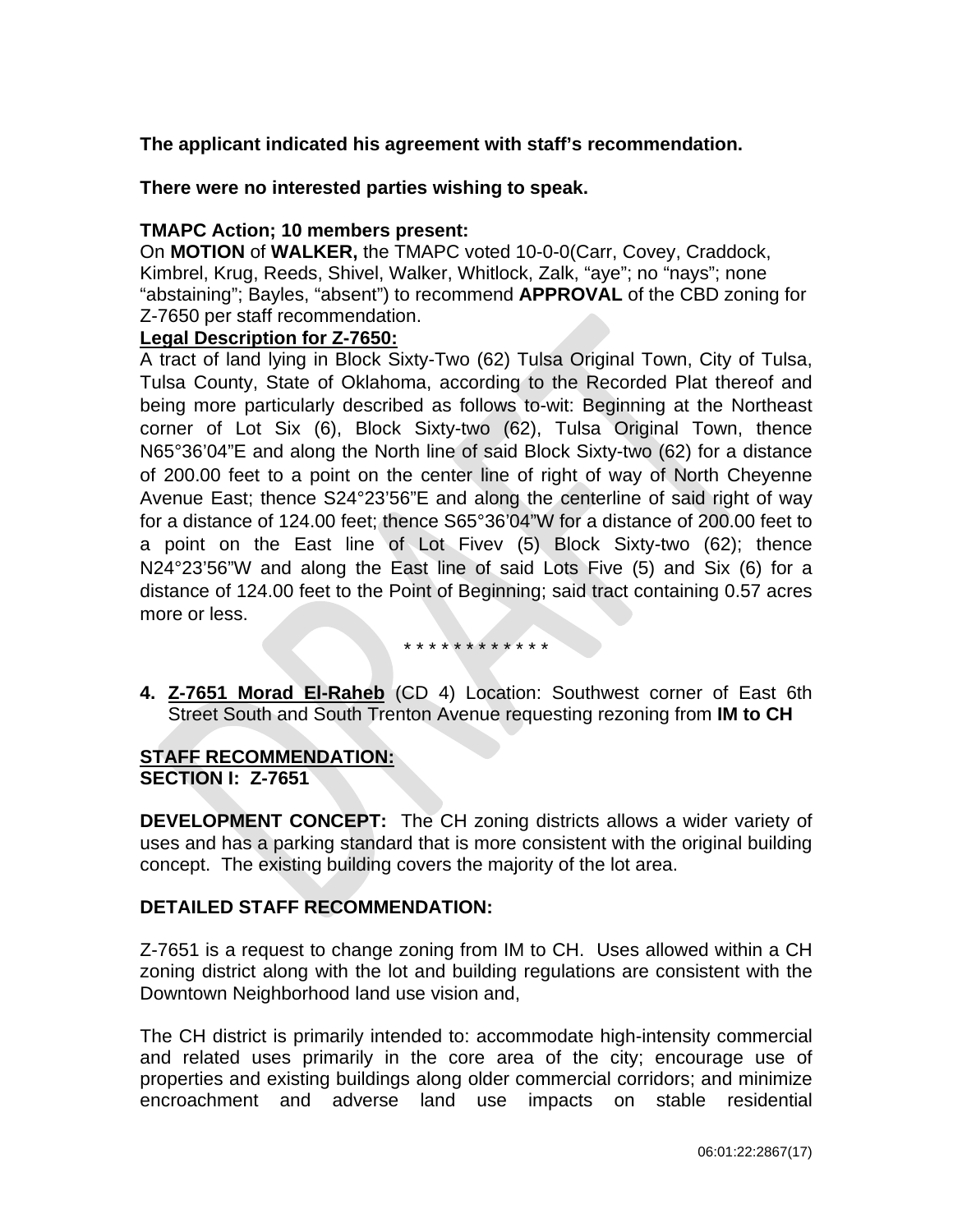# **The applicant indicated his agreement with staff's recommendation.**

**There were no interested parties wishing to speak.**

# **TMAPC Action; 10 members present:**

On **MOTION** of **WALKER,** the TMAPC voted 10-0-0(Carr, Covey, Craddock, Kimbrel, Krug, Reeds, Shivel, Walker, Whitlock, Zalk, "aye"; no "nays"; none "abstaining"; Bayles, "absent") to recommend **APPROVAL** of the CBD zoning for Z-7650 per staff recommendation.

# **Legal Description for Z-7650:**

A tract of land lying in Block Sixty-Two (62) Tulsa Original Town, City of Tulsa, Tulsa County, State of Oklahoma, according to the Recorded Plat thereof and being more particularly described as follows to-wit: Beginning at the Northeast corner of Lot Six (6), Block Sixty-two (62), Tulsa Original Town, thence N65°36'04"E and along the North line of said Block Sixty-two (62) for a distance of 200.00 feet to a point on the center line of right of way of North Cheyenne Avenue East; thence S24°23'56"E and along the centerline of said right of way for a distance of 124.00 feet; thence S65°36'04"W for a distance of 200.00 feet to a point on the East line of Lot Fivev (5) Block Sixty-two (62); thence N24°23'56"W and along the East line of said Lots Five (5) and Six (6) for a distance of 124.00 feet to the Point of Beginning; said tract containing 0.57 acres more or less.

#### \* \* \* \* \* \* \* \* \* \* \*

**4. Z-7651 Morad El-Raheb** (CD 4) Location: Southwest corner of East 6th Street South and South Trenton Avenue requesting rezoning from **IM to CH**

# **STAFF RECOMMENDATION: SECTION I: Z-7651**

**DEVELOPMENT CONCEPT:** The CH zoning districts allows a wider variety of uses and has a parking standard that is more consistent with the original building concept. The existing building covers the majority of the lot area.

# **DETAILED STAFF RECOMMENDATION:**

Z-7651 is a request to change zoning from IM to CH. Uses allowed within a CH zoning district along with the lot and building regulations are consistent with the Downtown Neighborhood land use vision and,

The CH district is primarily intended to: accommodate high-intensity commercial and related uses primarily in the core area of the city; encourage use of properties and existing buildings along older commercial corridors; and minimize encroachment and adverse land use impacts on stable residential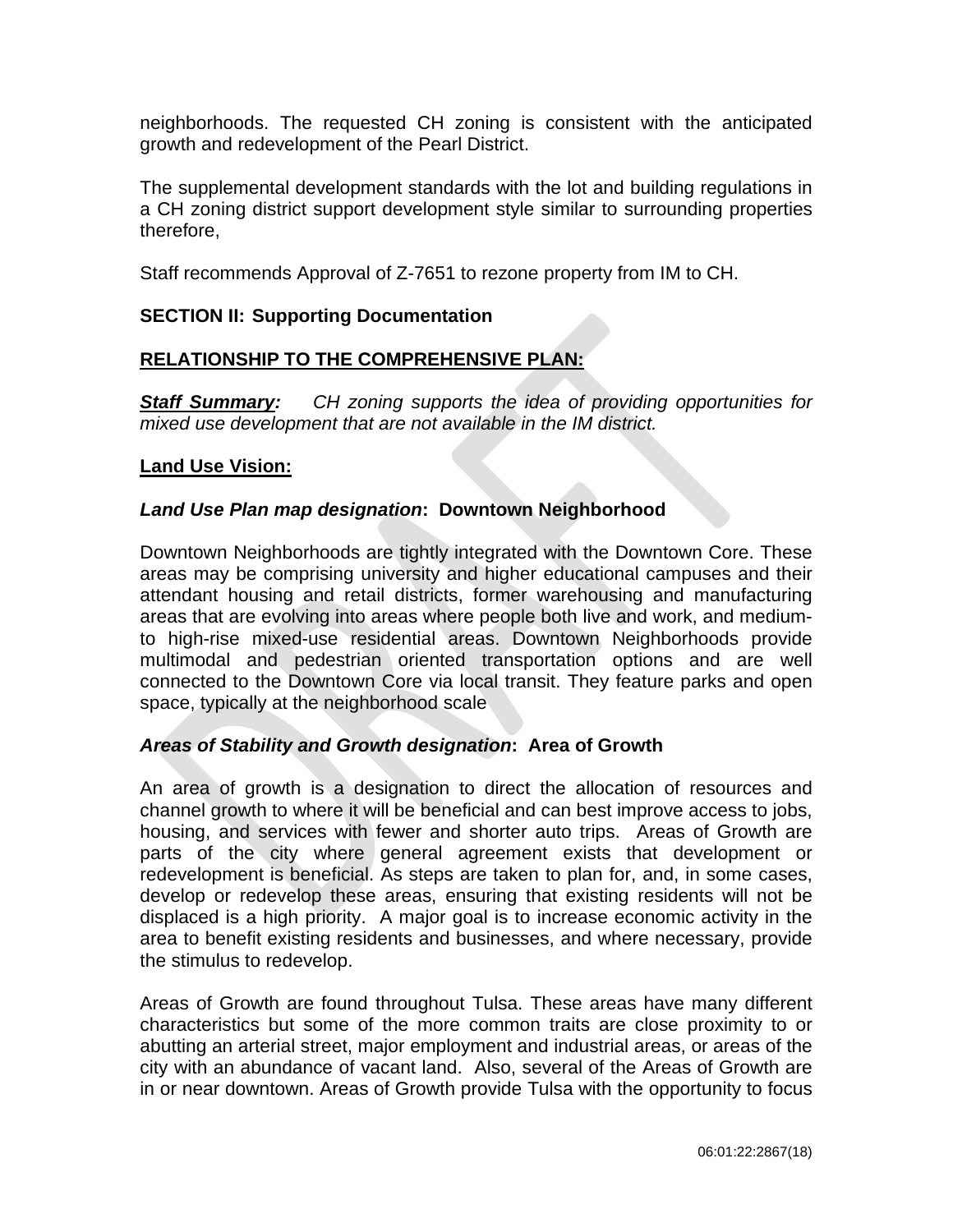neighborhoods. The requested CH zoning is consistent with the anticipated growth and redevelopment of the Pearl District.

The supplemental development standards with the lot and building regulations in a CH zoning district support development style similar to surrounding properties therefore,

Staff recommends Approval of Z-7651 to rezone property from IM to CH.

# **SECTION II: Supporting Documentation**

# **RELATIONSHIP TO THE COMPREHENSIVE PLAN:**

*Staff Summary: CH zoning supports the idea of providing opportunities for mixed use development that are not available in the IM district.* 

# **Land Use Vision:**

# *Land Use Plan map designation***: Downtown Neighborhood**

Downtown Neighborhoods are tightly integrated with the Downtown Core. These areas may be comprising university and higher educational campuses and their attendant housing and retail districts, former warehousing and manufacturing areas that are evolving into areas where people both live and work, and mediumto high-rise mixed-use residential areas. Downtown Neighborhoods provide multimodal and pedestrian oriented transportation options and are well connected to the Downtown Core via local transit. They feature parks and open space, typically at the neighborhood scale

# *Areas of Stability and Growth designation***: Area of Growth**

An area of growth is a designation to direct the allocation of resources and channel growth to where it will be beneficial and can best improve access to jobs, housing, and services with fewer and shorter auto trips. Areas of Growth are parts of the city where general agreement exists that development or redevelopment is beneficial. As steps are taken to plan for, and, in some cases, develop or redevelop these areas, ensuring that existing residents will not be displaced is a high priority. A major goal is to increase economic activity in the area to benefit existing residents and businesses, and where necessary, provide the stimulus to redevelop.

Areas of Growth are found throughout Tulsa. These areas have many different characteristics but some of the more common traits are close proximity to or abutting an arterial street, major employment and industrial areas, or areas of the city with an abundance of vacant land. Also, several of the Areas of Growth are in or near downtown. Areas of Growth provide Tulsa with the opportunity to focus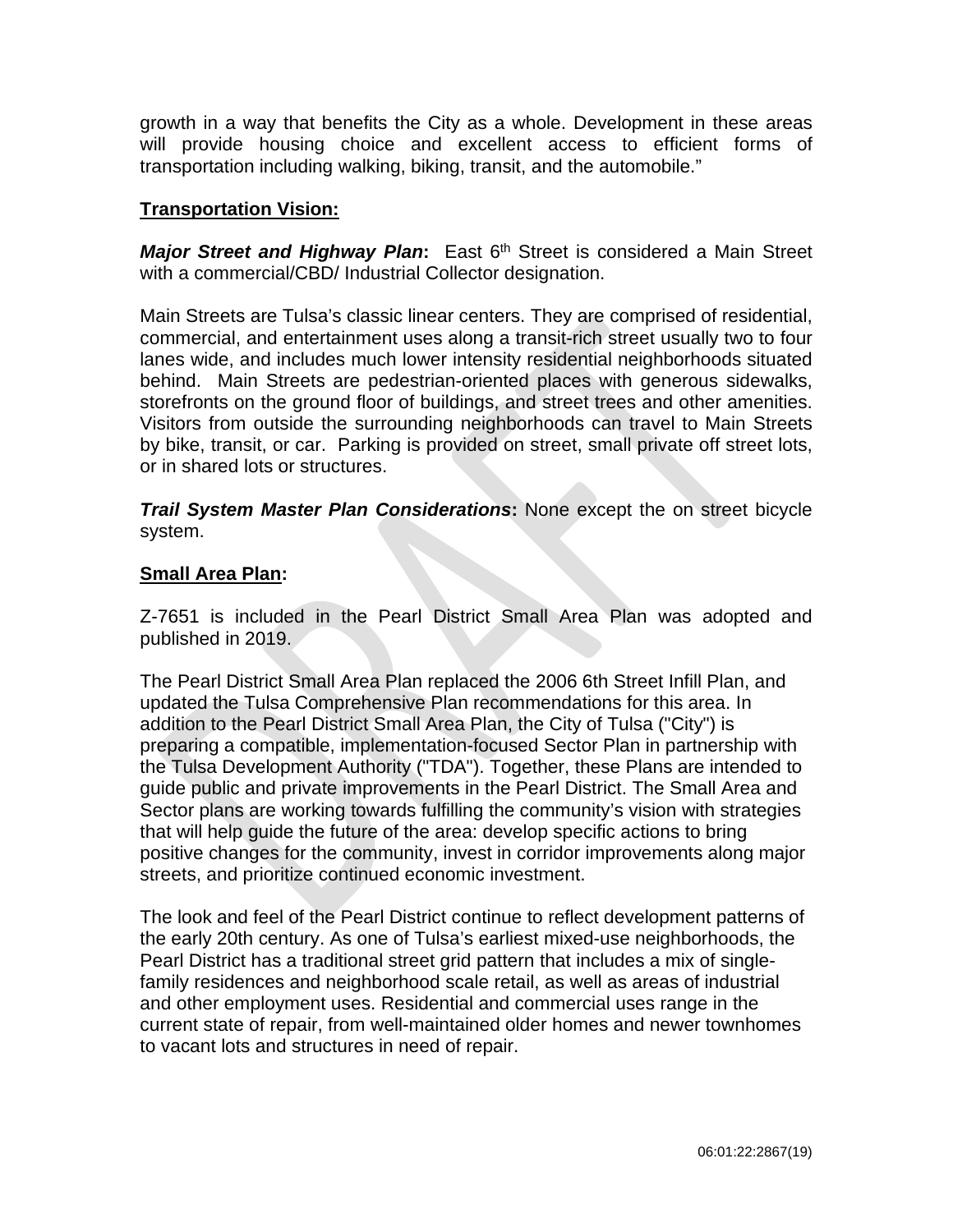growth in a way that benefits the City as a whole. Development in these areas will provide housing choice and excellent access to efficient forms of transportation including walking, biking, transit, and the automobile."

# **Transportation Vision:**

*Major Street and Highway Plan*: East 6<sup>th</sup> Street is considered a Main Street with a commercial/CBD/ Industrial Collector designation.

Main Streets are Tulsa's classic linear centers. They are comprised of residential, commercial, and entertainment uses along a transit-rich street usually two to four lanes wide, and includes much lower intensity residential neighborhoods situated behind. Main Streets are pedestrian-oriented places with generous sidewalks, storefronts on the ground floor of buildings, and street trees and other amenities. Visitors from outside the surrounding neighborhoods can travel to Main Streets by bike, transit, or car. Parking is provided on street, small private off street lots, or in shared lots or structures.

*Trail System Master Plan Considerations***:** None except the on street bicycle system.

# **Small Area Plan:**

Z-7651 is included in the Pearl District Small Area Plan was adopted and published in 2019.

The Pearl District Small Area Plan replaced the 2006 6th Street Infill Plan, and updated the Tulsa Comprehensive Plan recommendations for this area. In addition to the Pearl District Small Area Plan, the City of Tulsa ("City") is preparing a compatible, implementation-focused Sector Plan in partnership with the Tulsa Development Authority ("TDA"). Together, these Plans are intended to guide public and private improvements in the Pearl District. The Small Area and Sector plans are working towards fulfilling the community's vision with strategies that will help guide the future of the area: develop specific actions to bring positive changes for the community, invest in corridor improvements along major streets, and prioritize continued economic investment.

The look and feel of the Pearl District continue to reflect development patterns of the early 20th century. As one of Tulsa's earliest mixed-use neighborhoods, the Pearl District has a traditional street grid pattern that includes a mix of singlefamily residences and neighborhood scale retail, as well as areas of industrial and other employment uses. Residential and commercial uses range in the current state of repair, from well-maintained older homes and newer townhomes to vacant lots and structures in need of repair.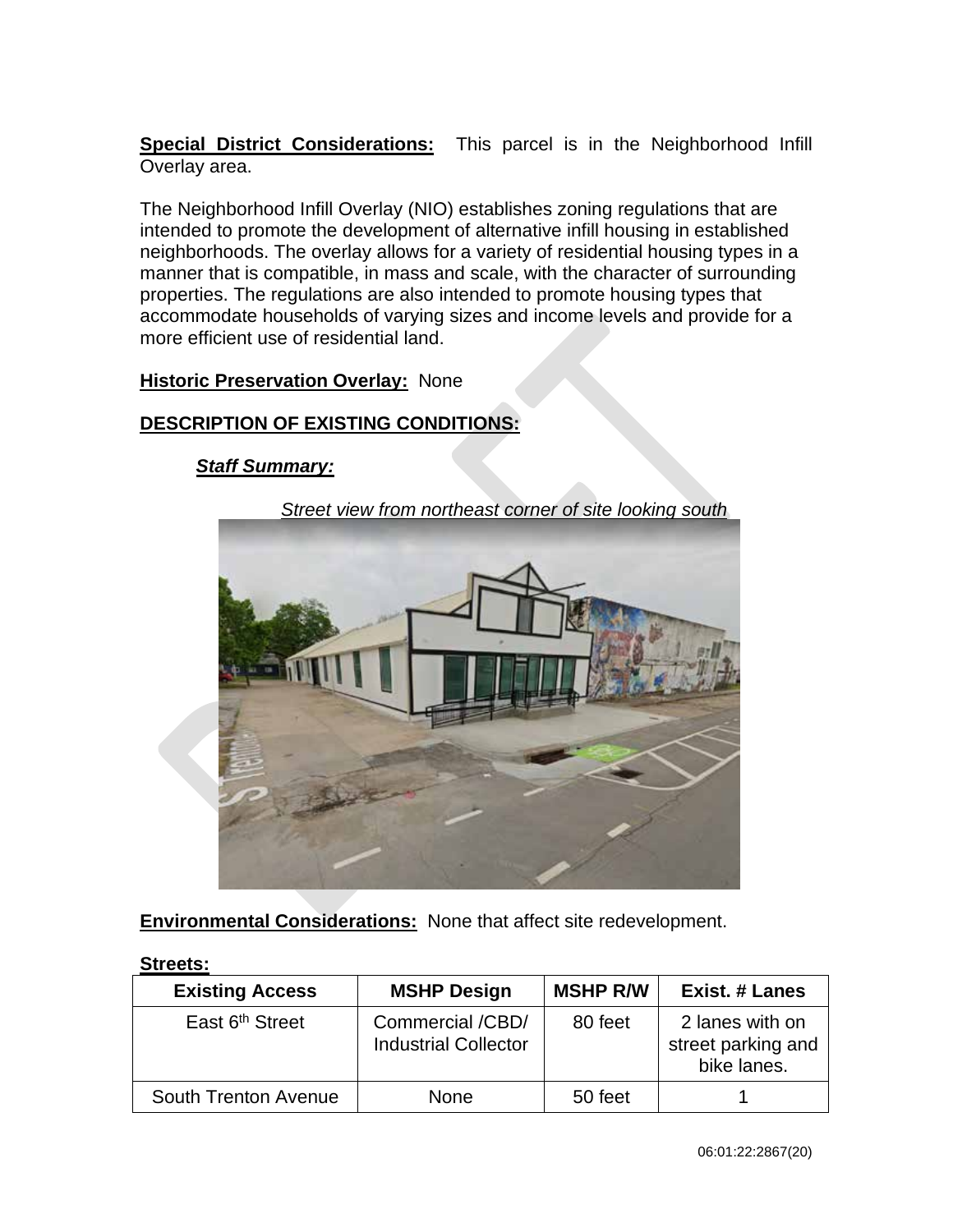**Special District Considerations:** This parcel is in the Neighborhood Infill Overlay area.

The Neighborhood Infill Overlay (NIO) establishes zoning regulations that are intended to promote the development of alternative infill housing in established neighborhoods. The overlay allows for a variety of residential housing types in a manner that is compatible, in mass and scale, with the character of surrounding properties. The regulations are also intended to promote housing types that accommodate households of varying sizes and income levels and provide for a more efficient use of residential land.

# **Historic Preservation Overlay: None**

# **DESCRIPTION OF EXISTING CONDITIONS:**

# *Staff Summary:*

*Street view from northeast corner of site looking south*



**Environmental Considerations:** None that affect site redevelopment.

| <b>Existing Access</b>      | <b>MSHP Design</b>                              | <b>MSHP R/W</b> | <b>Exist. # Lanes</b>                                |
|-----------------------------|-------------------------------------------------|-----------------|------------------------------------------------------|
| East 6 <sup>th</sup> Street | Commercial /CBD/<br><b>Industrial Collector</b> | 80 feet         | 2 lanes with on<br>street parking and<br>bike lanes. |
| <b>South Trenton Avenue</b> | <b>None</b>                                     | 50 feet         |                                                      |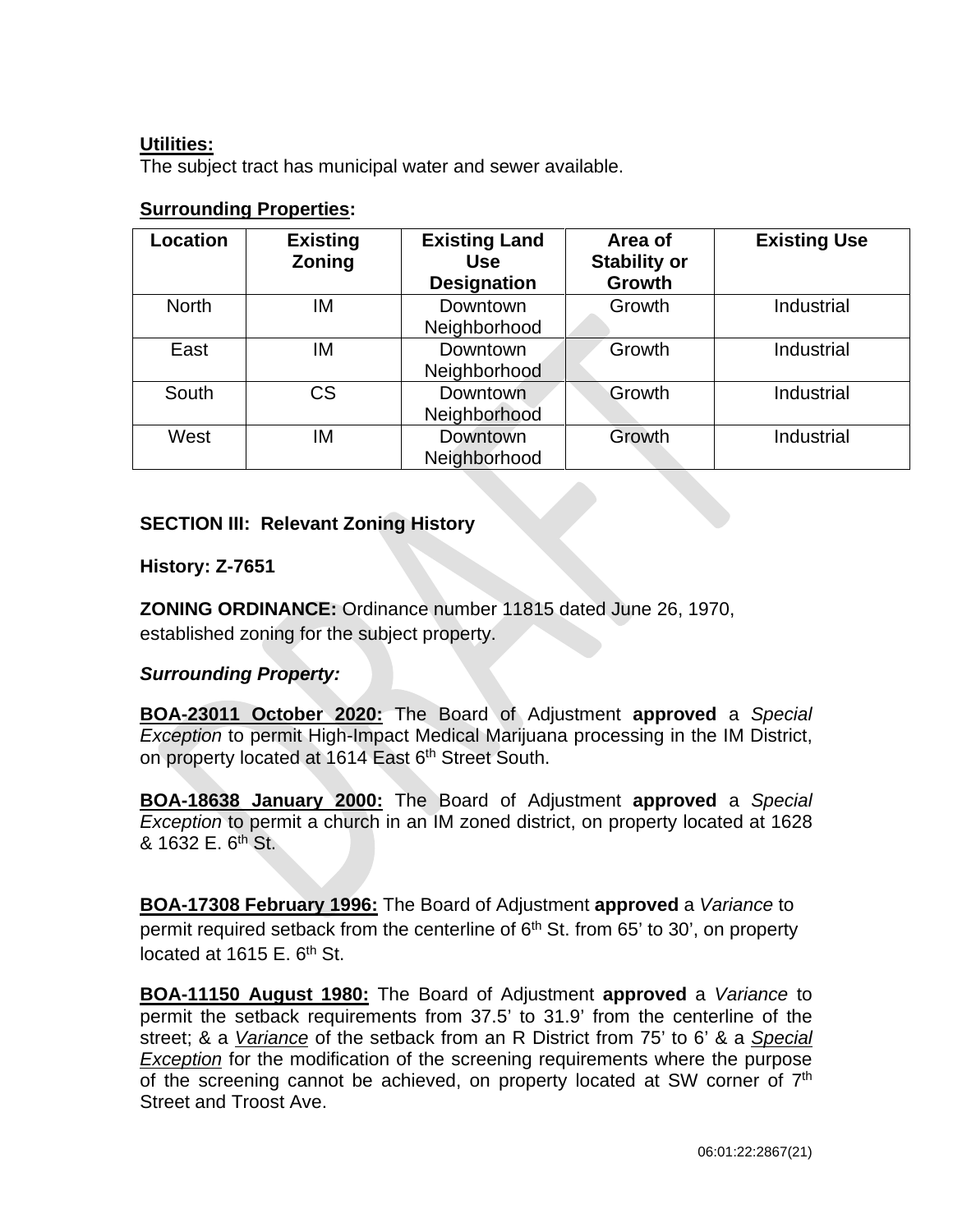# **Utilities:**

The subject tract has municipal water and sewer available.

|--|

| Location     | <b>Existing</b><br>Zoning | <b>Existing Land</b><br><b>Use</b><br><b>Designation</b> | Area of<br><b>Stability or</b><br>Growth | <b>Existing Use</b> |
|--------------|---------------------------|----------------------------------------------------------|------------------------------------------|---------------------|
| <b>North</b> | IM                        | Downtown<br>Neighborhood                                 | Growth                                   | Industrial          |
| East         | ΙM                        | Downtown<br>Neighborhood                                 | Growth                                   | Industrial          |
| South        | CS                        | Downtown<br>Neighborhood                                 | Growth                                   | Industrial          |
| West         | IM                        | Downtown<br>Neighborhood                                 | Growth                                   | Industrial          |

# **SECTION III: Relevant Zoning History**

# **History: Z-7651**

**ZONING ORDINANCE:** Ordinance number 11815 dated June 26, 1970, established zoning for the subject property.

# *Surrounding Property:*

**BOA-23011 October 2020:** The Board of Adjustment **approved** a *Special*  **Exception to permit High-Impact Medical Marijuana processing in the IM District,** on property located at 1614 East 6<sup>th</sup> Street South.

**BOA-18638 January 2000:** The Board of Adjustment **approved** a *Special Exception* to permit a church in an IM zoned district, on property located at 1628  $8.1632 \text{ F. } 6^{\text{th}} \text{ St.}$ 

**BOA-17308 February 1996:** The Board of Adjustment **approved** a *Variance* to permit required setback from the centerline of  $6<sup>th</sup>$  St. from 65' to 30', on property located at  $1615$  E.  $6<sup>th</sup>$  St.

**BOA-11150 August 1980:** The Board of Adjustment **approved** a *Variance* to permit the setback requirements from 37.5' to 31.9' from the centerline of the street; & a *Variance* of the setback from an R District from 75' to 6' & a *Special Exception* for the modification of the screening requirements where the purpose of the screening cannot be achieved, on property located at SW corner of 7<sup>th</sup> Street and Troost Ave.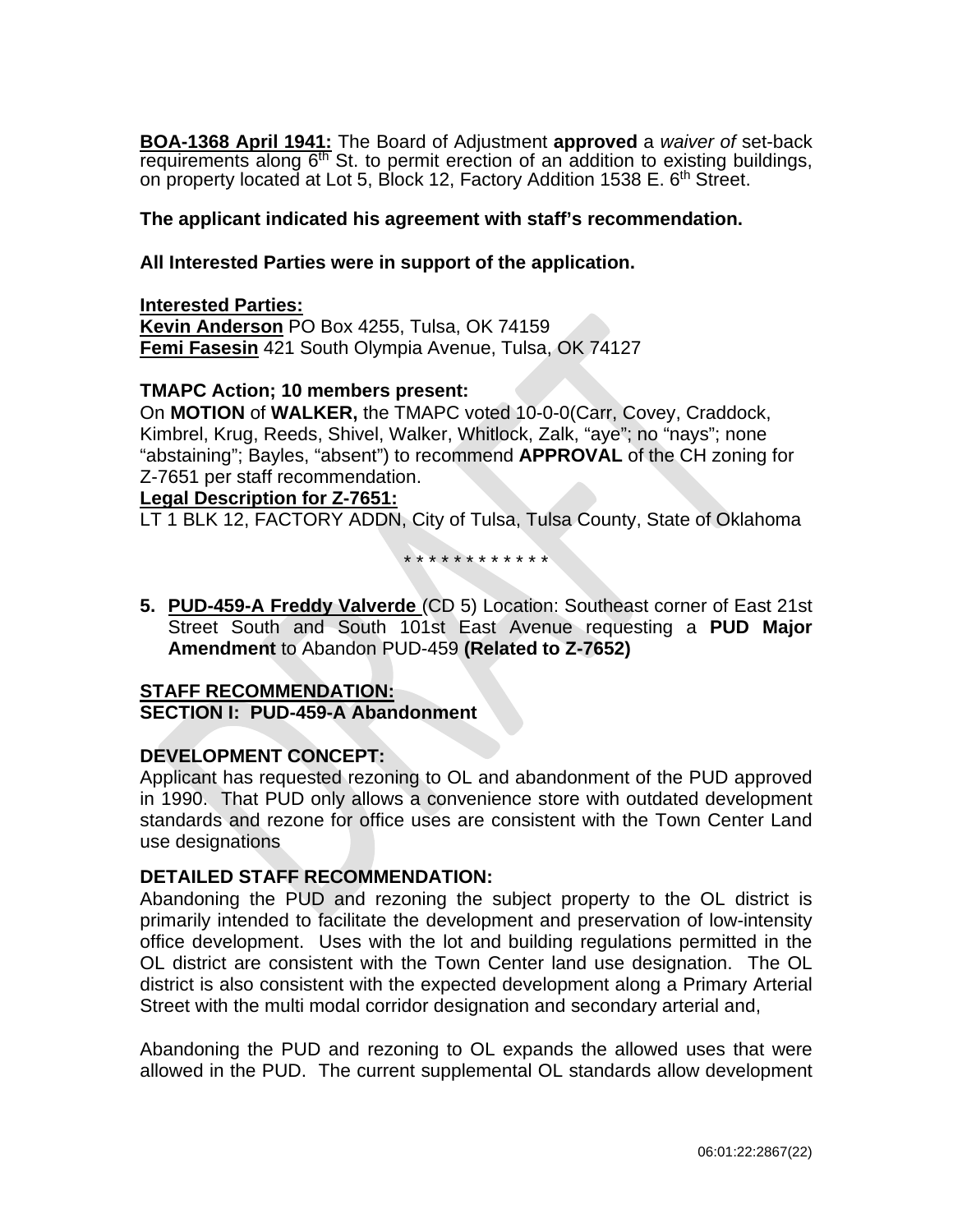**BOA-1368 April 1941:** The Board of Adjustment **approved** a *waiver of* set-back requirements along  $6<sup>th</sup>$  St. to permit erection of an addition to existing buildings, on property located at Lot 5, Block 12, Factory Addition 1538 E. 6<sup>th</sup> Street.

# **The applicant indicated his agreement with staff's recommendation.**

### **All Interested Parties were in support of the application.**

### **Interested Parties:**

**Kevin Anderson** PO Box 4255, Tulsa, OK 74159 **Femi Fasesin** 421 South Olympia Avenue, Tulsa, OK 74127

### **TMAPC Action; 10 members present:**

On **MOTION** of **WALKER,** the TMAPC voted 10-0-0(Carr, Covey, Craddock, Kimbrel, Krug, Reeds, Shivel, Walker, Whitlock, Zalk, "aye"; no "nays"; none "abstaining"; Bayles, "absent") to recommend **APPROVAL** of the CH zoning for Z-7651 per staff recommendation.

### **Legal Description for Z-7651:**

LT 1 BLK 12, FACTORY ADDN, City of Tulsa, Tulsa County, State of Oklahoma

\* \* \* \* \* \* \* \* \* \* \* \*

**5. PUD-459-A Freddy Valverde** (CD 5) Location: Southeast corner of East 21st Street South and South 101st East Avenue requesting a **PUD Major Amendment** to Abandon PUD-459 **(Related to Z-7652)**

# **STAFF RECOMMENDATION:**

### **SECTION I: PUD-459-A Abandonment**

# **DEVELOPMENT CONCEPT:**

Applicant has requested rezoning to OL and abandonment of the PUD approved in 1990. That PUD only allows a convenience store with outdated development standards and rezone for office uses are consistent with the Town Center Land use designations

### **DETAILED STAFF RECOMMENDATION:**

Abandoning the PUD and rezoning the subject property to the OL district is primarily intended to facilitate the development and preservation of low-intensity office development. Uses with the lot and building regulations permitted in the OL district are consistent with the Town Center land use designation. The OL district is also consistent with the expected development along a Primary Arterial Street with the multi modal corridor designation and secondary arterial and,

Abandoning the PUD and rezoning to OL expands the allowed uses that were allowed in the PUD. The current supplemental OL standards allow development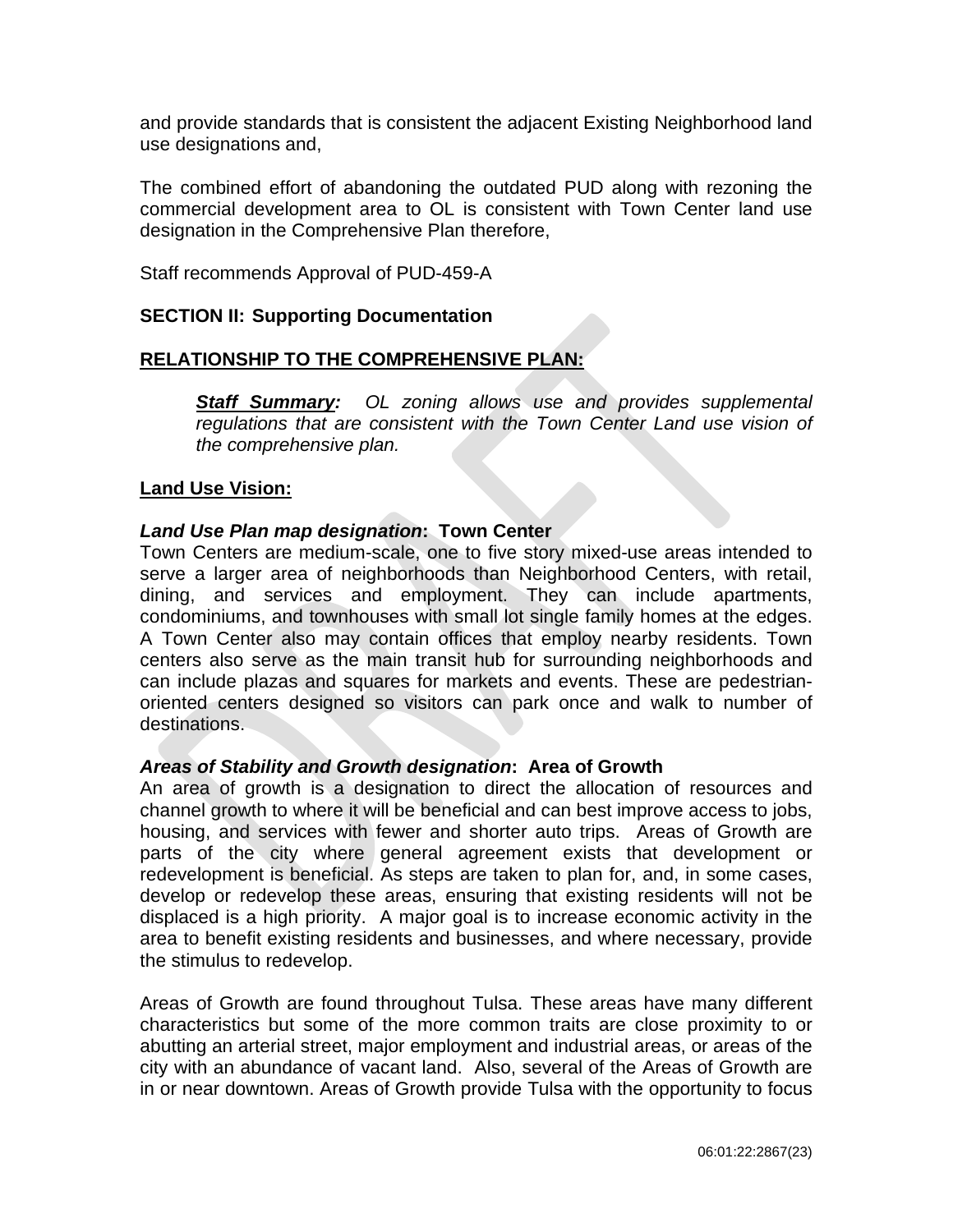and provide standards that is consistent the adjacent Existing Neighborhood land use designations and,

The combined effort of abandoning the outdated PUD along with rezoning the commercial development area to OL is consistent with Town Center land use designation in the Comprehensive Plan therefore,

Staff recommends Approval of PUD-459-A

# **SECTION II: Supporting Documentation**

# **RELATIONSHIP TO THE COMPREHENSIVE PLAN:**

*Staff Summary: OL zoning allows use and provides supplemental regulations that are consistent with the Town Center Land use vision of the comprehensive plan.* 

### **Land Use Vision:**

### *Land Use Plan map designation***: Town Center**

Town Centers are medium-scale, one to five story mixed-use areas intended to serve a larger area of neighborhoods than Neighborhood Centers, with retail, dining, and services and employment. They can include apartments, condominiums, and townhouses with small lot single family homes at the edges. A Town Center also may contain offices that employ nearby residents. Town centers also serve as the main transit hub for surrounding neighborhoods and can include plazas and squares for markets and events. These are pedestrianoriented centers designed so visitors can park once and walk to number of destinations.

### *Areas of Stability and Growth designation***: Area of Growth**

An area of growth is a designation to direct the allocation of resources and channel growth to where it will be beneficial and can best improve access to jobs, housing, and services with fewer and shorter auto trips. Areas of Growth are parts of the city where general agreement exists that development or redevelopment is beneficial. As steps are taken to plan for, and, in some cases, develop or redevelop these areas, ensuring that existing residents will not be displaced is a high priority. A major goal is to increase economic activity in the area to benefit existing residents and businesses, and where necessary, provide the stimulus to redevelop.

Areas of Growth are found throughout Tulsa. These areas have many different characteristics but some of the more common traits are close proximity to or abutting an arterial street, major employment and industrial areas, or areas of the city with an abundance of vacant land. Also, several of the Areas of Growth are in or near downtown. Areas of Growth provide Tulsa with the opportunity to focus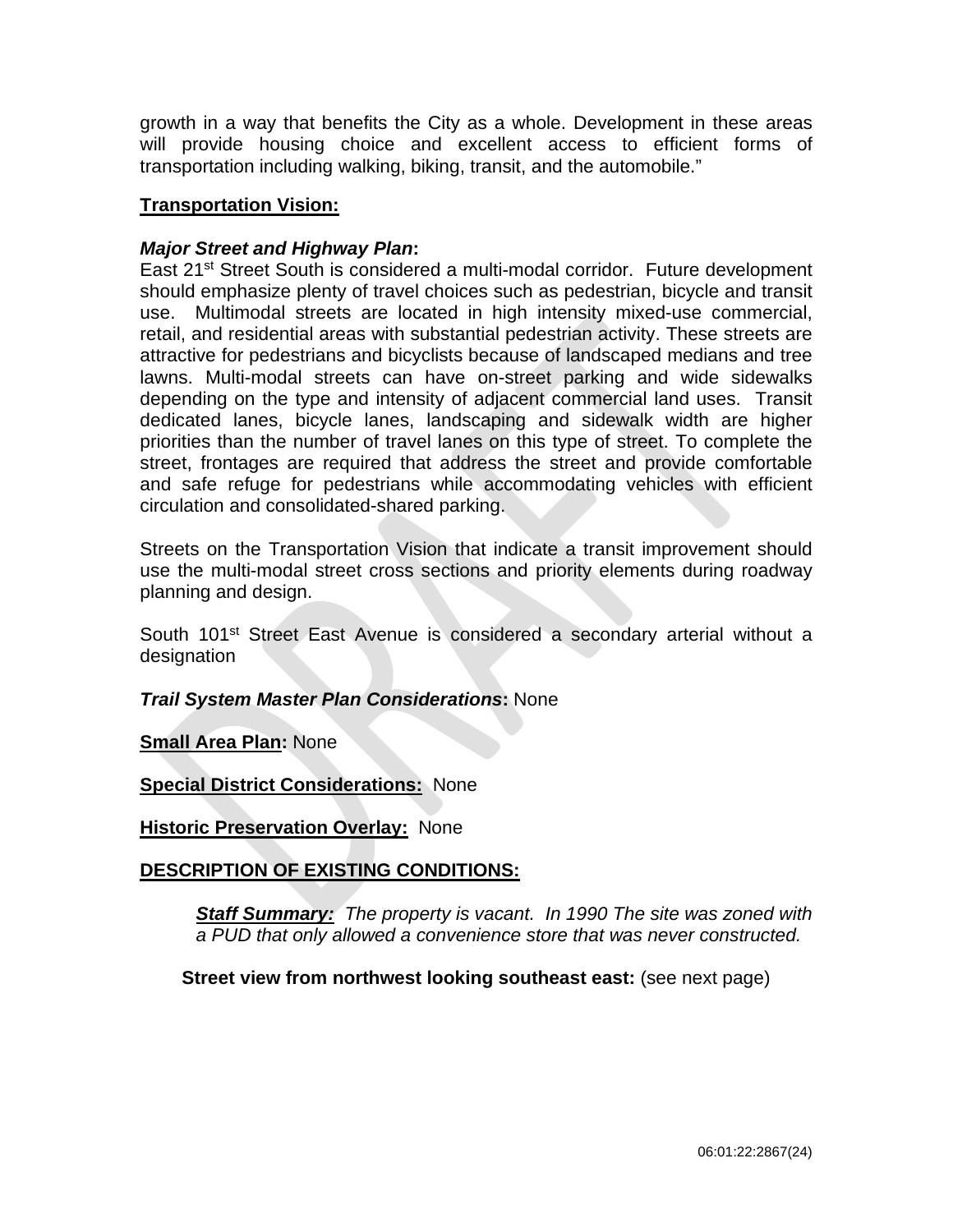growth in a way that benefits the City as a whole. Development in these areas will provide housing choice and excellent access to efficient forms of transportation including walking, biking, transit, and the automobile."

# **Transportation Vision:**

# *Major Street and Highway Plan***:**

East 21<sup>st</sup> Street South is considered a multi-modal corridor. Future development should emphasize plenty of travel choices such as pedestrian, bicycle and transit use. Multimodal streets are located in high intensity mixed-use commercial, retail, and residential areas with substantial pedestrian activity. These streets are attractive for pedestrians and bicyclists because of landscaped medians and tree lawns. Multi-modal streets can have on-street parking and wide sidewalks depending on the type and intensity of adjacent commercial land uses. Transit dedicated lanes, bicycle lanes, landscaping and sidewalk width are higher priorities than the number of travel lanes on this type of street. To complete the street, frontages are required that address the street and provide comfortable and safe refuge for pedestrians while accommodating vehicles with efficient circulation and consolidated-shared parking.

Streets on the Transportation Vision that indicate a transit improvement should use the multi-modal street cross sections and priority elements during roadway planning and design.

South 101<sup>st</sup> Street East Avenue is considered a secondary arterial without a designation

*Trail System Master Plan Considerations***:** None

**Small Area Plan:** None

**Special District Considerations:** None

**Historic Preservation Overlay:** None

# **DESCRIPTION OF EXISTING CONDITIONS:**

*Staff Summary: The property is vacant. In 1990 The site was zoned with a PUD that only allowed a convenience store that was never constructed.* 

**Street view from northwest looking southeast east:** (see next page)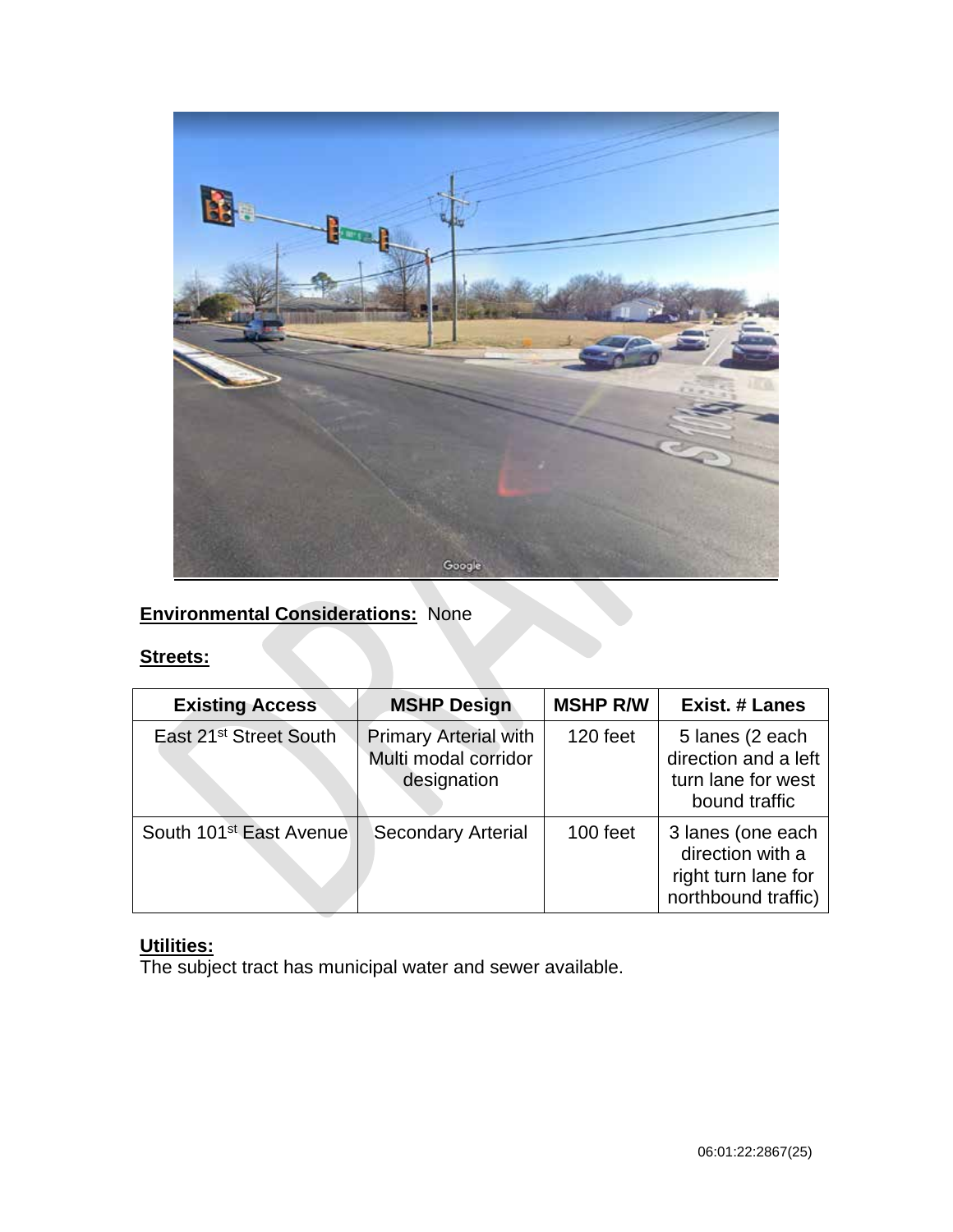

# **Environmental Considerations:** None

# **Streets:**

| <b>Existing Access</b>              | <b>MSHP Design</b>                                                  | <b>MSHP R/W</b> | <b>Exist. # Lanes</b>                                                               |
|-------------------------------------|---------------------------------------------------------------------|-----------------|-------------------------------------------------------------------------------------|
| East 21 <sup>st</sup> Street South  | <b>Primary Arterial with</b><br>Multi modal corridor<br>designation | 120 feet        | 5 lanes (2 each<br>direction and a left<br>turn lane for west<br>bound traffic      |
| South 101 <sup>st</sup> East Avenue | <b>Secondary Arterial</b>                                           | 100 feet        | 3 lanes (one each<br>direction with a<br>right turn lane for<br>northbound traffic) |

# **Utilities:**

The subject tract has municipal water and sewer available.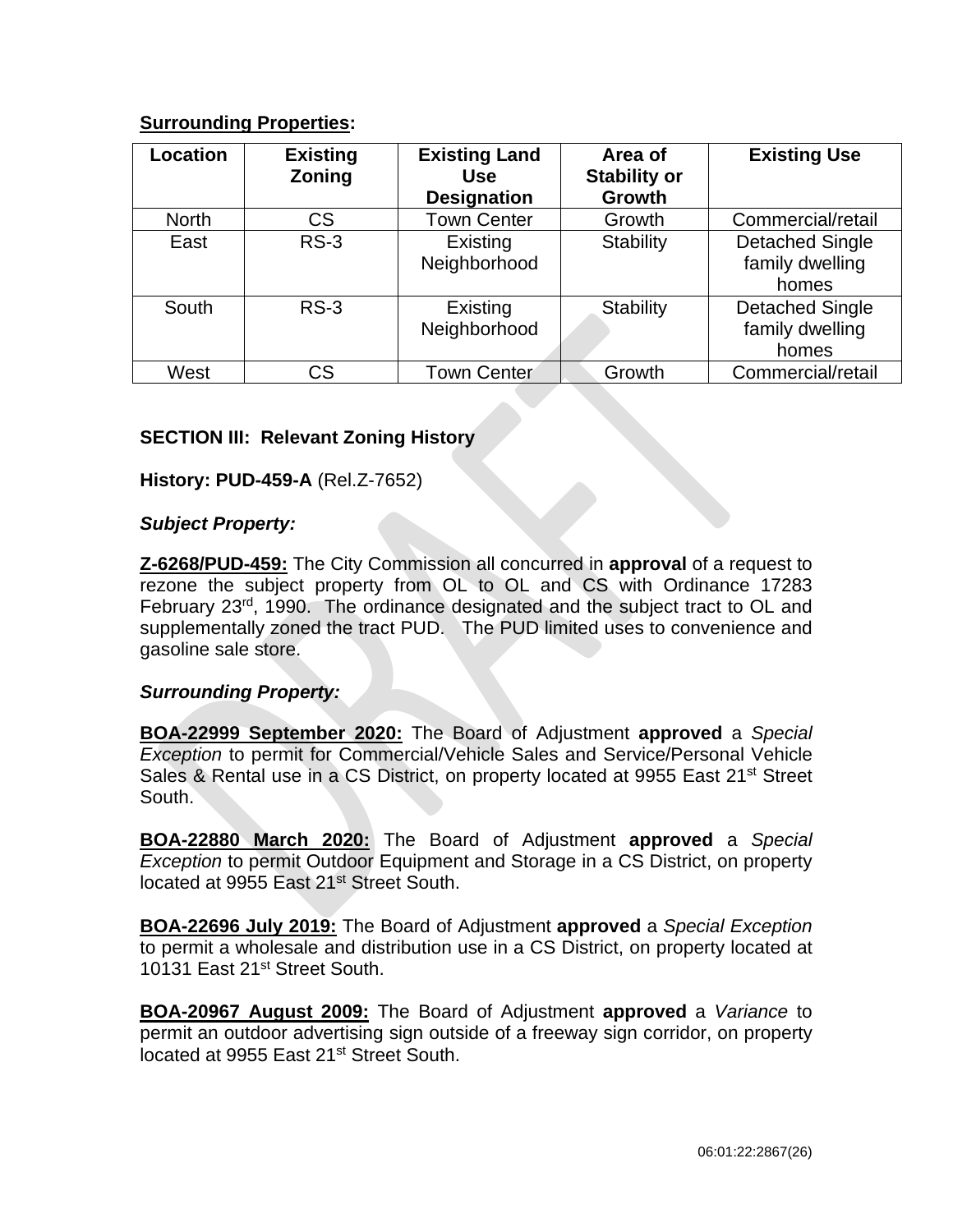# **Surrounding Properties:**

| <b>Location</b> | <b>Existing</b><br>Zoning | <b>Existing Land</b><br><b>Use</b><br><b>Designation</b> | Area of<br><b>Stability or</b><br><b>Growth</b> | <b>Existing Use</b>                                |
|-----------------|---------------------------|----------------------------------------------------------|-------------------------------------------------|----------------------------------------------------|
| <b>North</b>    | <b>CS</b>                 | <b>Town Center</b>                                       | Growth                                          | Commercial/retail                                  |
| East            | $RS-3$                    | Existing<br>Neighborhood                                 | Stability                                       | <b>Detached Single</b><br>family dwelling<br>homes |
| South           | $RS-3$                    | Existing<br>Neighborhood                                 | <b>Stability</b>                                | <b>Detached Single</b><br>family dwelling<br>homes |
| West            | CS                        | <b>Town Center</b>                                       | Growth                                          | Commercial/retail                                  |

# **SECTION III: Relevant Zoning History**

# **History: PUD-459-A** (Rel.Z-7652)

# *Subject Property:*

**Z-6268/PUD-459:** The City Commission all concurred in **approval** of a request to rezone the subject property from OL to OL and CS with Ordinance 17283 February 23<sup>rd</sup>, 1990. The ordinance designated and the subject tract to OL and supplementally zoned the tract PUD. The PUD limited uses to convenience and gasoline sale store.

# *Surrounding Property:*

**BOA-22999 September 2020:** The Board of Adjustment **approved** a *Special Exception* to permit for Commercial/Vehicle Sales and Service/Personal Vehicle Sales & Rental use in a CS District, on property located at 9955 East 21<sup>st</sup> Street South.

**BOA-22880 March 2020:** The Board of Adjustment **approved** a *Special Exception* to permit Outdoor Equipment and Storage in a CS District, on property located at 9955 East 21<sup>st</sup> Street South.

**BOA-22696 July 2019:** The Board of Adjustment **approved** a *Special Exception*  to permit a wholesale and distribution use in a CS District, on property located at 10131 East 21<sup>st</sup> Street South.

**BOA-20967 August 2009:** The Board of Adjustment **approved** a *Variance* to permit an outdoor advertising sign outside of a freeway sign corridor, on property located at 9955 East 21<sup>st</sup> Street South.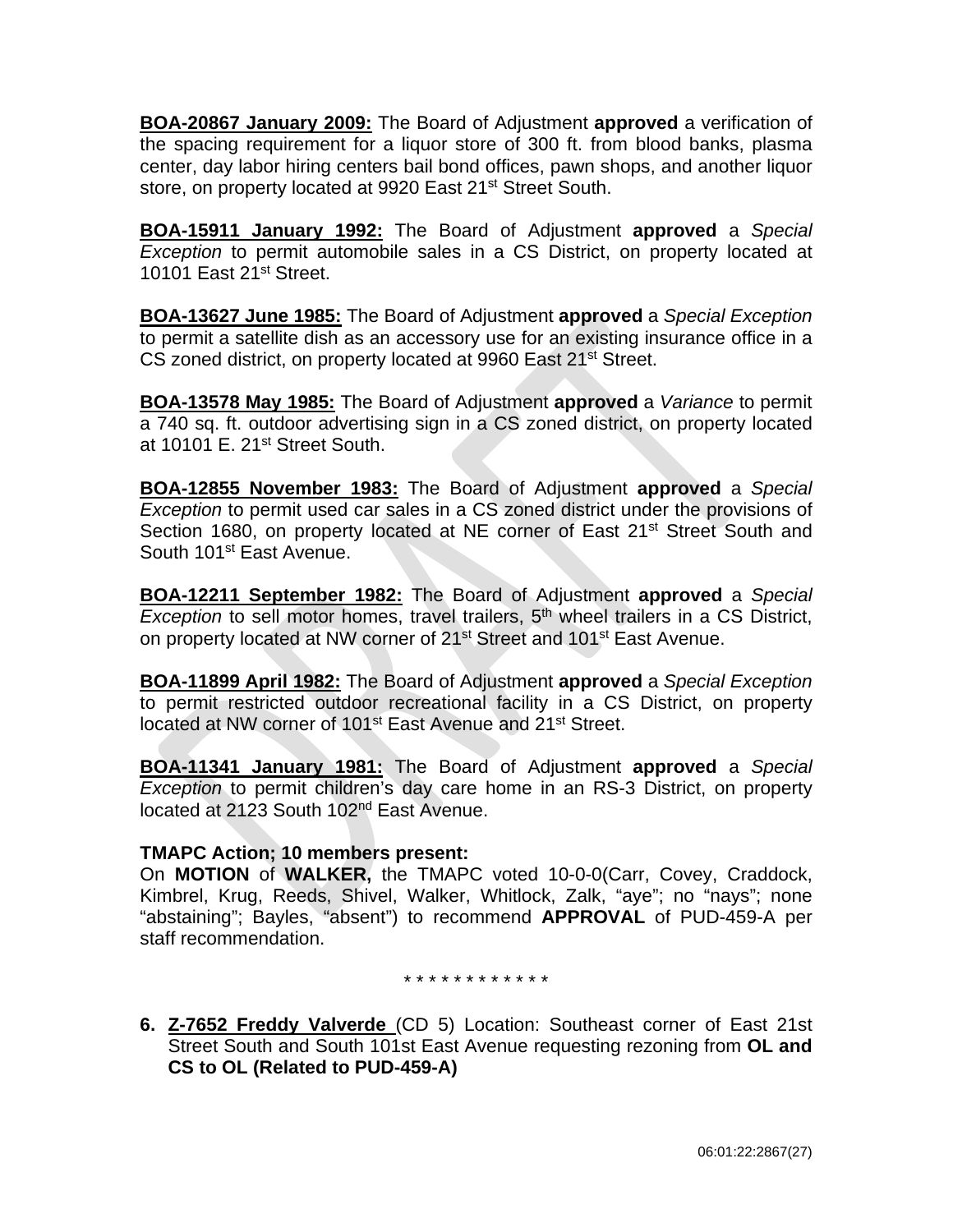**BOA-20867 January 2009:** The Board of Adjustment **approved** a verification of the spacing requirement for a liquor store of 300 ft. from blood banks, plasma center, day labor hiring centers bail bond offices, pawn shops, and another liquor store, on property located at 9920 East 21<sup>st</sup> Street South.

**BOA-15911 January 1992:** The Board of Adjustment **approved** a *Special Exception* to permit automobile sales in a CS District, on property located at 10101 East 21<sup>st</sup> Street.

**BOA-13627 June 1985:** The Board of Adjustment **approved** a *Special Exception*  to permit a satellite dish as an accessory use for an existing insurance office in a CS zoned district, on property located at 9960 East 21<sup>st</sup> Street.

**BOA-13578 May 1985:** The Board of Adjustment **approved** a *Variance* to permit a 740 sq. ft. outdoor advertising sign in a CS zoned district, on property located at 10101 E. 21<sup>st</sup> Street South.

**BOA-12855 November 1983:** The Board of Adjustment **approved** a *Special Exception* to permit used car sales in a CS zoned district under the provisions of Section 1680, on property located at NE corner of East 21<sup>st</sup> Street South and South 101st East Avenue.

**BOA-12211 September 1982:** The Board of Adjustment **approved** a *Special*  **Exception to sell motor homes, travel trailers, 5<sup>th</sup> wheel trailers in a CS District,** on property located at NW corner of 21<sup>st</sup> Street and 101<sup>st</sup> East Avenue.

**BOA-11899 April 1982:** The Board of Adjustment **approved** a *Special Exception*  to permit restricted outdoor recreational facility in a CS District, on property located at NW corner of 101<sup>st</sup> East Avenue and 21<sup>st</sup> Street.

**BOA-11341 January 1981:** The Board of Adjustment **approved** a *Special Exception* to permit children's day care home in an RS-3 District, on property located at 2123 South 102nd East Avenue.

# **TMAPC Action; 10 members present:**

On **MOTION** of **WALKER,** the TMAPC voted 10-0-0(Carr, Covey, Craddock, Kimbrel, Krug, Reeds, Shivel, Walker, Whitlock, Zalk, "aye"; no "nays"; none "abstaining"; Bayles, "absent") to recommend **APPROVAL** of PUD-459-A per staff recommendation.

\* \* \* \* \* \* \* \* \* \* \* \*

**6. Z-7652 Freddy Valverde** (CD 5) Location: Southeast corner of East 21st Street South and South 101st East Avenue requesting rezoning from **OL and CS to OL (Related to PUD-459-A)**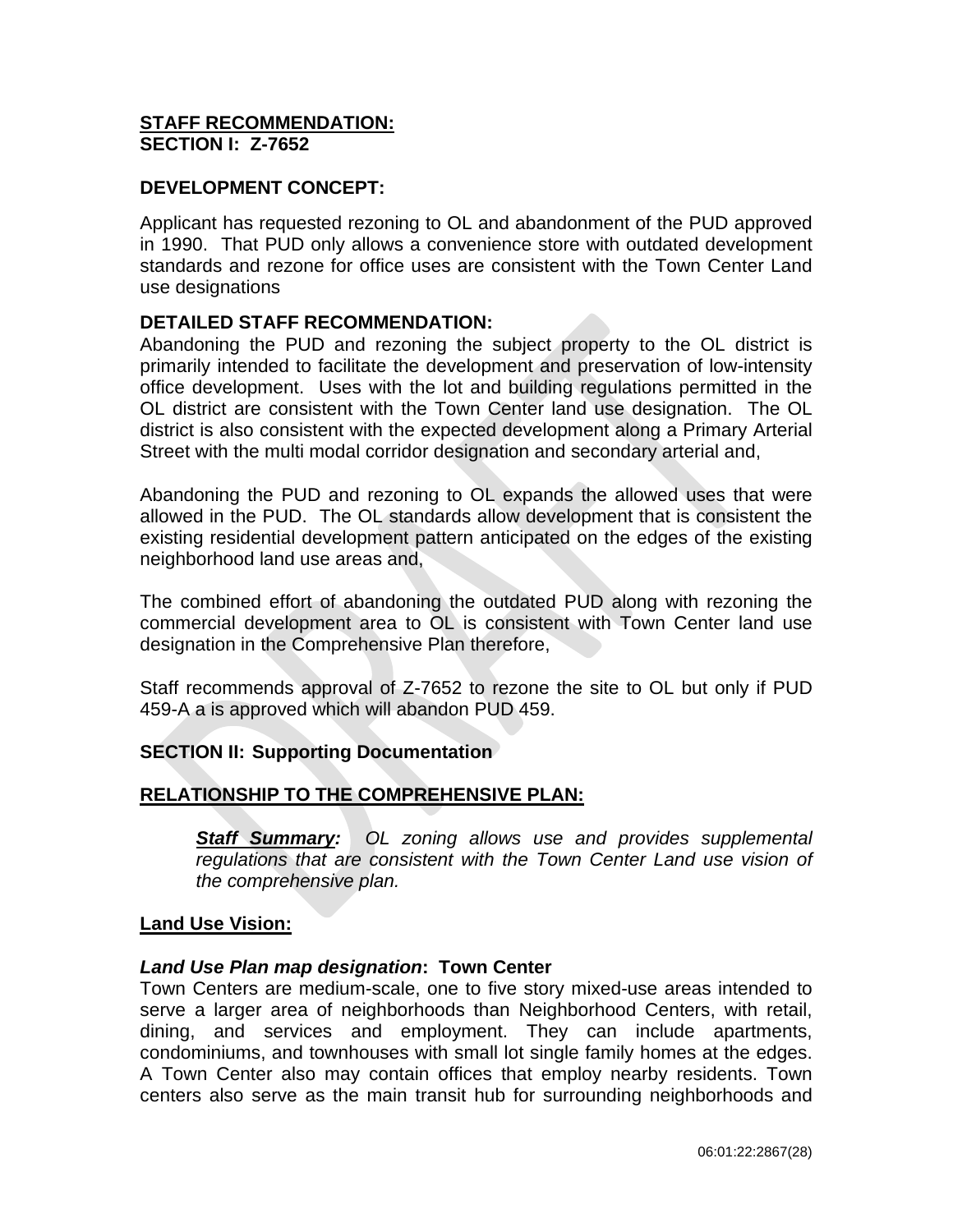# **STAFF RECOMMENDATION: SECTION I: Z-7652**

# **DEVELOPMENT CONCEPT:**

Applicant has requested rezoning to OL and abandonment of the PUD approved in 1990. That PUD only allows a convenience store with outdated development standards and rezone for office uses are consistent with the Town Center Land use designations

# **DETAILED STAFF RECOMMENDATION:**

Abandoning the PUD and rezoning the subject property to the OL district is primarily intended to facilitate the development and preservation of low-intensity office development. Uses with the lot and building regulations permitted in the OL district are consistent with the Town Center land use designation. The OL district is also consistent with the expected development along a Primary Arterial Street with the multi modal corridor designation and secondary arterial and,

Abandoning the PUD and rezoning to OL expands the allowed uses that were allowed in the PUD. The OL standards allow development that is consistent the existing residential development pattern anticipated on the edges of the existing neighborhood land use areas and,

The combined effort of abandoning the outdated PUD along with rezoning the commercial development area to OL is consistent with Town Center land use designation in the Comprehensive Plan therefore,

Staff recommends approval of Z-7652 to rezone the site to OL but only if PUD 459-A a is approved which will abandon PUD 459.

### **SECTION II: Supporting Documentation**

# **RELATIONSHIP TO THE COMPREHENSIVE PLAN:**

*Staff Summary: OL zoning allows use and provides supplemental regulations that are consistent with the Town Center Land use vision of the comprehensive plan.* 

### **Land Use Vision:**

### *Land Use Plan map designation***: Town Center**

Town Centers are medium-scale, one to five story mixed-use areas intended to serve a larger area of neighborhoods than Neighborhood Centers, with retail, dining, and services and employment. They can include apartments, condominiums, and townhouses with small lot single family homes at the edges. A Town Center also may contain offices that employ nearby residents. Town centers also serve as the main transit hub for surrounding neighborhoods and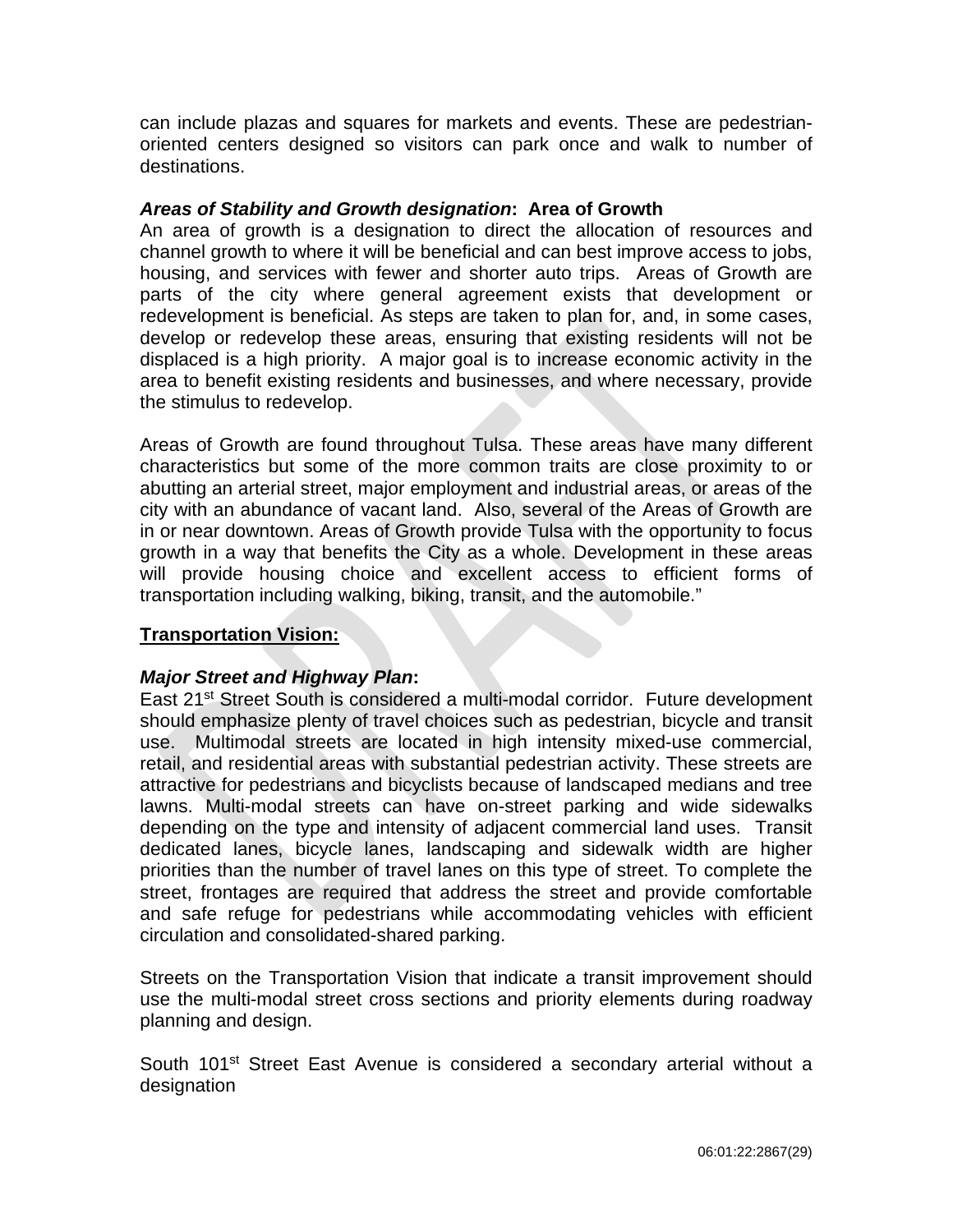can include plazas and squares for markets and events. These are pedestrianoriented centers designed so visitors can park once and walk to number of destinations.

# *Areas of Stability and Growth designation***: Area of Growth**

An area of growth is a designation to direct the allocation of resources and channel growth to where it will be beneficial and can best improve access to jobs, housing, and services with fewer and shorter auto trips. Areas of Growth are parts of the city where general agreement exists that development or redevelopment is beneficial. As steps are taken to plan for, and, in some cases, develop or redevelop these areas, ensuring that existing residents will not be displaced is a high priority. A major goal is to increase economic activity in the area to benefit existing residents and businesses, and where necessary, provide the stimulus to redevelop.

Areas of Growth are found throughout Tulsa. These areas have many different characteristics but some of the more common traits are close proximity to or abutting an arterial street, major employment and industrial areas, or areas of the city with an abundance of vacant land. Also, several of the Areas of Growth are in or near downtown. Areas of Growth provide Tulsa with the opportunity to focus growth in a way that benefits the City as a whole. Development in these areas will provide housing choice and excellent access to efficient forms of transportation including walking, biking, transit, and the automobile."

# **Transportation Vision:**

# *Major Street and Highway Plan***:**

East 21<sup>st</sup> Street South is considered a multi-modal corridor. Future development should emphasize plenty of travel choices such as pedestrian, bicycle and transit use. Multimodal streets are located in high intensity mixed-use commercial, retail, and residential areas with substantial pedestrian activity. These streets are attractive for pedestrians and bicyclists because of landscaped medians and tree lawns. Multi-modal streets can have on-street parking and wide sidewalks depending on the type and intensity of adjacent commercial land uses. Transit dedicated lanes, bicycle lanes, landscaping and sidewalk width are higher priorities than the number of travel lanes on this type of street. To complete the street, frontages are required that address the street and provide comfortable and safe refuge for pedestrians while accommodating vehicles with efficient circulation and consolidated-shared parking.

Streets on the Transportation Vision that indicate a transit improvement should use the multi-modal street cross sections and priority elements during roadway planning and design.

South 101<sup>st</sup> Street East Avenue is considered a secondary arterial without a designation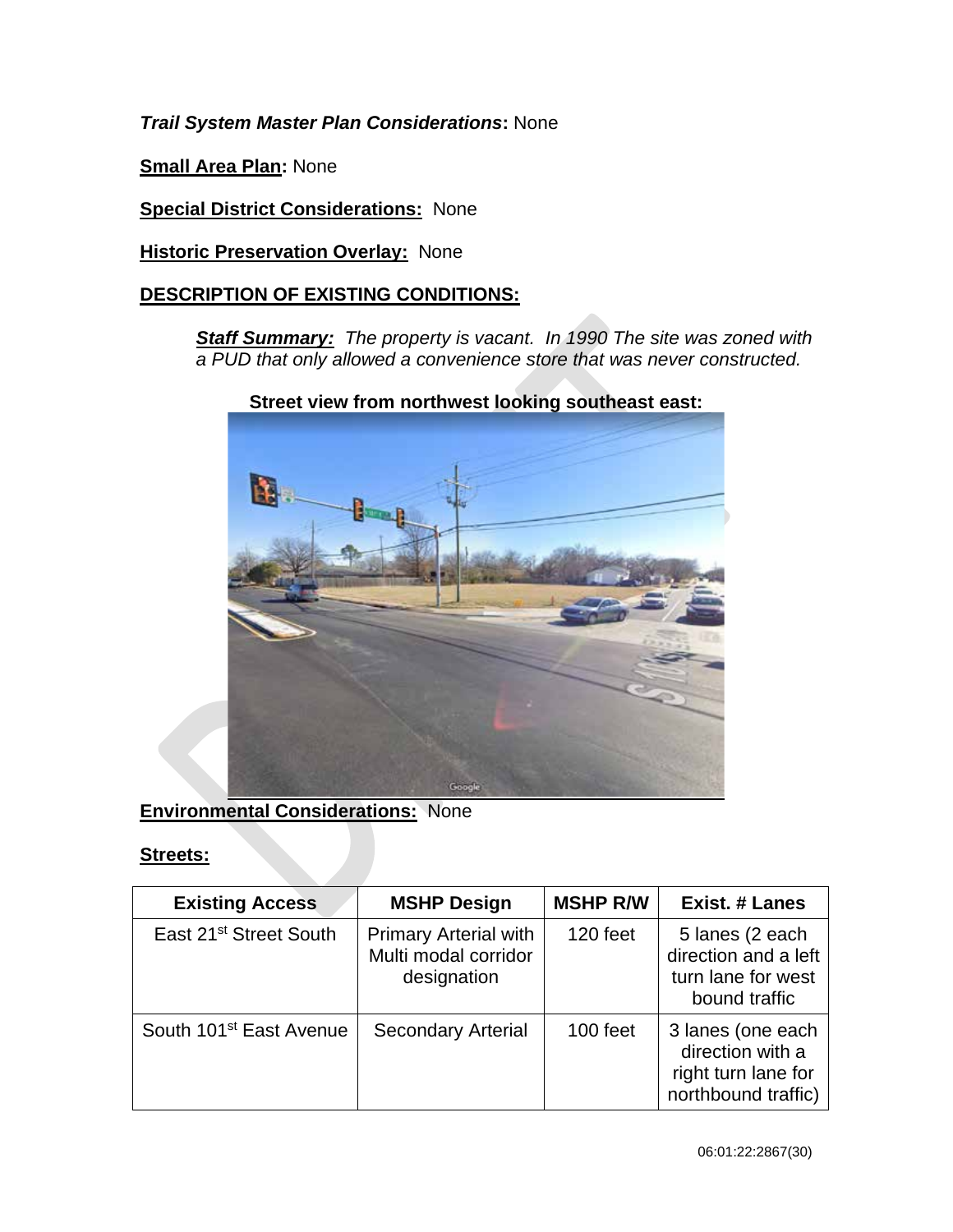*Trail System Master Plan Considerations***:** None

**Small Area Plan:** None

**Special District Considerations:** None

**Historic Preservation Overlay: None** 

# **DESCRIPTION OF EXISTING CONDITIONS:**

*Staff Summary: The property is vacant. In 1990 The site was zoned with a PUD that only allowed a convenience store that was never constructed.* 



**Street view from northwest looking southeast east:** 

# **Environmental Considerations:** None

# **Streets:**

| <b>Existing Access</b>              | <b>MSHP Design</b>                                                  | <b>MSHP R/W</b> | Exist. # Lanes                                                                      |
|-------------------------------------|---------------------------------------------------------------------|-----------------|-------------------------------------------------------------------------------------|
| East 21 <sup>st</sup> Street South  | <b>Primary Arterial with</b><br>Multi modal corridor<br>designation | 120 feet        | 5 lanes (2 each<br>direction and a left<br>turn lane for west<br>bound traffic      |
| South 101 <sup>st</sup> East Avenue | <b>Secondary Arterial</b>                                           | 100 feet        | 3 lanes (one each<br>direction with a<br>right turn lane for<br>northbound traffic) |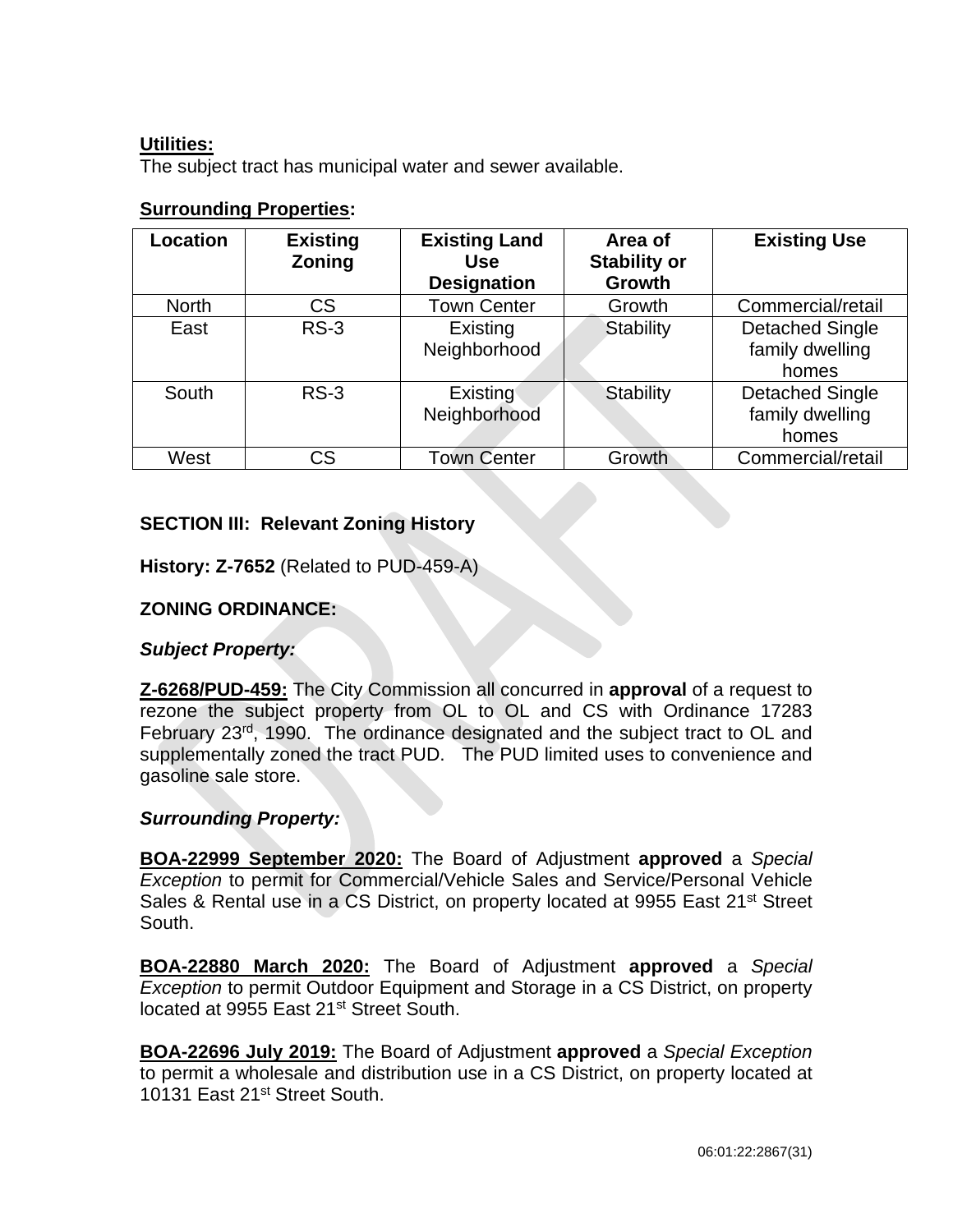# **Utilities:**

The subject tract has municipal water and sewer available.

| <b>Surrounding Properties:</b> |  |
|--------------------------------|--|
|                                |  |

| <b>Location</b> | <b>Existing</b><br>Zoning | <b>Existing Land</b><br><b>Use</b><br><b>Designation</b> | Area of<br><b>Stability or</b><br><b>Growth</b> | <b>Existing Use</b>                                |
|-----------------|---------------------------|----------------------------------------------------------|-------------------------------------------------|----------------------------------------------------|
| <b>North</b>    | <b>CS</b>                 | <b>Town Center</b>                                       | Growth                                          | Commercial/retail                                  |
| East            | $RS-3$                    | Existing<br>Neighborhood                                 | Stability                                       | <b>Detached Single</b><br>family dwelling<br>homes |
| South           | $RS-3$                    | Existing <sup>®</sup><br>Neighborhood                    | Stability                                       | <b>Detached Single</b><br>family dwelling<br>homes |
| West            | CS                        | <b>Town Center</b>                                       | Growth                                          | Commercial/retail                                  |

# **SECTION III: Relevant Zoning History**

**History: Z-7652** (Related to PUD-459-A)

# **ZONING ORDINANCE:**

*Subject Property:* 

**Z-6268/PUD-459:** The City Commission all concurred in **approval** of a request to rezone the subject property from OL to OL and CS with Ordinance 17283 February 23<sup>rd</sup>, 1990. The ordinance designated and the subject tract to OL and supplementally zoned the tract PUD. The PUD limited uses to convenience and gasoline sale store.

### *Surrounding Property:*

**BOA-22999 September 2020:** The Board of Adjustment **approved** a *Special Exception* to permit for Commercial/Vehicle Sales and Service/Personal Vehicle Sales & Rental use in a CS District, on property located at 9955 East 21<sup>st</sup> Street South.

**BOA-22880 March 2020:** The Board of Adjustment **approved** a *Special Exception* to permit Outdoor Equipment and Storage in a CS District, on property located at 9955 East 21<sup>st</sup> Street South.

**BOA-22696 July 2019:** The Board of Adjustment **approved** a *Special Exception* to permit a wholesale and distribution use in a CS District, on property located at 10131 East 21<sup>st</sup> Street South.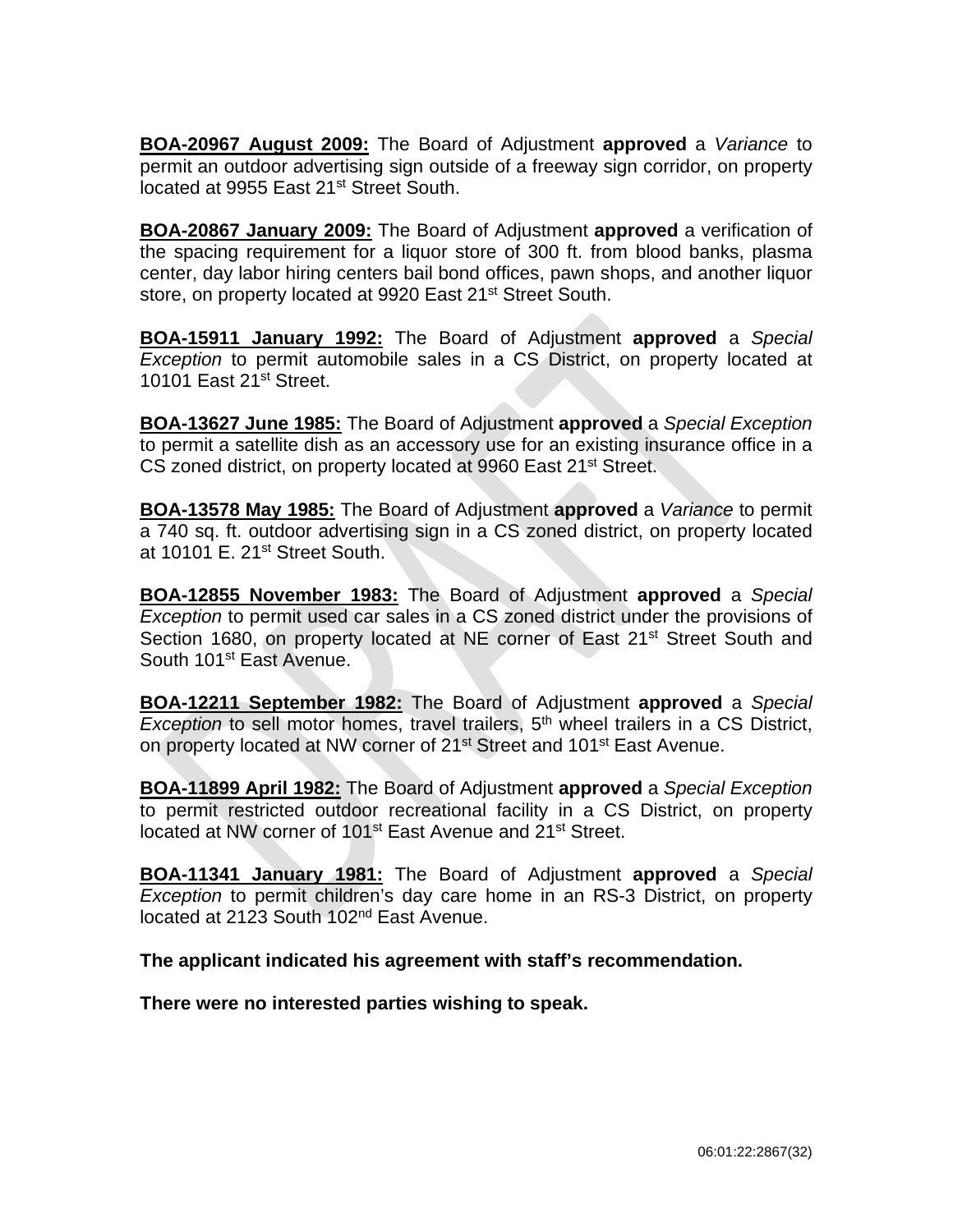**BOA-20967 August 2009:** The Board of Adjustment **approved** a *Variance* to permit an outdoor advertising sign outside of a freeway sign corridor, on property located at 9955 East 21<sup>st</sup> Street South.

**BOA-20867 January 2009:** The Board of Adjustment **approved** a verification of the spacing requirement for a liquor store of 300 ft. from blood banks, plasma center, day labor hiring centers bail bond offices, pawn shops, and another liquor store, on property located at 9920 East 21<sup>st</sup> Street South.

**BOA-15911 January 1992:** The Board of Adjustment **approved** a *Special Exception* to permit automobile sales in a CS District, on property located at 10101 East 21<sup>st</sup> Street.

**BOA-13627 June 1985:** The Board of Adjustment **approved** a *Special Exception* to permit a satellite dish as an accessory use for an existing insurance office in a CS zoned district, on property located at 9960 East 21<sup>st</sup> Street.

**BOA-13578 May 1985:** The Board of Adjustment **approved** a *Variance* to permit a 740 sq. ft. outdoor advertising sign in a CS zoned district, on property located at 10101 E. 21st Street South.

**BOA-12855 November 1983:** The Board of Adjustment **approved** a *Special Exception* to permit used car sales in a CS zoned district under the provisions of Section 1680, on property located at NE corner of East 21<sup>st</sup> Street South and South 101<sup>st</sup> East Avenue.

**BOA-12211 September 1982:** The Board of Adjustment **approved** a *Special Exception* to sell motor homes, travel trailers, 5<sup>th</sup> wheel trailers in a CS District, on property located at NW corner of 21<sup>st</sup> Street and 101<sup>st</sup> East Avenue.

**BOA-11899 April 1982:** The Board of Adjustment **approved** a *Special Exception* to permit restricted outdoor recreational facility in a CS District, on property located at NW corner of 101<sup>st</sup> East Avenue and 21<sup>st</sup> Street.

**BOA-11341 January 1981:** The Board of Adjustment **approved** a *Special Exception* to permit children's day care home in an RS-3 District, on property located at 2123 South 102nd East Avenue.

**The applicant indicated his agreement with staff's recommendation.**

**There were no interested parties wishing to speak.**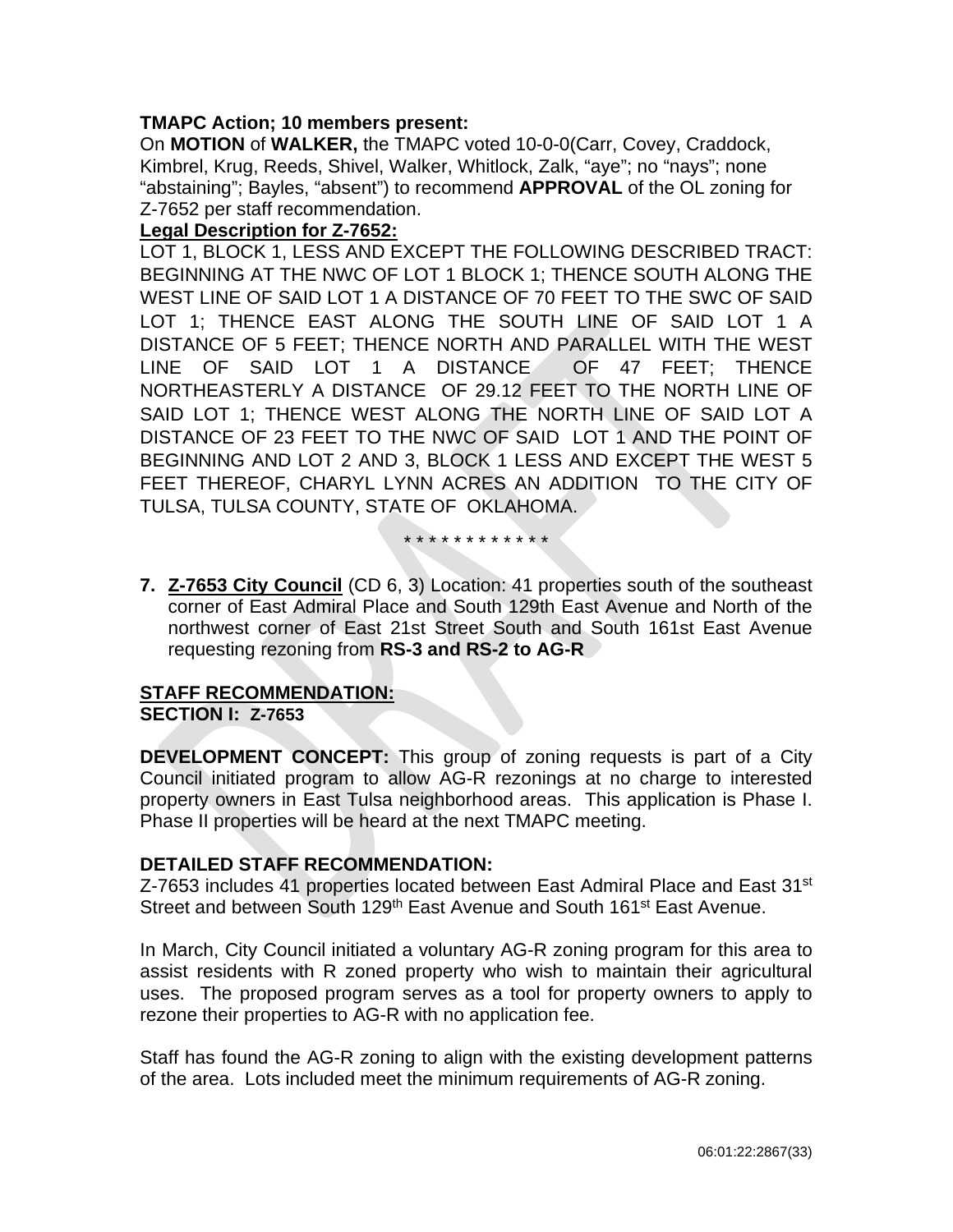# **TMAPC Action; 10 members present:**

On **MOTION** of **WALKER,** the TMAPC voted 10-0-0(Carr, Covey, Craddock, Kimbrel, Krug, Reeds, Shivel, Walker, Whitlock, Zalk, "aye"; no "nays"; none "abstaining"; Bayles, "absent") to recommend **APPROVAL** of the OL zoning for Z-7652 per staff recommendation.

### **Legal Description for Z-7652:**

LOT 1, BLOCK 1, LESS AND EXCEPT THE FOLLOWING DESCRIBED TRACT: BEGINNING AT THE NWC OF LOT 1 BLOCK 1; THENCE SOUTH ALONG THE WEST LINE OF SAID LOT 1 A DISTANCE OF 70 FEET TO THE SWC OF SAID LOT 1; THENCE EAST ALONG THE SOUTH LINE OF SAID LOT 1 A DISTANCE OF 5 FEET; THENCE NORTH AND PARALLEL WITH THE WEST LINE OF SAID LOT 1 A DISTANCE OF 47 FEET; THENCE NORTHEASTERLY A DISTANCE OF 29.12 FEET TO THE NORTH LINE OF SAID LOT 1; THENCE WEST ALONG THE NORTH LINE OF SAID LOT A DISTANCE OF 23 FEET TO THE NWC OF SAID LOT 1 AND THE POINT OF BEGINNING AND LOT 2 AND 3, BLOCK 1 LESS AND EXCEPT THE WEST 5 FEET THEREOF, CHARYL LYNN ACRES AN ADDITION TO THE CITY OF TULSA, TULSA COUNTY, STATE OF OKLAHOMA.

\* \* \* \* \* \* \* \* \* \* \* \*

**7. Z-7653 City Council** (CD 6, 3) Location: 41 properties south of the southeast corner of East Admiral Place and South 129th East Avenue and North of the northwest corner of East 21st Street South and South 161st East Avenue requesting rezoning from **RS-3 and RS-2 to AG-R**

#### **STAFF RECOMMENDATION: SECTION I: Z-7653**

**DEVELOPMENT CONCEPT:** This group of zoning requests is part of a City Council initiated program to allow AG-R rezonings at no charge to interested property owners in East Tulsa neighborhood areas. This application is Phase I. Phase II properties will be heard at the next TMAPC meeting.

# **DETAILED STAFF RECOMMENDATION:**

Z-7653 includes 41 properties located between East Admiral Place and East 31<sup>st</sup> Street and between South 129<sup>th</sup> East Avenue and South 161<sup>st</sup> East Avenue.

In March, City Council initiated a voluntary AG-R zoning program for this area to assist residents with R zoned property who wish to maintain their agricultural uses. The proposed program serves as a tool for property owners to apply to rezone their properties to AG-R with no application fee.

Staff has found the AG-R zoning to align with the existing development patterns of the area. Lots included meet the minimum requirements of AG-R zoning.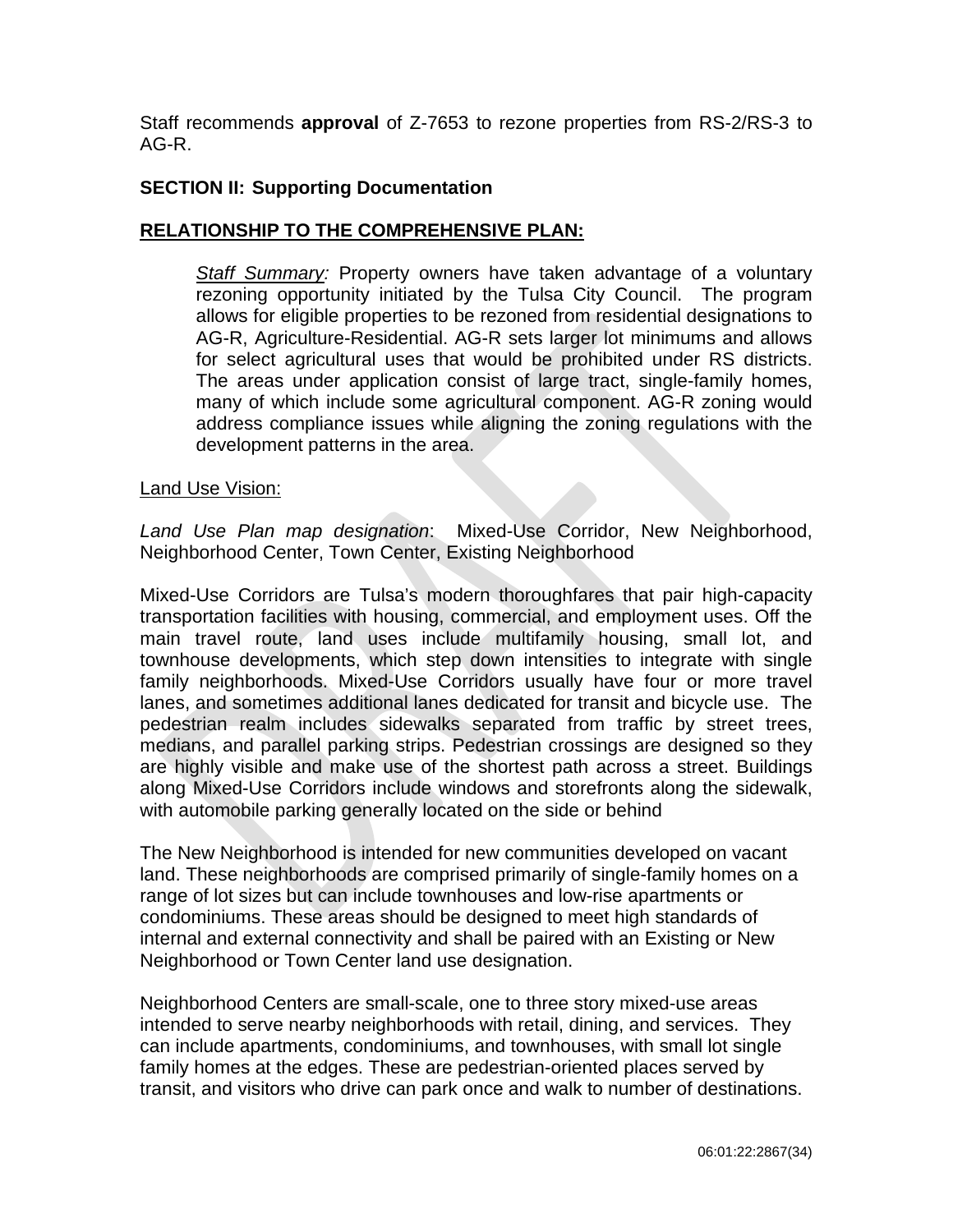Staff recommends **approval** of Z-7653 to rezone properties from RS-2/RS-3 to AG-R.

# **SECTION II: Supporting Documentation**

# **RELATIONSHIP TO THE COMPREHENSIVE PLAN:**

*Staff Summary:* Property owners have taken advantage of a voluntary rezoning opportunity initiated by the Tulsa City Council. The program allows for eligible properties to be rezoned from residential designations to AG-R, Agriculture-Residential. AG-R sets larger lot minimums and allows for select agricultural uses that would be prohibited under RS districts. The areas under application consist of large tract, single-family homes, many of which include some agricultural component. AG-R zoning would address compliance issues while aligning the zoning regulations with the development patterns in the area.

### Land Use Vision:

*Land Use Plan map designation*: Mixed-Use Corridor, New Neighborhood, Neighborhood Center, Town Center, Existing Neighborhood

Mixed-Use Corridors are Tulsa's modern thoroughfares that pair high-capacity transportation facilities with housing, commercial, and employment uses. Off the main travel route, land uses include multifamily housing, small lot, and townhouse developments, which step down intensities to integrate with single family neighborhoods. Mixed-Use Corridors usually have four or more travel lanes, and sometimes additional lanes dedicated for transit and bicycle use. The pedestrian realm includes sidewalks separated from traffic by street trees, medians, and parallel parking strips. Pedestrian crossings are designed so they are highly visible and make use of the shortest path across a street. Buildings along Mixed-Use Corridors include windows and storefronts along the sidewalk, with automobile parking generally located on the side or behind

The New Neighborhood is intended for new communities developed on vacant land. These neighborhoods are comprised primarily of single-family homes on a range of lot sizes but can include townhouses and low-rise apartments or condominiums. These areas should be designed to meet high standards of internal and external connectivity and shall be paired with an Existing or New Neighborhood or Town Center land use designation.

Neighborhood Centers are small-scale, one to three story mixed-use areas intended to serve nearby neighborhoods with retail, dining, and services. They can include apartments, condominiums, and townhouses, with small lot single family homes at the edges. These are pedestrian-oriented places served by transit, and visitors who drive can park once and walk to number of destinations.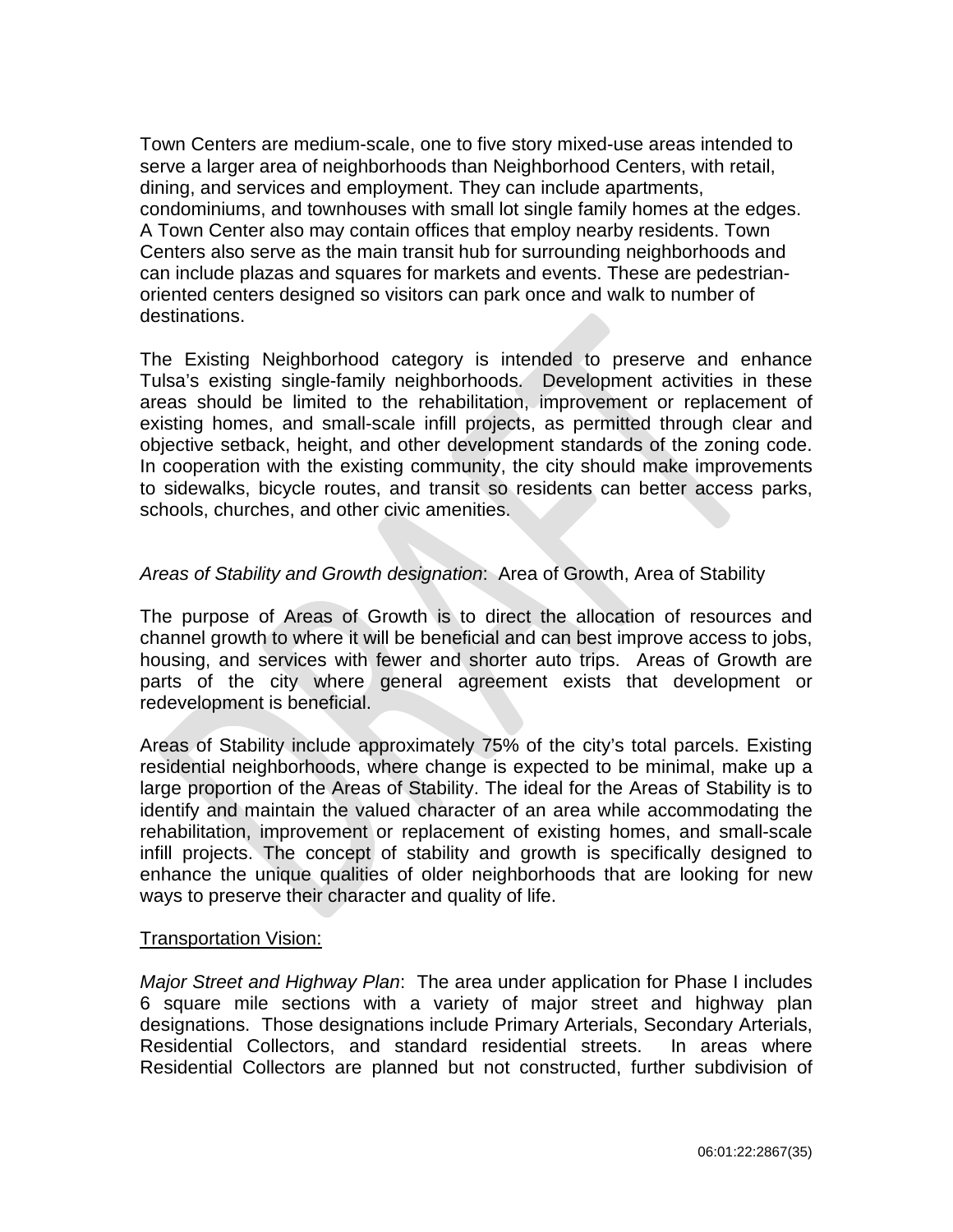Town Centers are medium-scale, one to five story mixed-use areas intended to serve a larger area of neighborhoods than Neighborhood Centers, with retail, dining, and services and employment. They can include apartments, condominiums, and townhouses with small lot single family homes at the edges. A Town Center also may contain offices that employ nearby residents. Town Centers also serve as the main transit hub for surrounding neighborhoods and can include plazas and squares for markets and events. These are pedestrianoriented centers designed so visitors can park once and walk to number of destinations.

The Existing Neighborhood category is intended to preserve and enhance Tulsa's existing single-family neighborhoods. Development activities in these areas should be limited to the rehabilitation, improvement or replacement of existing homes, and small-scale infill projects, as permitted through clear and objective setback, height, and other development standards of the zoning code. In cooperation with the existing community, the city should make improvements to sidewalks, bicycle routes, and transit so residents can better access parks, schools, churches, and other civic amenities.

# *Areas of Stability and Growth designation*: Area of Growth, Area of Stability

The purpose of Areas of Growth is to direct the allocation of resources and channel growth to where it will be beneficial and can best improve access to jobs, housing, and services with fewer and shorter auto trips. Areas of Growth are parts of the city where general agreement exists that development or redevelopment is beneficial.

Areas of Stability include approximately 75% of the city's total parcels. Existing residential neighborhoods, where change is expected to be minimal, make up a large proportion of the Areas of Stability. The ideal for the Areas of Stability is to identify and maintain the valued character of an area while accommodating the rehabilitation, improvement or replacement of existing homes, and small-scale infill projects. The concept of stability and growth is specifically designed to enhance the unique qualities of older neighborhoods that are looking for new ways to preserve their character and quality of life.

### Transportation Vision:

*Major Street and Highway Plan*: The area under application for Phase I includes 6 square mile sections with a variety of major street and highway plan designations. Those designations include Primary Arterials, Secondary Arterials, Residential Collectors, and standard residential streets. In areas where Residential Collectors are planned but not constructed, further subdivision of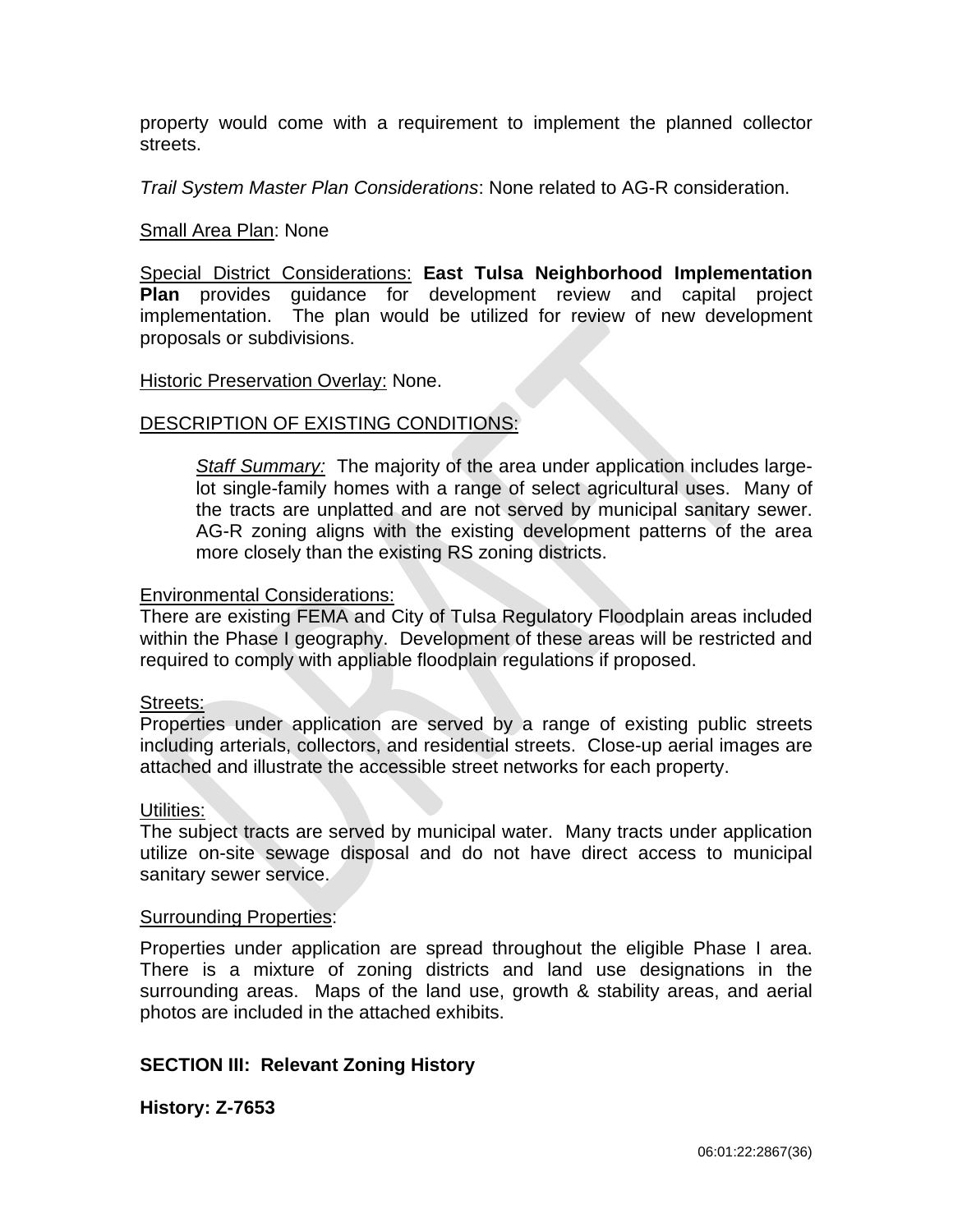property would come with a requirement to implement the planned collector streets.

*Trail System Master Plan Considerations*: None related to AG-R consideration.

### Small Area Plan: None

Special District Considerations: **East Tulsa Neighborhood Implementation Plan** provides guidance for development review and capital project implementation. The plan would be utilized for review of new development proposals or subdivisions.

### **Historic Preservation Overlay: None.**

# DESCRIPTION OF EXISTING CONDITIONS:

*Staff Summary:* The majority of the area under application includes largelot single-family homes with a range of select agricultural uses. Many of the tracts are unplatted and are not served by municipal sanitary sewer. AG-R zoning aligns with the existing development patterns of the area more closely than the existing RS zoning districts.

# Environmental Considerations:

There are existing FEMA and City of Tulsa Regulatory Floodplain areas included within the Phase I geography. Development of these areas will be restricted and required to comply with appliable floodplain regulations if proposed.

# Streets:

Properties under application are served by a range of existing public streets including arterials, collectors, and residential streets. Close-up aerial images are attached and illustrate the accessible street networks for each property.

### Utilities:

The subject tracts are served by municipal water. Many tracts under application utilize on-site sewage disposal and do not have direct access to municipal sanitary sewer service.

### Surrounding Properties:

Properties under application are spread throughout the eligible Phase I area. There is a mixture of zoning districts and land use designations in the surrounding areas. Maps of the land use, growth & stability areas, and aerial photos are included in the attached exhibits.

# **SECTION III: Relevant Zoning History**

**History: Z-7653**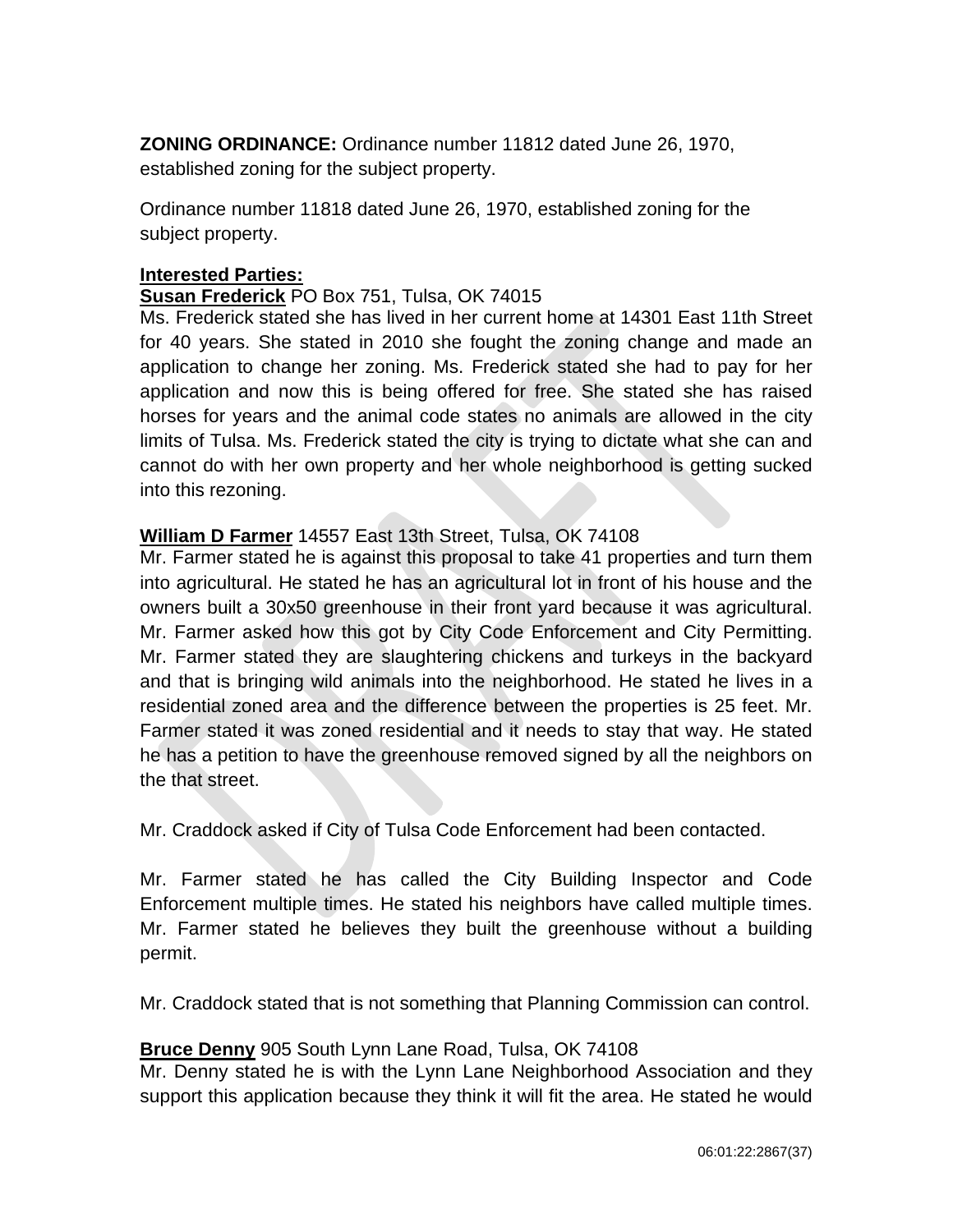**ZONING ORDINANCE:** Ordinance number 11812 dated June 26, 1970, established zoning for the subject property.

Ordinance number 11818 dated June 26, 1970, established zoning for the subject property.

# **Interested Parties:**

# **Susan Frederick** PO Box 751, Tulsa, OK 74015

Ms. Frederick stated she has lived in her current home at 14301 East 11th Street for 40 years. She stated in 2010 she fought the zoning change and made an application to change her zoning. Ms. Frederick stated she had to pay for her application and now this is being offered for free. She stated she has raised horses for years and the animal code states no animals are allowed in the city limits of Tulsa. Ms. Frederick stated the city is trying to dictate what she can and cannot do with her own property and her whole neighborhood is getting sucked into this rezoning.

# **William D Farmer** 14557 East 13th Street, Tulsa, OK 74108

Mr. Farmer stated he is against this proposal to take 41 properties and turn them into agricultural. He stated he has an agricultural lot in front of his house and the owners built a 30x50 greenhouse in their front yard because it was agricultural. Mr. Farmer asked how this got by City Code Enforcement and City Permitting. Mr. Farmer stated they are slaughtering chickens and turkeys in the backyard and that is bringing wild animals into the neighborhood. He stated he lives in a residential zoned area and the difference between the properties is 25 feet. Mr. Farmer stated it was zoned residential and it needs to stay that way. He stated he has a petition to have the greenhouse removed signed by all the neighbors on the that street.

Mr. Craddock asked if City of Tulsa Code Enforcement had been contacted.

Mr. Farmer stated he has called the City Building Inspector and Code Enforcement multiple times. He stated his neighbors have called multiple times. Mr. Farmer stated he believes they built the greenhouse without a building permit.

Mr. Craddock stated that is not something that Planning Commission can control.

# **Bruce Denny** 905 South Lynn Lane Road, Tulsa, OK 74108

Mr. Denny stated he is with the Lynn Lane Neighborhood Association and they support this application because they think it will fit the area. He stated he would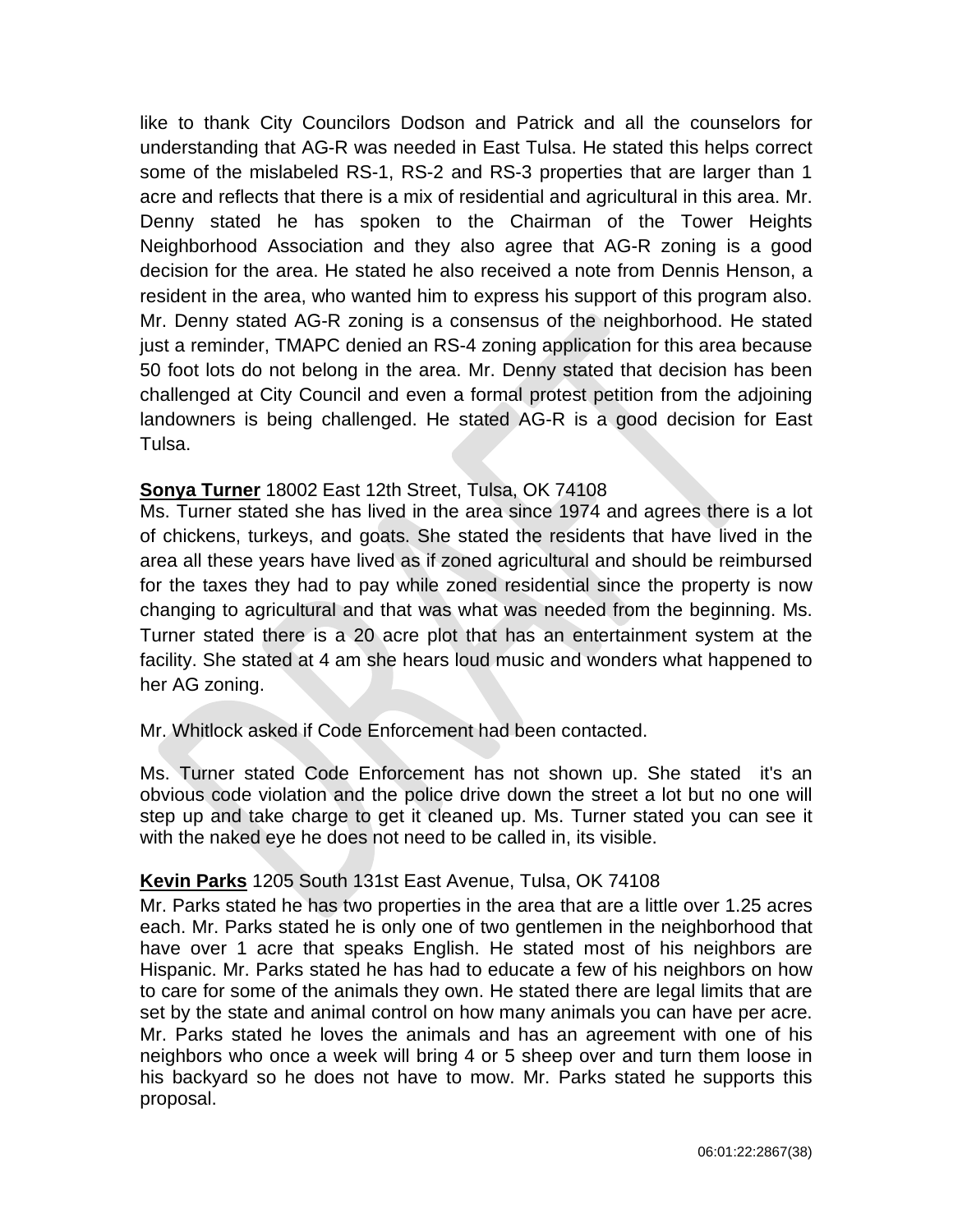like to thank City Councilors Dodson and Patrick and all the counselors for understanding that AG-R was needed in East Tulsa. He stated this helps correct some of the mislabeled RS-1, RS-2 and RS-3 properties that are larger than 1 acre and reflects that there is a mix of residential and agricultural in this area. Mr. Denny stated he has spoken to the Chairman of the Tower Heights Neighborhood Association and they also agree that AG-R zoning is a good decision for the area. He stated he also received a note from Dennis Henson, a resident in the area, who wanted him to express his support of this program also. Mr. Denny stated AG-R zoning is a consensus of the neighborhood. He stated just a reminder, TMAPC denied an RS-4 zoning application for this area because 50 foot lots do not belong in the area. Mr. Denny stated that decision has been challenged at City Council and even a formal protest petition from the adjoining landowners is being challenged. He stated AG-R is a good decision for East Tulsa.

# **Sonya Turner** 18002 East 12th Street, Tulsa, OK 74108

Ms. Turner stated she has lived in the area since 1974 and agrees there is a lot of chickens, turkeys, and goats. She stated the residents that have lived in the area all these years have lived as if zoned agricultural and should be reimbursed for the taxes they had to pay while zoned residential since the property is now changing to agricultural and that was what was needed from the beginning. Ms. Turner stated there is a 20 acre plot that has an entertainment system at the facility. She stated at 4 am she hears loud music and wonders what happened to her AG zoning.

Mr. Whitlock asked if Code Enforcement had been contacted.

Ms. Turner stated Code Enforcement has not shown up. She stated it's an obvious code violation and the police drive down the street a lot but no one will step up and take charge to get it cleaned up. Ms. Turner stated you can see it with the naked eye he does not need to be called in, its visible.

# **Kevin Parks** 1205 South 131st East Avenue, Tulsa, OK 74108

Mr. Parks stated he has two properties in the area that are a little over 1.25 acres each. Mr. Parks stated he is only one of two gentlemen in the neighborhood that have over 1 acre that speaks English. He stated most of his neighbors are Hispanic. Mr. Parks stated he has had to educate a few of his neighbors on how to care for some of the animals they own. He stated there are legal limits that are set by the state and animal control on how many animals you can have per acre. Mr. Parks stated he loves the animals and has an agreement with one of his neighbors who once a week will bring 4 or 5 sheep over and turn them loose in his backyard so he does not have to mow. Mr. Parks stated he supports this proposal.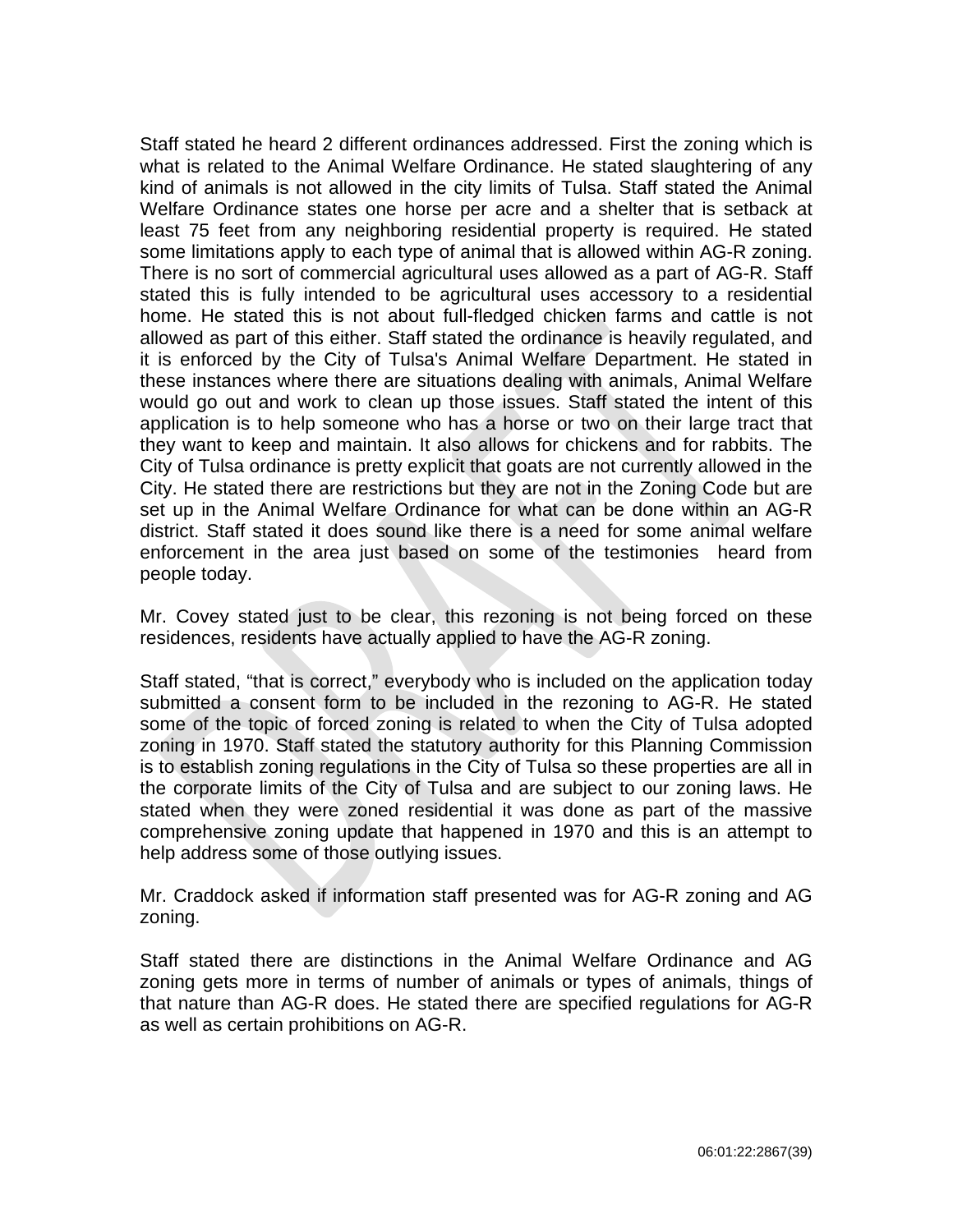Staff stated he heard 2 different ordinances addressed. First the zoning which is what is related to the Animal Welfare Ordinance. He stated slaughtering of any kind of animals is not allowed in the city limits of Tulsa. Staff stated the Animal Welfare Ordinance states one horse per acre and a shelter that is setback at least 75 feet from any neighboring residential property is required. He stated some limitations apply to each type of animal that is allowed within AG-R zoning. There is no sort of commercial agricultural uses allowed as a part of AG-R. Staff stated this is fully intended to be agricultural uses accessory to a residential home. He stated this is not about full-fledged chicken farms and cattle is not allowed as part of this either. Staff stated the ordinance is heavily regulated, and it is enforced by the City of Tulsa's Animal Welfare Department. He stated in these instances where there are situations dealing with animals, Animal Welfare would go out and work to clean up those issues. Staff stated the intent of this application is to help someone who has a horse or two on their large tract that they want to keep and maintain. It also allows for chickens and for rabbits. The City of Tulsa ordinance is pretty explicit that goats are not currently allowed in the City. He stated there are restrictions but they are not in the Zoning Code but are set up in the Animal Welfare Ordinance for what can be done within an AG-R district. Staff stated it does sound like there is a need for some animal welfare enforcement in the area just based on some of the testimonies heard from people today.

Mr. Covey stated just to be clear, this rezoning is not being forced on these residences, residents have actually applied to have the AG-R zoning.

Staff stated, "that is correct," everybody who is included on the application today submitted a consent form to be included in the rezoning to AG-R. He stated some of the topic of forced zoning is related to when the City of Tulsa adopted zoning in 1970. Staff stated the statutory authority for this Planning Commission is to establish zoning regulations in the City of Tulsa so these properties are all in the corporate limits of the City of Tulsa and are subject to our zoning laws. He stated when they were zoned residential it was done as part of the massive comprehensive zoning update that happened in 1970 and this is an attempt to help address some of those outlying issues.

Mr. Craddock asked if information staff presented was for AG-R zoning and AG zoning.

Staff stated there are distinctions in the Animal Welfare Ordinance and AG zoning gets more in terms of number of animals or types of animals, things of that nature than AG-R does. He stated there are specified regulations for AG-R as well as certain prohibitions on AG-R.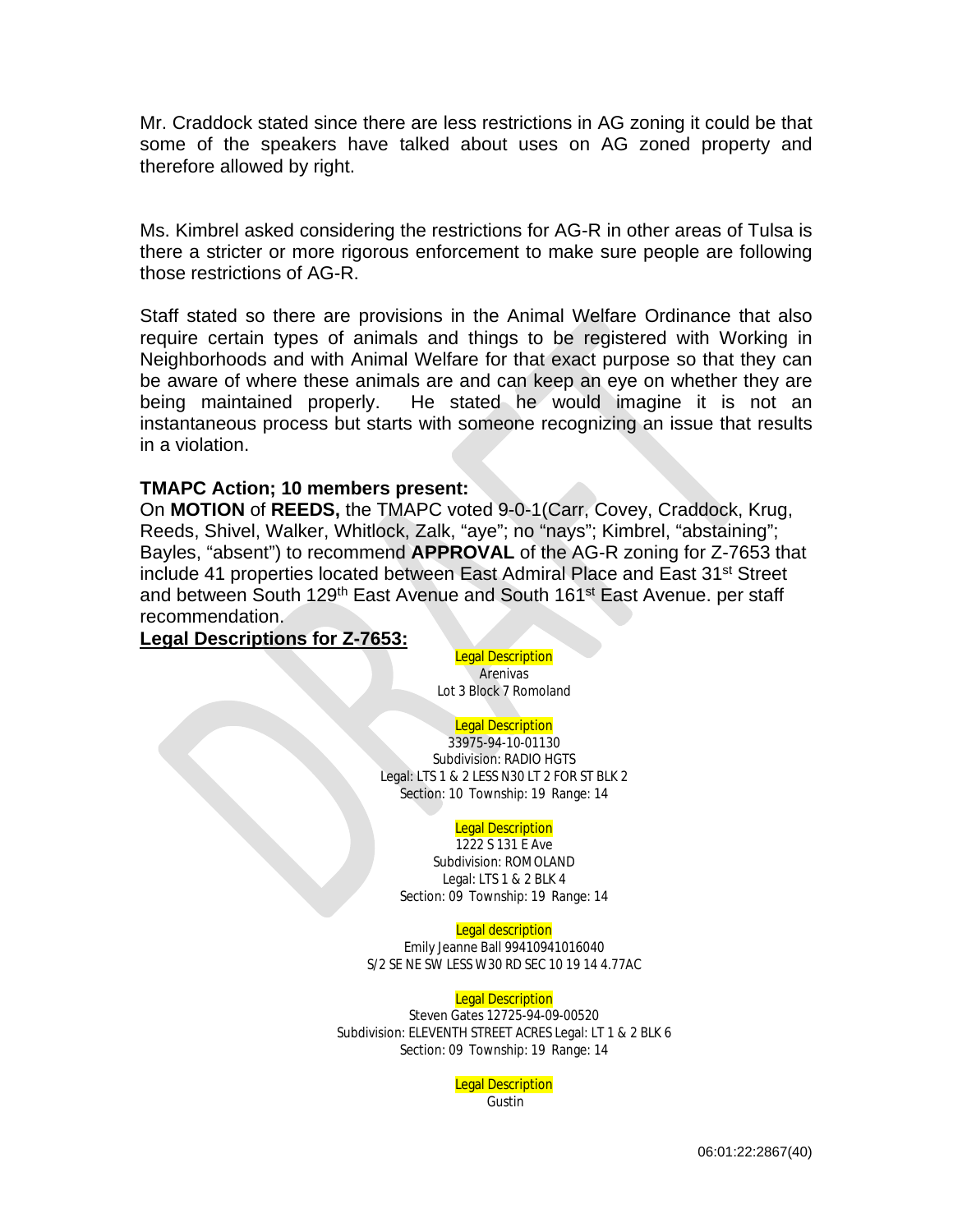Mr. Craddock stated since there are less restrictions in AG zoning it could be that some of the speakers have talked about uses on AG zoned property and therefore allowed by right.

Ms. Kimbrel asked considering the restrictions for AG-R in other areas of Tulsa is there a stricter or more rigorous enforcement to make sure people are following those restrictions of AG-R.

Staff stated so there are provisions in the Animal Welfare Ordinance that also require certain types of animals and things to be registered with Working in Neighborhoods and with Animal Welfare for that exact purpose so that they can be aware of where these animals are and can keep an eye on whether they are being maintained properly. He stated he would imagine it is not an instantaneous process but starts with someone recognizing an issue that results in a violation.

#### **TMAPC Action; 10 members present:**

On **MOTION** of **REEDS,** the TMAPC voted 9-0-1(Carr, Covey, Craddock, Krug, Reeds, Shivel, Walker, Whitlock, Zalk, "aye"; no "nays"; Kimbrel, "abstaining"; Bayles, "absent") to recommend **APPROVAL** of the AG-R zoning for Z-7653 that include 41 properties located between East Admiral Place and East 31st Street and between South 129<sup>th</sup> East Avenue and South 161<sup>st</sup> East Avenue. per staff recommendation.

### **Legal Descriptions for Z-7653:**

**Legal Description** 

Arenivas Lot 3 Block 7 Romoland

#### **Legal Description**

33975-94-10-01130 Subdivision: RADIO HGTS Legal: LTS 1 & 2 LESS N30 LT 2 FOR ST BLK 2 Section: 10 Township: 19 Range: 14

#### **Legal Description**

1222 S 131 E Ave Subdivision: ROMOLAND Legal: LTS 1 & 2 BLK 4 Section: 09 Township: 19 Range: 14

#### **Legal description**

Emily Jeanne Ball 99410941016040 S/2 SE NE SW LESS W30 RD SEC 10 19 14 4.77AC

#### **Legal Description**

Steven Gates 12725-94-09-00520 Subdivision: ELEVENTH STREET ACRES Legal: LT 1 & 2 BLK 6 Section: 09 Township: 19 Range: 14

> Legal Description **Gustin**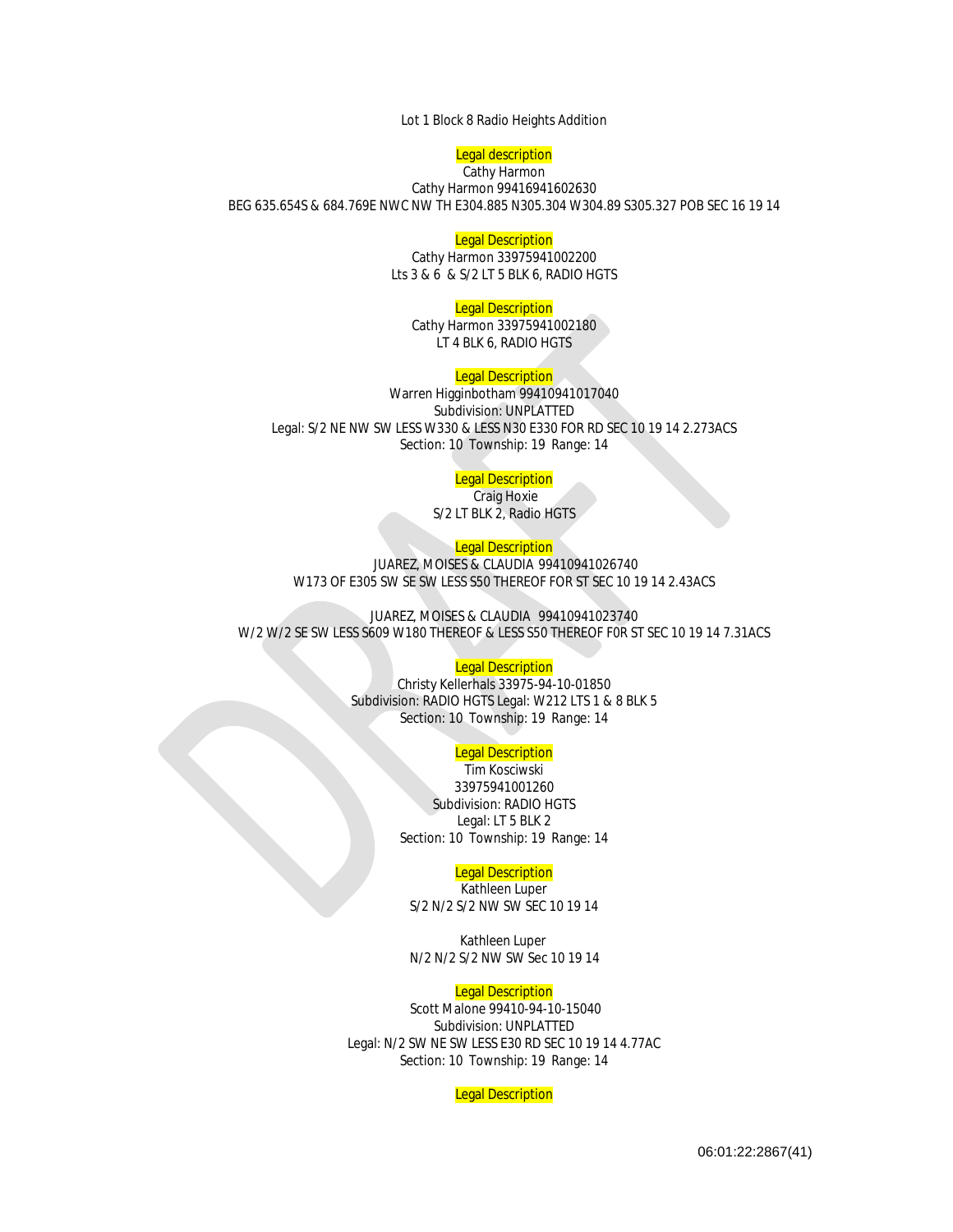Lot 1 Block 8 Radio Heights Addition

#### **Legal description** Cathy Harmon

Cathy Harmon 99416941602630 BEG 635.654S & 684.769E NWC NW TH E304.885 N305.304 W304.89 S305.327 POB SEC 16 19 14

#### **Legal Description**

Cathy Harmon 33975941002200 Lts 3 & 6 & S/2 LT 5 BLK 6, RADIO HGTS

#### **Legal Description**

Cathy Harmon 33975941002180 LT 4 BLK 6, RADIO HGTS

#### **Legal Description**

Warren Higginbotham 99410941017040 Subdivision: UNPLATTED Legal: S/2 NE NW SW LESS W330 & LESS N30 E330 FOR RD SEC 10 19 14 2.273ACS Section: 10 Township: 19 Range: 14

#### **Legal Description**

Craig Hoxie S/2 LT BLK 2, Radio HGTS

#### **Legal Description**

JUAREZ, MOISES & CLAUDIA 99410941026740 W173 OF E305 SW SE SW LESS S50 THEREOF FOR ST SEC 10 19 14 2.43ACS

JUAREZ, MOISES & CLAUDIA 99410941023740 W/2 W/2 SE SW LESS S609 W180 THEREOF & LESS S50 THEREOF F0R ST SEC 10 19 14 7.31ACS

#### **Legal Description**

Christy Kellerhals 33975-94-10-01850 Subdivision: RADIO HGTS Legal: W212 LTS 1 & 8 BLK 5 Section: 10 Township: 19 Range: 14

#### Legal Description

Tim Kosciwski 33975941001260 Subdivision: RADIO HGTS Legal: LT 5 BLK 2 Section: 10 Township: 19 Range: 14

#### **Legal Description**

Kathleen Luper S/2 N/2 S/2 NW SW SEC 10 19 14

 Kathleen Luper N/2 N/2 S/2 NW SW Sec 10 19 14

#### **Legal Description**

Scott Malone 99410-94-10-15040 Subdivision: UNPLATTED Legal: N/2 SW NE SW LESS E30 RD SEC 10 19 14 4.77AC Section: 10 Township: 19 Range: 14

**Legal Description**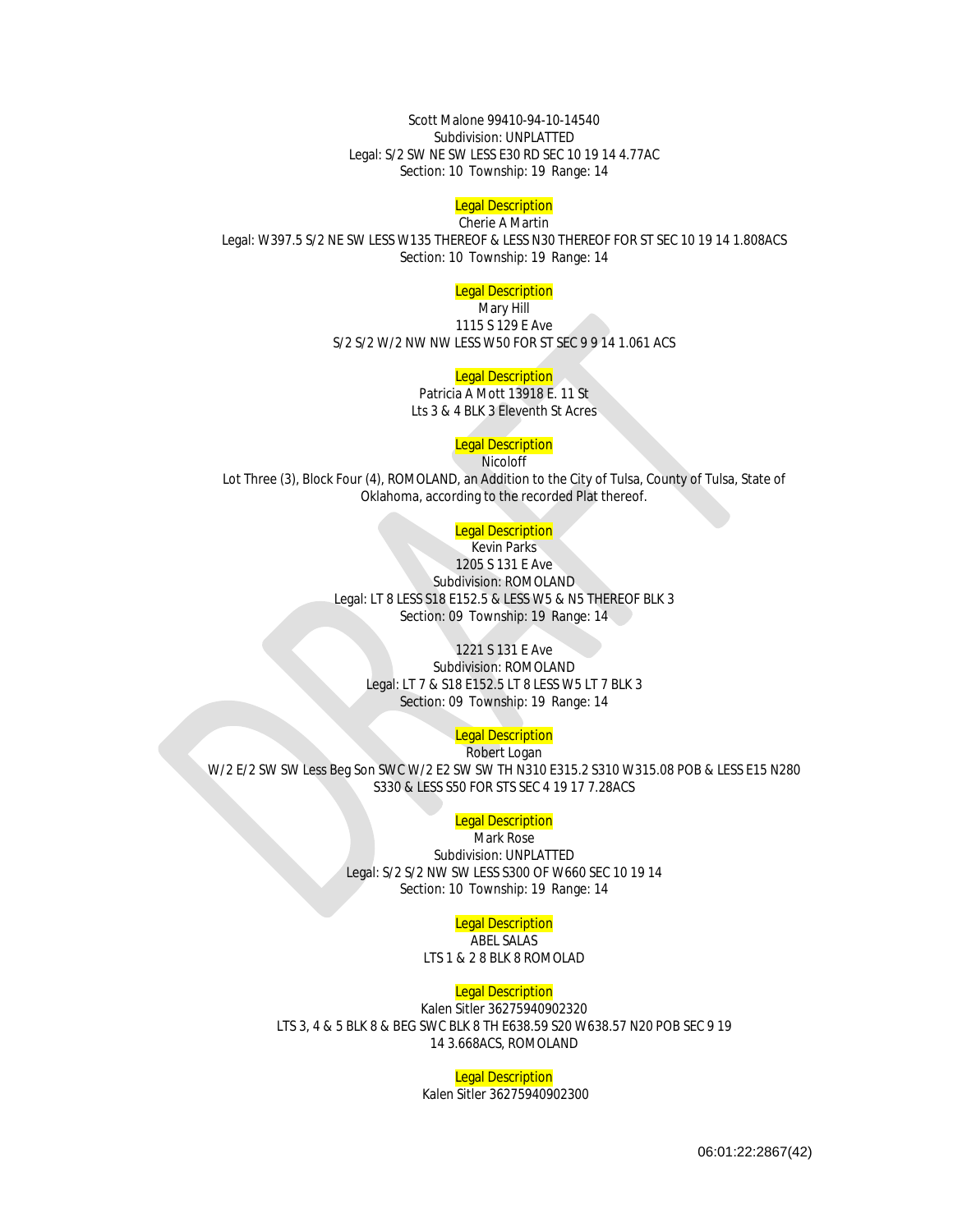Scott Malone 99410-94-10-14540 Subdivision: UNPLATTED Legal: S/2 SW NE SW LESS E30 RD SEC 10 19 14 4.77AC Section: 10 Township: 19 Range: 14

# **Legal Description**

Cherie A Martin Legal: W397.5 S/2 NE SW LESS W135 THEREOF & LESS N30 THEREOF FOR ST SEC 10 19 14 1.808ACS Section: 10 Township: 19 Range: 14

#### **Legal Description**

Mary Hill 1115 S 129 E Ave S/2 S/2 W/2 NW NW LESS W50 FOR ST SEC 9 9 14 1.061 ACS

#### **Legal Description**

Patricia A Mott 13918 E. 11 St Lts 3 & 4 BLK 3 Eleventh St Acres

#### **Legal Description**

**Nicoloff** Lot Three (3), Block Four (4), ROMOLAND, an Addition to the City of Tulsa, County of Tulsa, State of Oklahoma, according to the recorded Plat thereof.

#### **Legal Description**

**Kevin Parks** 1205 S 131 E Ave Subdivision: ROMOLAND Legal: LT 8 LESS S18 E152.5 & LESS W5 & N5 THEREOF BLK 3 Section: 09 Township: 19 Range: 14

#### 1221 S 131 E Ave

Subdivision: ROMOLAND Legal: LT 7 & S18 E152.5 LT 8 LESS W5 LT 7 BLK 3 Section: 09 Township: 19 Range: 14

#### **Legal Description**

Robert Logan W/2 E/2 SW SW Less Beg Son SWC W/2 E2 SW SW TH N310 E315.2 S310 W315.08 POB & LESS E15 N280 S330 & LESS S50 FOR STS SEC 4 19 17 7.28ACS

#### **Legal Description**

Mark Rose

Subdivision: UNPLATTED Legal: S/2 S/2 NW SW LESS S300 OF W660 SEC 10 19 14 Section: 10 Township: 19 Range: 14

#### **Legal Description**

ABEL SALAS LTS 1 & 2 8 BLK 8 ROMOLAD

#### Legal Description

Kalen Sitler 36275940902320 LTS 3, 4 & 5 BLK 8 & BEG SWC BLK 8 TH E638.59 S20 W638.57 N20 POB SEC 9 19 14 3.668ACS, ROMOLAND

#### **Legal Description**

Kalen Sitler 36275940902300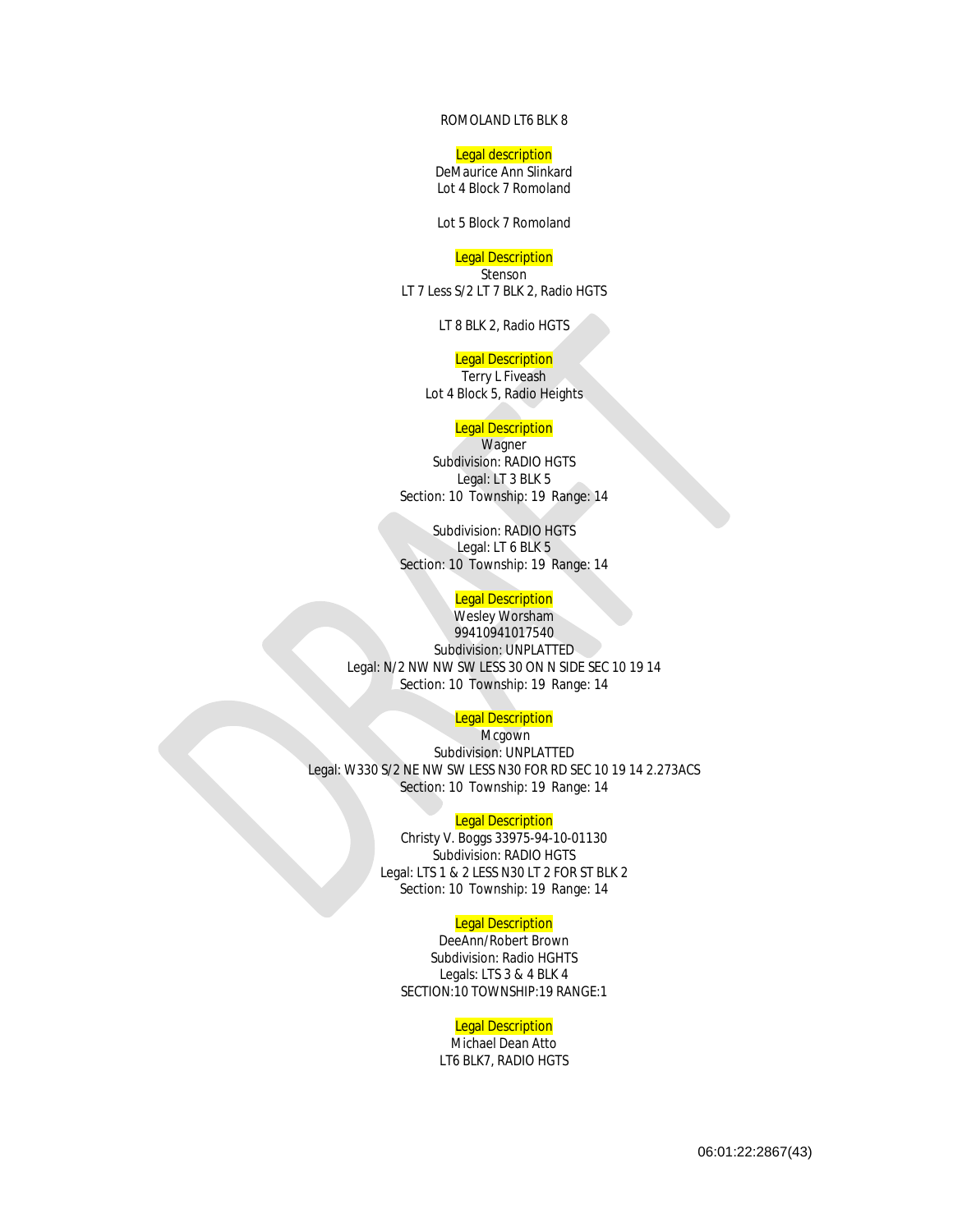#### ROMOLAND LT6 BLK 8

#### Legal description

DeMaurice Ann Slinkard Lot 4 Block 7 Romoland

Lot 5 Block 7 Romoland

# **Legal Description**

Stenson LT 7 Less S/2 LT 7 BLK 2, Radio HGTS

LT 8 BLK 2, Radio HGTS

# **Legal Description**

Terry L Fiveash Lot 4 Block 5, Radio Heights

#### **Legal Description**

**Wagner** Subdivision: RADIO HGTS Legal: LT 3 BLK 5 Section: 10 Township: 19 Range: 14

Subdivision: RADIO HGTS Legal: LT 6 BLK 5 Section: 10 Township: 19 Range: 14

#### **Legal Description**

Wesley Worsham 99410941017540 Subdivision: UNPLATTED Legal: N/2 NW NW SW LESS 30 ON N SIDE SEC 10 19 14 Section: 10 Township: 19 Range: 14

#### **Legal Description**

Mcgown Subdivision: UNPLATTED Legal: W330 S/2 NE NW SW LESS N30 FOR RD SEC 10 19 14 2.273ACS Section: 10 Township: 19 Range: 14

#### **Legal Description**

Christy V. Boggs 33975-94-10-01130 Subdivision: RADIO HGTS Legal: LTS 1 & 2 LESS N30 LT 2 FOR ST BLK 2 Section: 10 Township: 19 Range: 14

#### **Legal Description**

DeeAnn/Robert Brown Subdivision: Radio HGHTS Legals: LTS 3 & 4 BLK 4 SECTION:10 TOWNSHIP:19 RANGE:1

#### **Legal Description**

Michael Dean Atto LT6 BLK7, RADIO HGTS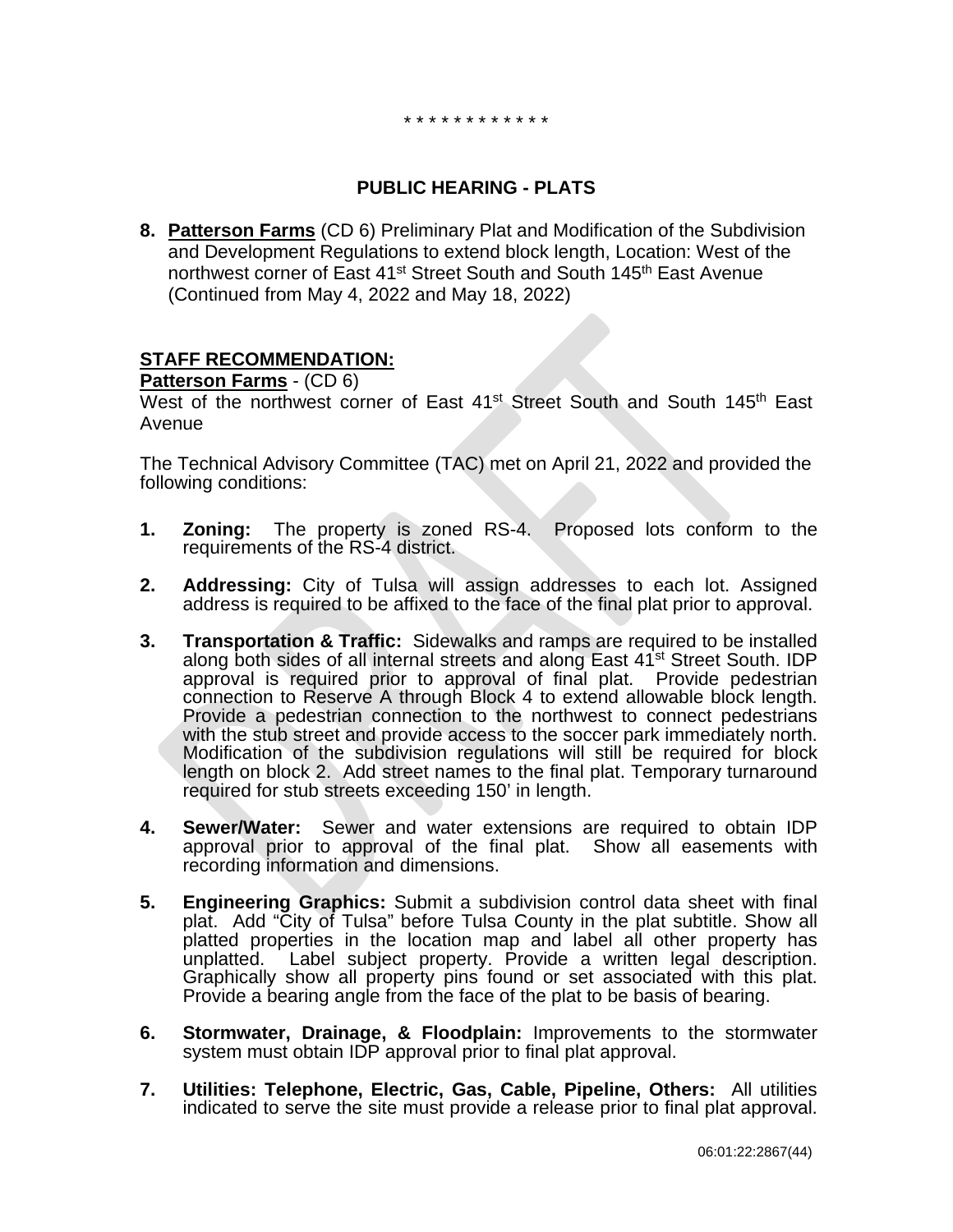\* \* \* \* \* \* \* \* \* \* \* \*

# **PUBLIC HEARING - PLATS**

**8. Patterson Farms** (CD 6) Preliminary Plat and Modification of the Subdivision and Development Regulations to extend block length, Location: West of the northwest corner of East 41<sup>st</sup> Street South and South 145<sup>th</sup> East Avenue (Continued from May 4, 2022 and May 18, 2022)

# **STAFF RECOMMENDATION:**

**Patterson Farms** - (CD 6)

West of the northwest corner of East 41<sup>st</sup> Street South and South 145<sup>th</sup> East Avenue

The Technical Advisory Committee (TAC) met on April 21, 2022 and provided the following conditions:

- **1. Zoning:** The property is zoned RS-4. Proposed lots conform to the requirements of the RS-4 district.
- **2. Addressing:** City of Tulsa will assign addresses to each lot. Assigned address is required to be affixed to the face of the final plat prior to approval.
- **3. Transportation & Traffic:** Sidewalks and ramps are required to be installed along both sides of all internal streets and along East 41st Street South. IDP approval is required prior to approval of final plat. Provide pedestrian connection to Reserve A through Block 4 to extend allowable block length. Provide a pedestrian connection to the northwest to connect pedestrians with the stub street and provide access to the soccer park immediately north. Modification of the subdivision regulations will still be required for block length on block 2. Add street names to the final plat. Temporary turnaround required for stub streets exceeding 150' in length.
- **4. Sewer/Water:** Sewer and water extensions are required to obtain IDP approval prior to approval of the final plat. Show all easements with recording information and dimensions.
- **5. Engineering Graphics:** Submit a subdivision control data sheet with final plat. Add "City of Tulsa" before Tulsa County in the plat subtitle. Show all platted properties in the location map and label all other property has unplatted. Label subject property. Provide a written legal description. Graphically show all property pins found or set associated with this plat. Provide a bearing angle from the face of the plat to be basis of bearing.
- **6. Stormwater, Drainage, & Floodplain:** Improvements to the stormwater system must obtain IDP approval prior to final plat approval.
- **7. Utilities: Telephone, Electric, Gas, Cable, Pipeline, Others:** All utilities indicated to serve the site must provide a release prior to final plat approval.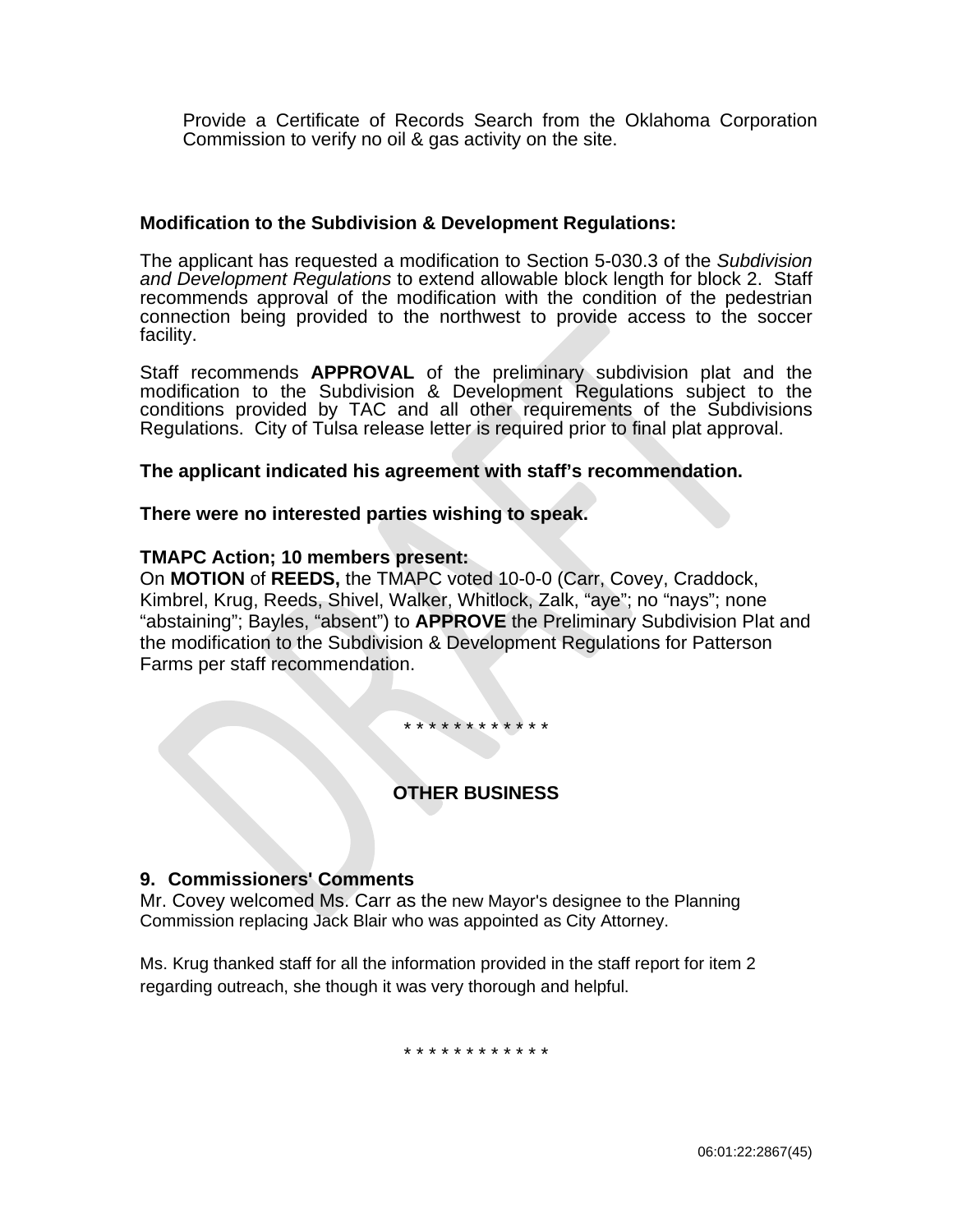Provide a Certificate of Records Search from the Oklahoma Corporation Commission to verify no oil & gas activity on the site.

### **Modification to the Subdivision & Development Regulations:**

The applicant has requested a modification to Section 5-030.3 of the *Subdivision and Development Regulations* to extend allowable block length for block 2. Staff recommends approval of the modification with the condition of the pedestrian connection being provided to the northwest to provide access to the soccer facility.

Staff recommends **APPROVAL** of the preliminary subdivision plat and the modification to the Subdivision & Development Regulations subject to the conditions provided by TAC and all other requirements of the Subdivisions Regulations. City of Tulsa release letter is required prior to final plat approval.

### **The applicant indicated his agreement with staff's recommendation.**

# **There were no interested parties wishing to speak.**

### **TMAPC Action; 10 members present:**

On **MOTION** of **REEDS,** the TMAPC voted 10-0-0 (Carr, Covey, Craddock, Kimbrel, Krug, Reeds, Shivel, Walker, Whitlock, Zalk, "aye"; no "nays"; none "abstaining"; Bayles, "absent") to **APPROVE** the Preliminary Subdivision Plat and the modification to the Subdivision & Development Regulations for Patterson Farms per staff recommendation.

\* \* \* \* \* \* \* \* \* \* \* \*

# **OTHER BUSINESS**

# **9. Commissioners' Comments**

Mr. Covey welcomed Ms. Carr as the new Mayor's designee to the Planning Commission replacing Jack Blair who was appointed as City Attorney.

Ms. Krug thanked staff for all the information provided in the staff report for item 2 regarding outreach, she though it was very thorough and helpful.

\* \* \* \* \* \* \* \* \* \* \* \*